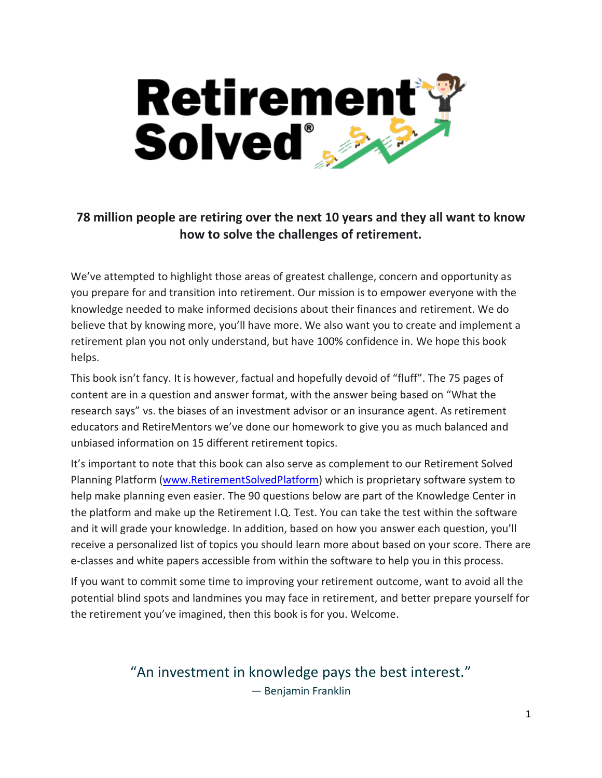

# **78 million people are retiring over the next 10 years and they all want to know how to solve the challenges of retirement.**

We've attempted to highlight those areas of greatest challenge, concern and opportunity as you prepare for and transition into retirement. Our mission is to empower everyone with the knowledge needed to make informed decisions about their finances and retirement. We do believe that by knowing more, you'll have more. We also want you to create and implement a retirement plan you not only understand, but have 100% confidence in. We hope this book helps.

This book isn't fancy. It is however, factual and hopefully devoid of "fluff". The 75 pages of content are in a question and answer format, with the answer being based on "What the research says" vs. the biases of an investment advisor or an insurance agent. As retirement educators and RetireMentors we've done our homework to give you as much balanced and unbiased information on 15 different retirement topics.

It's important to note that this book can also serve as complement to our Retirement Solved Planning Platform [\(www.RetirementSolvedPlatform\)](http://www.retirementsolvedplatform/) which is proprietary software system to help make planning even easier. The 90 questions below are part of the Knowledge Center in the platform and make up the Retirement I.Q. Test. You can take the test within the software and it will grade your knowledge. In addition, based on how you answer each question, you'll receive a personalized list of topics you should learn more about based on your score. There are e-classes and white papers accessible from within the software to help you in this process.

If you want to commit some time to improving your retirement outcome, want to avoid all the potential blind spots and landmines you may face in retirement, and better prepare yourself for the retirement you've imagined, then this book is for you. Welcome.

> "An investment in knowledge pays the best interest." — Benjamin Franklin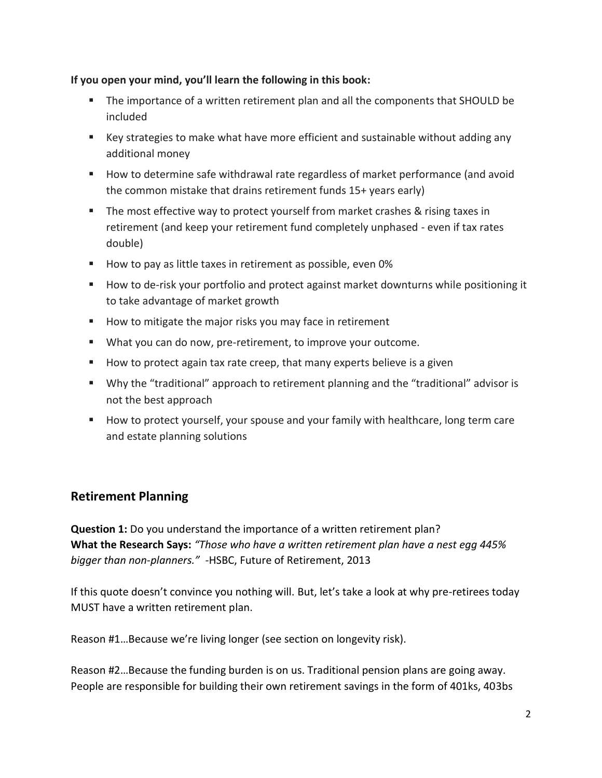### **If you open your mind, you'll learn the following in this book:**

- The importance of a written retirement plan and all the components that SHOULD be included
- Key strategies to make what have more efficient and sustainable without adding any additional money
- How to determine safe withdrawal rate regardless of market performance (and avoid the common mistake that drains retirement funds 15+ years early)
- **•** The most effective way to protect yourself from market crashes & rising taxes in retirement (and keep your retirement fund completely unphased - even if tax rates double)
- How to pay as little taxes in retirement as possible, even 0%
- How to de-risk your portfolio and protect against market downturns while positioning it to take advantage of market growth
- How to mitigate the major risks you may face in retirement
- What you can do now, pre-retirement, to improve your outcome.
- How to protect again tax rate creep, that many experts believe is a given
- Why the "traditional" approach to retirement planning and the "traditional" advisor is not the best approach
- How to protect yourself, your spouse and your family with healthcare, long term care and estate planning solutions

# **Retirement Planning**

**Question 1:** Do you understand the importance of a written retirement plan? **What the Research Says:** *"Those who have a written retirement plan have a nest egg 445% bigger than non-planners."* -HSBC, Future of Retirement, 2013

If this quote doesn't convince you nothing will. But, let's take a look at why pre-retirees today MUST have a written retirement plan.

Reason #1…Because we're living longer (see section on longevity risk).

Reason #2…Because the funding burden is on us. Traditional pension plans are going away. People are responsible for building their own retirement savings in the form of 401ks, 403bs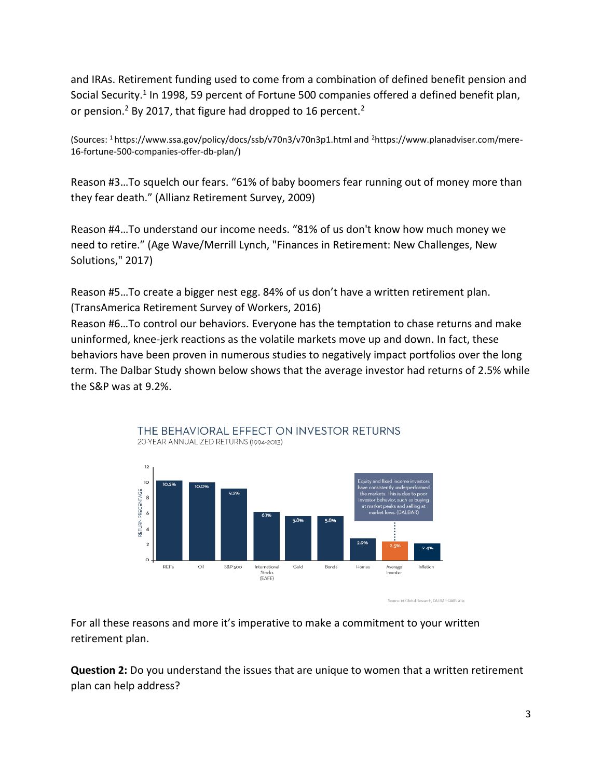and IRAs. Retirement funding used to come from a combination of defined benefit pension and Social Security.<sup>1</sup> In 1998, 59 percent of Fortune 500 companies offered a defined benefit plan, or pension.<sup>2</sup> By 2017, that figure had dropped to 16 percent.<sup>2</sup>

(Sources: 1 https://www.ssa.gov/policy/docs/ssb/v70n3/v70n3p1.html and 2https://www.planadviser.com/mere-16-fortune-500-companies-offer-db-plan/)

Reason #3…To squelch our fears. "61% of baby boomers fear running out of money more than they fear death." (Allianz Retirement Survey, 2009)

Reason #4…To understand our income needs. "81% of us don't know how much money we need to retire." (Age Wave/Merrill Lynch, "Finances in Retirement: New Challenges, New Solutions," 2017)

Reason #5…To create a bigger nest egg. 84% of us don't have a written retirement plan. (TransAmerica Retirement Survey of Workers, 2016)

Reason #6…To control our behaviors. Everyone has the temptation to chase returns and make uninformed, knee-jerk reactions as the volatile markets move up and down. In fact, these behaviors have been proven in numerous studies to negatively impact portfolios over the long term. The Dalbar Study shown below shows that the average investor had returns of 2.5% while the S&P was at 9.2%.





For all these reasons and more it's imperative to make a commitment to your written retirement plan.

**Question 2:** Do you understand the issues that are unique to women that a written retirement plan can help address?

urce: 1st Global Research, DALBAR QAIB 2014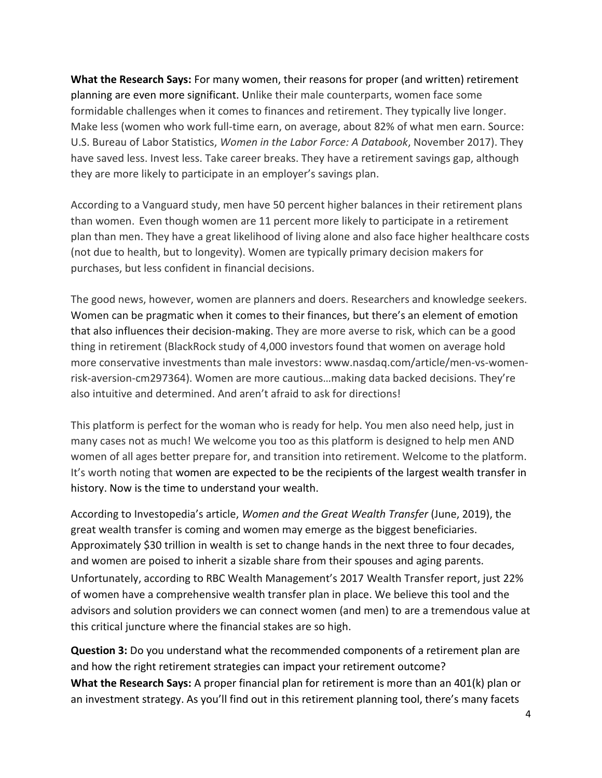**What the Research Says:** For many women, their reasons for proper (and written) retirement planning are even more significant. Unlike their male counterparts, women face some formidable challenges when it comes to finances and retirement. They typically live longer. Make less (women who work full-time earn, on average, about 82% of what men earn. Source: U.S. Bureau of Labor Statistics, *Women in the Labor Force: A Databook*, November 2017). They have saved less. Invest less. Take career breaks. They have a retirement savings gap, although they are more likely to participate in an employer's savings plan.

According to a Vanguard study, men have 50 percent higher balances in their retirement plans than women. Even though women are 11 percent more likely to participate in a retirement plan than men. They have a great likelihood of living alone and also face higher healthcare costs (not due to health, but to longevity). Women are typically primary decision makers for purchases, but less confident in financial decisions.

The good news, however, women are planners and doers. Researchers and knowledge seekers. Women can be pragmatic when it comes to their finances, but there's an element of emotion that also influences their decision-making. They are more averse to risk, which can be a good thing in retirement (BlackRock study of 4,000 investors found that women on average hold more conservative investments than male investors: www.nasdaq.com/article/men-vs-womenrisk-aversion-cm297364). Women are more cautious…making data backed decisions. They're also intuitive and determined. And aren't afraid to ask for directions!

This platform is perfect for the woman who is ready for help. You men also need help, just in many cases not as much! We welcome you too as this platform is designed to help men AND women of all ages better prepare for, and transition into retirement. Welcome to the platform. It's worth noting that women are expected to be the recipients of the largest wealth transfer in history. Now is the time to understand your wealth.

According to Investopedia's article, *Women and the Great Wealth Transfer* (June, 2019), the great wealth transfer is coming and women may emerge as the biggest beneficiaries. Approximately \$30 trillion in wealth is set to change hands in the next three to four decades, and women are poised to inherit a sizable share from their spouses and aging parents. Unfortunately, according to RBC Wealth Management's 2017 Wealth Transfer report, just 22% of women have a comprehensive wealth transfer plan in place. We believe this tool and the advisors and solution providers we can connect women (and men) to are a tremendous value at this critical juncture where the financial stakes are so high.

**Question 3:** Do you understand what the recommended components of a retirement plan are and how the right retirement strategies can impact your retirement outcome? **What the Research Says:** A proper financial plan for retirement is more than an 401(k) plan or an investment strategy. As you'll find out in this retirement planning tool, there's many facets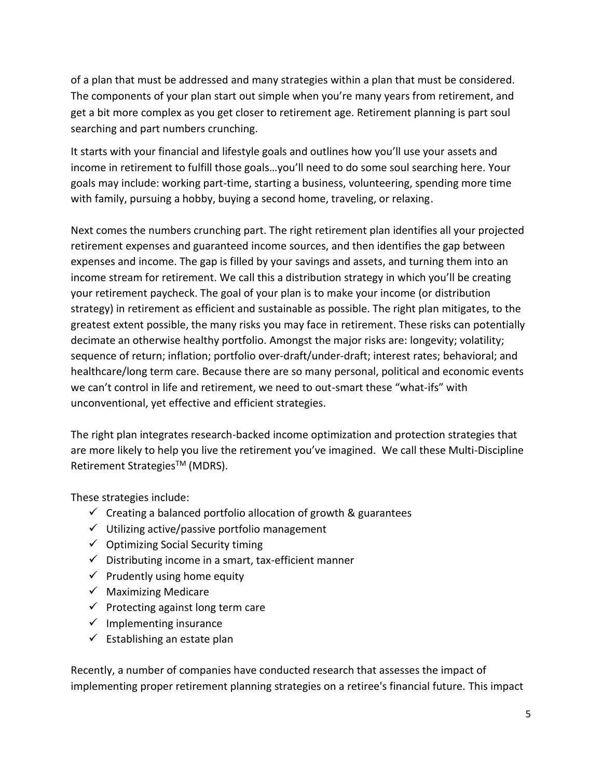of a plan that must be addressed and many strategies within a plan that must be considered. The components of your plan start out simple when you're many years from retirement, and get a bit more complex as you get closer to retirement age. Retirement planning is part soul searching and part numbers crunching.

It starts with your financial and lifestyle goals and outlines how you'll use your assets and income in retirement to fulfill those goals…you'll need to do some soul searching here. Your goals may include: working part-time, starting a business, volunteering, spending more time with family, pursuing a hobby, buying a second home, traveling, or relaxing.

Next comes the numbers crunching part. The right retirement plan identifies all your projected retirement expenses and guaranteed income sources, and then identifies the gap between expenses and income. The gap is filled by your savings and assets, and turning them into an income stream for retirement. We call this a distribution strategy in which you'll be creating your retirement paycheck. The goal of your plan is to make your income (or distribution strategy) in retirement as efficient and sustainable as possible. The right plan mitigates, to the greatest extent possible, the many risks you may face in retirement. These risks can potentially decimate an otherwise healthy portfolio. Amongst the major risks are: longevity; volatility; sequence of return; inflation; portfolio over-draft/under-draft; interest rates; behavioral; and healthcare/long term care. Because there are so many personal, political and economic events we can't control in life and retirement, we need to out-smart these "what-ifs" with unconventional, yet effective and efficient strategies.

The right plan integrates research-backed income optimization and protection strategies that are more likely to help you live the retirement you've imagined. We call these Multi-Discipline Retirement Strategies™ (MDRS).

These strategies include:

- $\checkmark$  Creating a balanced portfolio allocation of growth & guarantees
- ✓ Utilizing active/passive portfolio management
- $\checkmark$  Optimizing Social Security timing
- $\checkmark$  Distributing income in a smart, tax-efficient manner
- $\checkmark$  Prudently using home equity
- $\checkmark$  Maximizing Medicare
- $\checkmark$  Protecting against long term care
- $\checkmark$  Implementing insurance
- $\checkmark$  Establishing an estate plan

Recently, a number of companies have conducted research that assesses the impact of implementing proper retirement planning strategies on a retiree's financial future. This impact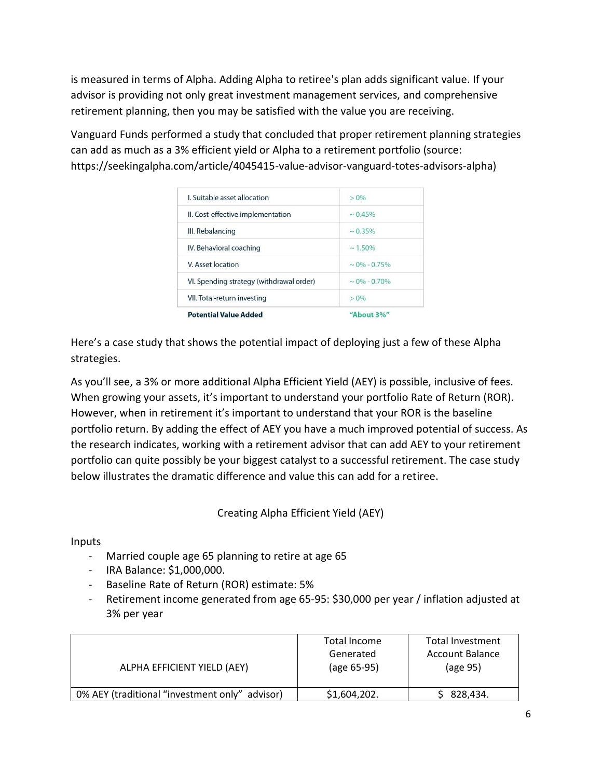is measured in terms of Alpha. Adding Alpha to retiree's plan adds significant value. If your advisor is providing not only great investment management services, and comprehensive retirement planning, then you may be satisfied with the value you are receiving.

Vanguard Funds performed a study that concluded that proper retirement planning strategies can add as much as a 3% efficient yield or Alpha to a retirement portfolio (source: https://seekingalpha.com/article/4045415-value-advisor-vanguard-totes-advisors-alpha)

| VI. Spending strategy (withdrawal order) | $\sim 0\% - 0.70\%$ |
|------------------------------------------|---------------------|
| V. Asset location                        | $\sim 0\% - 0.75\%$ |
| IV. Behavioral coaching                  | $\sim 1.50\%$       |
| III. Rebalancing                         | $\sim 0.35\%$       |
| II. Cost-effective implementation        | $\sim 0.45\%$       |
| L Suitable asset allocation              | $> 0\%$             |

Here's a case study that shows the potential impact of deploying just a few of these Alpha strategies.

As you'll see, a 3% or more additional Alpha Efficient Yield (AEY) is possible, inclusive of fees. When growing your assets, it's important to understand your portfolio Rate of Return (ROR). However, when in retirement it's important to understand that your ROR is the baseline portfolio return. By adding the effect of AEY you have a much improved potential of success. As the research indicates, working with a retirement advisor that can add AEY to your retirement portfolio can quite possibly be your biggest catalyst to a successful retirement. The case study below illustrates the dramatic difference and value this can add for a retiree.

Creating Alpha Efficient Yield (AEY)

Inputs

- Married couple age 65 planning to retire at age 65
- IRA Balance: \$1,000,000.
- Baseline Rate of Return (ROR) estimate: 5%
- Retirement income generated from age 65-95: \$30,000 per year / inflation adjusted at 3% per year

| ALPHA EFFICIENT YIELD (AEY)                    | Total Income<br>Generated<br>(age 65-95) | Total Investment<br>Account Balance<br>(age 95) |
|------------------------------------------------|------------------------------------------|-------------------------------------------------|
| 0% AEY (traditional "investment only" advisor) | \$1,604,202.                             | \$828,434.                                      |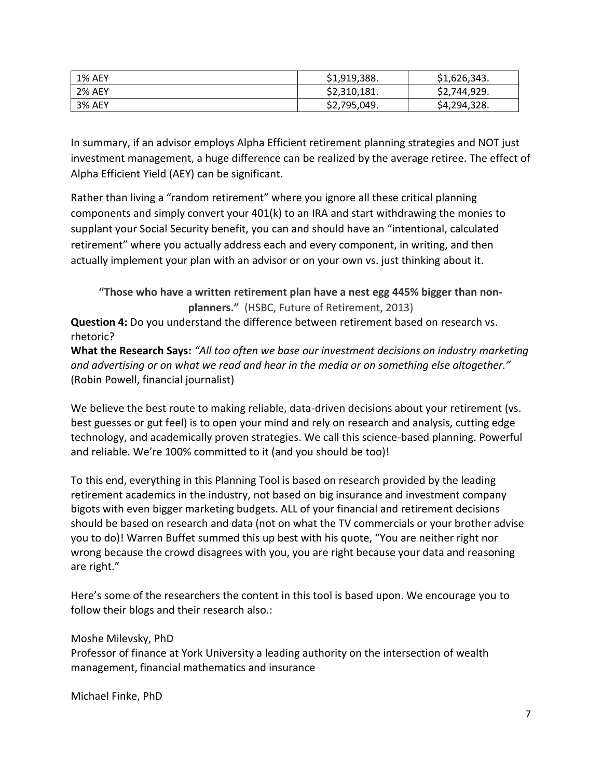| <b>1% AEY</b> | \$1,919,388. | \$1,626,343. |
|---------------|--------------|--------------|
| <b>2% AEY</b> | \$2,310,181. | \$2,744,929. |
| <b>3% AEY</b> | \$2,795,049. | \$4,294,328. |

In summary, if an advisor employs Alpha Efficient retirement planning strategies and NOT just investment management, a huge difference can be realized by the average retiree. The effect of Alpha Efficient Yield (AEY) can be significant.

Rather than living a "random retirement" where you ignore all these critical planning components and simply convert your 401(k) to an IRA and start withdrawing the monies to supplant your Social Security benefit, you can and should have an "intentional, calculated retirement" where you actually address each and every component, in writing, and then actually implement your plan with an advisor or on your own vs. just thinking about it.

**"Those who have a written retirement plan have a nest egg 445% bigger than nonplanners."** (HSBC, Future of Retirement, 2013)

**Question 4:** Do you understand the difference between retirement based on research vs. rhetoric?

**What the Research Says:** *"All too often we base our investment decisions on industry marketing and advertising or on what we read and hear in the media or on something else altogether."* (Robin Powell, financial journalist)

We believe the best route to making reliable, data-driven decisions about your retirement (vs. best guesses or gut feel) is to open your mind and rely on research and analysis, cutting edge technology, and academically proven strategies. We call this science-based planning. Powerful and reliable. We're 100% committed to it (and you should be too)!

To this end, everything in this Planning Tool is based on research provided by the leading retirement academics in the industry, not based on big insurance and investment company bigots with even bigger marketing budgets. ALL of your financial and retirement decisions should be based on research and data (not on what the TV commercials or your brother advise you to do)! Warren Buffet summed this up best with his quote, "You are neither right nor wrong because the crowd disagrees with you, you are right because your data and reasoning are right."

Here's some of the researchers the content in this tool is based upon. We encourage you to follow their blogs and their research also.:

Moshe Milevsky, PhD

Professor of finance at York University a leading authority on the intersection of wealth management, financial mathematics and insurance

Michael Finke, PhD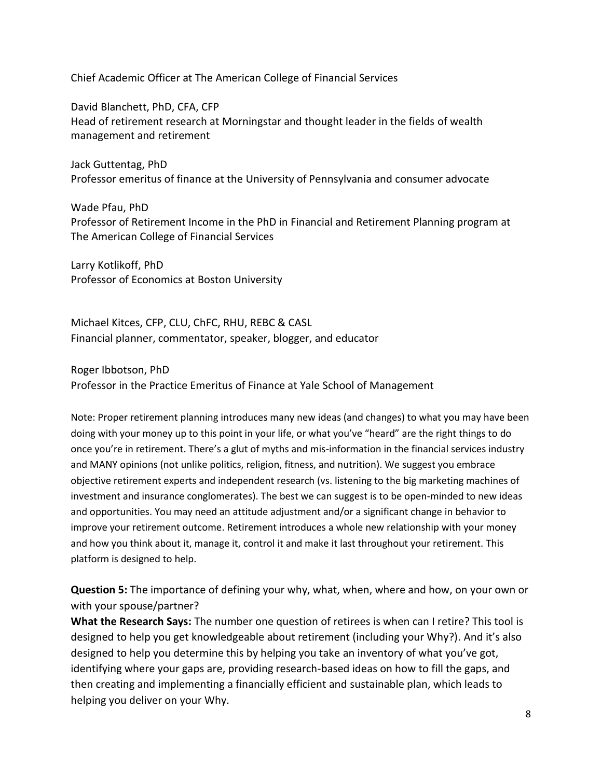Chief Academic Officer at The American College of Financial Services

David Blanchett, PhD, CFA, CFP Head of retirement research at Morningstar and thought leader in the fields of wealth management and retirement

Jack Guttentag, PhD Professor emeritus of finance at the University of Pennsylvania and consumer advocate

Wade Pfau, PhD Professor of Retirement Income in the PhD in Financial and Retirement Planning program at The American College of Financial Services

Larry Kotlikoff, PhD Professor of Economics at Boston University

Michael Kitces, CFP, CLU, ChFC, RHU, REBC & CASL Financial planner, commentator, speaker, blogger, and educator

Roger Ibbotson, PhD

Professor in the Practice Emeritus of Finance at Yale School of Management

Note: Proper retirement planning introduces many new ideas (and changes) to what you may have been doing with your money up to this point in your life, or what you've "heard" are the right things to do once you're in retirement. There's a glut of myths and mis-information in the financial services industry and MANY opinions (not unlike politics, religion, fitness, and nutrition). We suggest you embrace objective retirement experts and independent research (vs. listening to the big marketing machines of investment and insurance conglomerates). The best we can suggest is to be open-minded to new ideas and opportunities. You may need an attitude adjustment and/or a significant change in behavior to improve your retirement outcome. Retirement introduces a whole new relationship with your money and how you think about it, manage it, control it and make it last throughout your retirement. This platform is designed to help.

**Question 5:** The importance of defining your why, what, when, where and how, on your own or with your spouse/partner?

**What the Research Says:** The number one question of retirees is when can I retire? This tool is designed to help you get knowledgeable about retirement (including your Why?). And it's also designed to help you determine this by helping you take an inventory of what you've got, identifying where your gaps are, providing research-based ideas on how to fill the gaps, and then creating and implementing a financially efficient and sustainable plan, which leads to helping you deliver on your Why.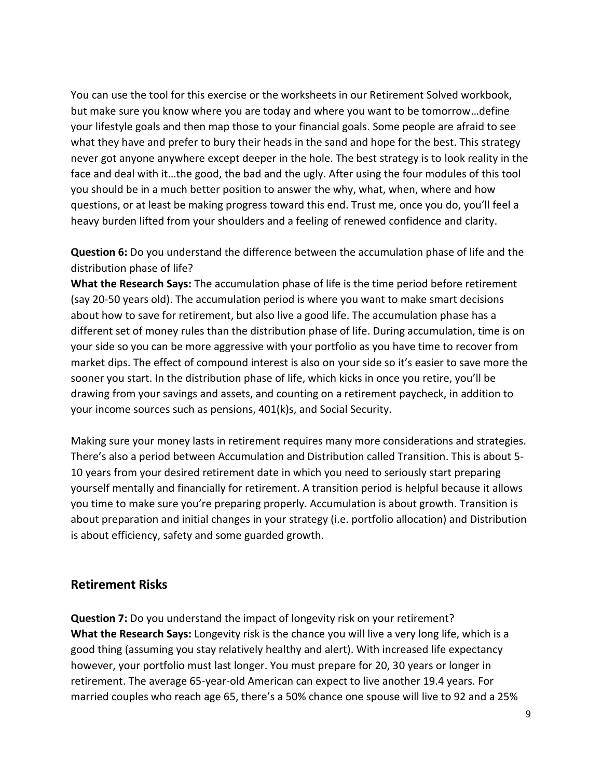You can use the tool for this exercise or the worksheets in our Retirement Solved workbook, but make sure you know where you are today and where you want to be tomorrow…define your lifestyle goals and then map those to your financial goals. Some people are afraid to see what they have and prefer to bury their heads in the sand and hope for the best. This strategy never got anyone anywhere except deeper in the hole. The best strategy is to look reality in the face and deal with it…the good, the bad and the ugly. After using the four modules of this tool you should be in a much better position to answer the why, what, when, where and how questions, or at least be making progress toward this end. Trust me, once you do, you'll feel a heavy burden lifted from your shoulders and a feeling of renewed confidence and clarity.

**Question 6:** Do you understand the difference between the accumulation phase of life and the distribution phase of life?

**What the Research Says:** The accumulation phase of life is the time period before retirement (say 20-50 years old). The accumulation period is where you want to make smart decisions about how to save for retirement, but also live a good life. The accumulation phase has a different set of money rules than the distribution phase of life. During accumulation, time is on your side so you can be more aggressive with your portfolio as you have time to recover from market dips. The effect of compound interest is also on your side so it's easier to save more the sooner you start. In the distribution phase of life, which kicks in once you retire, you'll be drawing from your savings and assets, and counting on a retirement paycheck, in addition to your income sources such as pensions, 401(k)s, and Social Security.

Making sure your money lasts in retirement requires many more considerations and strategies. There's also a period between Accumulation and Distribution called Transition. This is about 5- 10 years from your desired retirement date in which you need to seriously start preparing yourself mentally and financially for retirement. A transition period is helpful because it allows you time to make sure you're preparing properly. Accumulation is about growth. Transition is about preparation and initial changes in your strategy (i.e. portfolio allocation) and Distribution is about efficiency, safety and some guarded growth.

### **Retirement Risks**

**Question 7:** Do you understand the impact of longevity risk on your retirement? **What the Research Says:** Longevity risk is the chance you will live a very long life, which is a good thing (assuming you stay relatively healthy and alert). With increased life expectancy however, your portfolio must last longer. You must prepare for 20, 30 years or longer in retirement. The average 65-year-old American can expect to live another 19.4 years. For married couples who reach age 65, there's a 50% chance one spouse will live to 92 and a 25%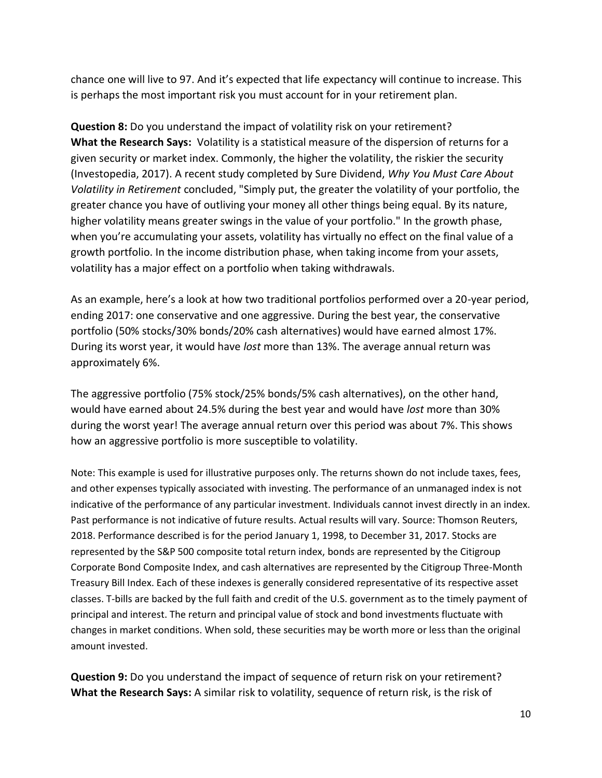chance one will live to 97. And it's expected that life expectancy will continue to increase. This is perhaps the most important risk you must account for in your retirement plan.

**Question 8:** Do you understand the impact of volatility risk on your retirement? **What the Research Says:** Volatility is a statistical measure of the dispersion of returns for a given security or market index. Commonly, the higher the volatility, the riskier the security (Investopedia, 2017). A recent study completed by Sure Dividend, *Why You Must Care About Volatility in Retirement* concluded, "Simply put, the greater the volatility of your portfolio, the greater chance you have of outliving your money all other things being equal. By its nature, higher volatility means greater swings in the value of your portfolio." In the growth phase, when you're accumulating your assets, volatility has virtually no effect on the final value of a growth portfolio. In the income distribution phase, when taking income from your assets, volatility has a major effect on a portfolio when taking withdrawals.

As an example, here's a look at how two traditional portfolios performed over a 20-year period, ending 2017: one conservative and one aggressive. During the best year, the conservative portfolio (50% stocks/30% bonds/20% cash alternatives) would have earned almost 17%. During its worst year, it would have *lost* more than 13%. The average annual return was approximately 6%.

The aggressive portfolio (75% stock/25% bonds/5% cash alternatives), on the other hand, would have earned about 24.5% during the best year and would have *lost* more than 30% during the worst year! The average annual return over this period was about 7%. This shows how an aggressive portfolio is more susceptible to volatility.

Note: This example is used for illustrative purposes only. The returns shown do not include taxes, fees, and other expenses typically associated with investing. The performance of an unmanaged index is not indicative of the performance of any particular investment. Individuals cannot invest directly in an index. Past performance is not indicative of future results. Actual results will vary. Source: Thomson Reuters, 2018. Performance described is for the period January 1, 1998, to December 31, 2017. Stocks are represented by the S&P 500 composite total return index, bonds are represented by the Citigroup Corporate Bond Composite Index, and cash alternatives are represented by the Citigroup Three-Month Treasury Bill Index. Each of these indexes is generally considered representative of its respective asset classes. T-bills are backed by the full faith and credit of the U.S. government as to the timely payment of principal and interest. The return and principal value of stock and bond investments fluctuate with changes in market conditions. When sold, these securities may be worth more or less than the original amount invested.

**Question 9:** Do you understand the impact of sequence of return risk on your retirement? **What the Research Says:** A similar risk to volatility, sequence of return risk, is the risk of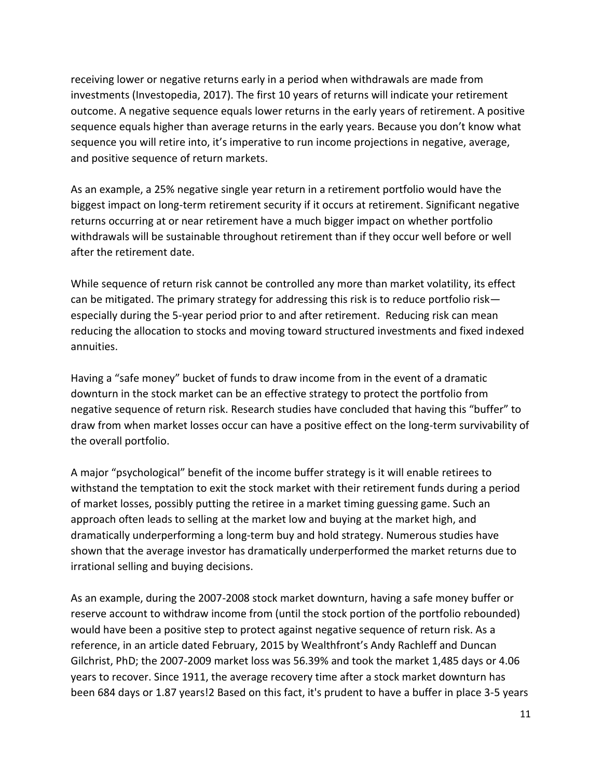receiving lower or negative returns early in a period when withdrawals are made from investments (Investopedia, 2017). The first 10 years of returns will indicate your retirement outcome. A negative sequence equals lower returns in the early years of retirement. A positive sequence equals higher than average returns in the early years. Because you don't know what sequence you will retire into, it's imperative to run income projections in negative, average, and positive sequence of return markets.

As an example, a 25% negative single year return in a retirement portfolio would have the biggest impact on long-term retirement security if it occurs at retirement. Significant negative returns occurring at or near retirement have a much bigger impact on whether portfolio withdrawals will be sustainable throughout retirement than if they occur well before or well after the retirement date.

While sequence of return risk cannot be controlled any more than market volatility, its effect can be mitigated. The primary strategy for addressing this risk is to reduce portfolio risk especially during the 5-year period prior to and after retirement. Reducing risk can mean reducing the allocation to stocks and moving toward structured investments and fixed indexed annuities.

Having a "safe money" bucket of funds to draw income from in the event of a dramatic downturn in the stock market can be an effective strategy to protect the portfolio from negative sequence of return risk. Research studies have concluded that having this "buffer" to draw from when market losses occur can have a positive effect on the long-term survivability of the overall portfolio.

A major "psychological" benefit of the income buffer strategy is it will enable retirees to withstand the temptation to exit the stock market with their retirement funds during a period of market losses, possibly putting the retiree in a market timing guessing game. Such an approach often leads to selling at the market low and buying at the market high, and dramatically underperforming a long-term buy and hold strategy. Numerous studies have shown that the average investor has dramatically underperformed the market returns due to irrational selling and buying decisions.

As an example, during the 2007-2008 stock market downturn, having a safe money buffer or reserve account to withdraw income from (until the stock portion of the portfolio rebounded) would have been a positive step to protect against negative sequence of return risk. As a reference, in an article dated February, 2015 by Wealthfront's Andy Rachleff and Duncan Gilchrist, PhD; the 2007-2009 market loss was 56.39% and took the market 1,485 days or 4.06 years to recover. Since 1911, the average recovery time after a stock market downturn has been 684 days or 1.87 years!2 Based on this fact, it's prudent to have a buffer in place 3-5 years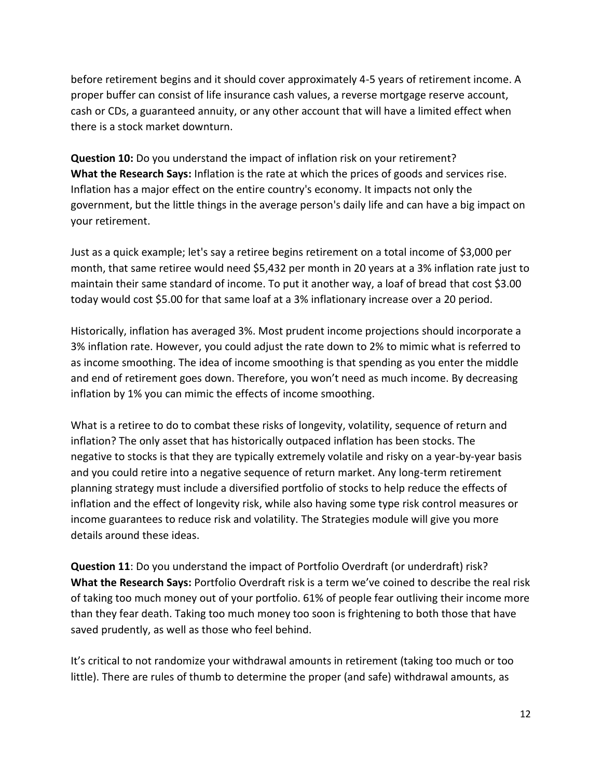before retirement begins and it should cover approximately 4-5 years of retirement income. A proper buffer can consist of life insurance cash values, a reverse mortgage reserve account, cash or CDs, a guaranteed annuity, or any other account that will have a limited effect when there is a stock market downturn.

**Question 10:** Do you understand the impact of inflation risk on your retirement? **What the Research Says:** Inflation is the rate at which the prices of goods and services rise. Inflation has a major effect on the entire country's economy. It impacts not only the government, but the little things in the average person's daily life and can have a big impact on your retirement.

Just as a quick example; let's say a retiree begins retirement on a total income of \$3,000 per month, that same retiree would need \$5,432 per month in 20 years at a 3% inflation rate just to maintain their same standard of income. To put it another way, a loaf of bread that cost \$3.00 today would cost \$5.00 for that same loaf at a 3% inflationary increase over a 20 period.

Historically, inflation has averaged 3%. Most prudent income projections should incorporate a 3% inflation rate. However, you could adjust the rate down to 2% to mimic what is referred to as income smoothing. The idea of income smoothing is that spending as you enter the middle and end of retirement goes down. Therefore, you won't need as much income. By decreasing inflation by 1% you can mimic the effects of income smoothing.

What is a retiree to do to combat these risks of longevity, volatility, sequence of return and inflation? The only asset that has historically outpaced inflation has been stocks. The negative to stocks is that they are typically extremely volatile and risky on a year-by-year basis and you could retire into a negative sequence of return market. Any long-term retirement planning strategy must include a diversified portfolio of stocks to help reduce the effects of inflation and the effect of longevity risk, while also having some type risk control measures or income guarantees to reduce risk and volatility. The Strategies module will give you more details around these ideas.

**Question 11**: Do you understand the impact of Portfolio Overdraft (or underdraft) risk? **What the Research Says:** Portfolio Overdraft risk is a term we've coined to describe the real risk of taking too much money out of your portfolio. 61% of people fear outliving their income more than they fear death. Taking too much money too soon is frightening to both those that have saved prudently, as well as those who feel behind.

It's critical to not randomize your withdrawal amounts in retirement (taking too much or too little). There are rules of thumb to determine the proper (and safe) withdrawal amounts, as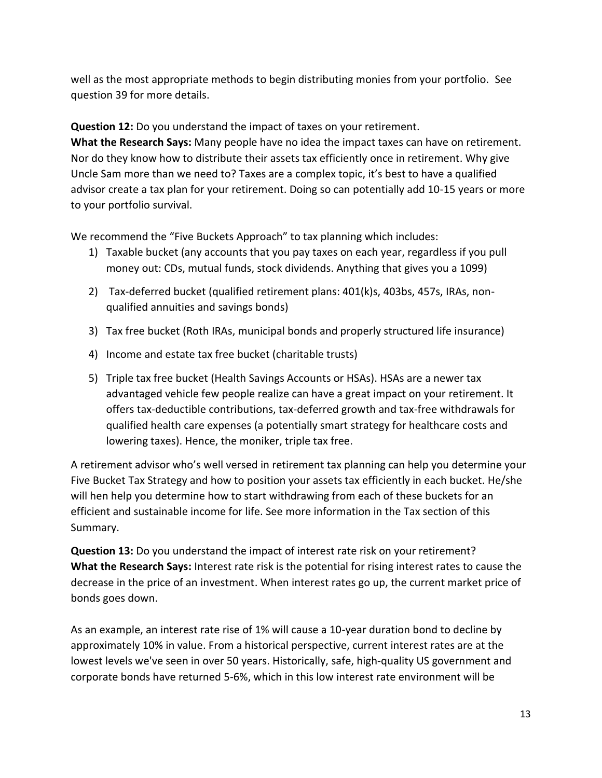well as the most appropriate methods to begin distributing monies from your portfolio. See question 39 for more details.

**Question 12:** Do you understand the impact of taxes on your retirement.

**What the Research Says:** Many people have no idea the impact taxes can have on retirement. Nor do they know how to distribute their assets tax efficiently once in retirement. Why give Uncle Sam more than we need to? Taxes are a complex topic, it's best to have a qualified advisor create a tax plan for your retirement. Doing so can potentially add 10-15 years or more to your portfolio survival.

We recommend the "Five Buckets Approach" to tax planning which includes:

- 1) Taxable bucket (any accounts that you pay taxes on each year, regardless if you pull money out: CDs, mutual funds, stock dividends. Anything that gives you a 1099)
- 2) Tax-deferred bucket (qualified retirement plans: 401(k)s, 403bs, 457s, IRAs, nonqualified annuities and savings bonds)
- 3) Tax free bucket (Roth IRAs, municipal bonds and properly structured life insurance)
- 4) Income and estate tax free bucket (charitable trusts)
- 5) Triple tax free bucket (Health Savings Accounts or HSAs). HSAs are a newer tax advantaged vehicle few people realize can have a great impact on your retirement. It offers tax-deductible contributions, tax-deferred growth and tax-free withdrawals for qualified health care expenses (a potentially smart strategy for healthcare costs and lowering taxes). Hence, the moniker, triple tax free.

A retirement advisor who's well versed in retirement tax planning can help you determine your Five Bucket Tax Strategy and how to position your assets tax efficiently in each bucket. He/she will hen help you determine how to start withdrawing from each of these buckets for an efficient and sustainable income for life. See more information in the Tax section of this Summary.

**Question 13:** Do you understand the impact of interest rate risk on your retirement? **What the Research Says:** Interest rate risk is the potential for rising interest rates to cause the decrease in the price of an investment. When interest rates go up, the current market price of bonds goes down.

As an example, an interest rate rise of 1% will cause a 10-year duration bond to decline by approximately 10% in value. From a historical perspective, current interest rates are at the lowest levels we've seen in over 50 years. Historically, safe, high-quality US government and corporate bonds have returned 5-6%, which in this low interest rate environment will be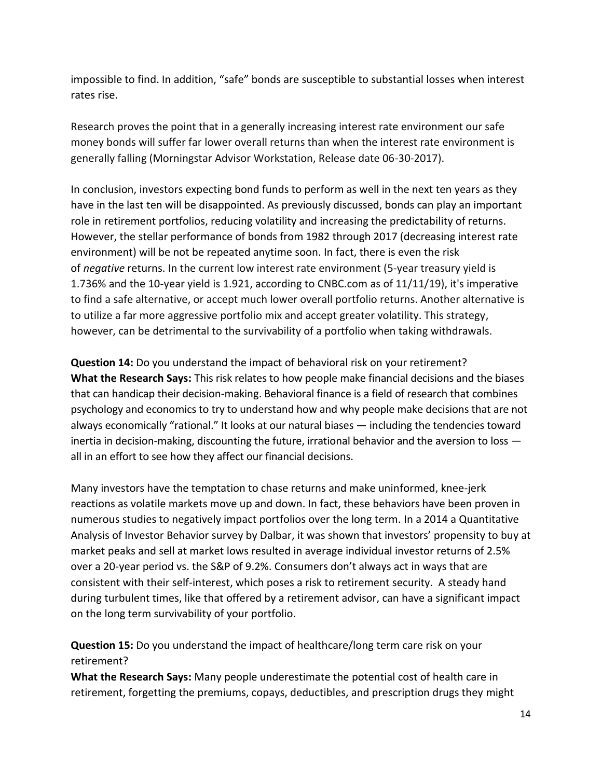impossible to find. In addition, "safe" bonds are susceptible to substantial losses when interest rates rise.

Research proves the point that in a generally increasing interest rate environment our safe money bonds will suffer far lower overall returns than when the interest rate environment is generally falling (Morningstar Advisor Workstation, Release date 06-30-2017).

In conclusion, investors expecting bond funds to perform as well in the next ten years as they have in the last ten will be disappointed. As previously discussed, bonds can play an important role in retirement portfolios, reducing volatility and increasing the predictability of returns. However, the stellar performance of bonds from 1982 through 2017 (decreasing interest rate environment) will be not be repeated anytime soon. In fact, there is even the risk of *negative* returns. In the current low interest rate environment (5-year treasury yield is 1.736% and the 10-year yield is 1.921, according to CNBC.com as of 11/11/19), it's imperative to find a safe alternative, or accept much lower overall portfolio returns. Another alternative is to utilize a far more aggressive portfolio mix and accept greater volatility. This strategy, however, can be detrimental to the survivability of a portfolio when taking withdrawals.

**Question 14:** Do you understand the impact of behavioral risk on your retirement? **What the Research Says:** This risk relates to how people make financial decisions and the biases that can handicap their decision-making. Behavioral finance is a field of research that combines psychology and economics to try to understand how and why people make decisions that are not always economically "rational." It looks at our natural biases — including the tendencies toward inertia in decision-making, discounting the future, irrational behavior and the aversion to loss all in an effort to see how they affect our financial decisions.

Many investors have the temptation to chase returns and make uninformed, knee-jerk reactions as volatile markets move up and down. In fact, these behaviors have been proven in numerous studies to negatively impact portfolios over the long term. In a 2014 a Quantitative Analysis of Investor Behavior survey by Dalbar, it was shown that investors' propensity to buy at market peaks and sell at market lows resulted in average individual investor returns of 2.5% over a 20-year period vs. the S&P of 9.2%. Consumers don't always act in ways that are consistent with their self-interest, which poses a risk to retirement security. A steady hand during turbulent times, like that offered by a retirement advisor, can have a significant impact on the long term survivability of your portfolio.

**Question 15:** Do you understand the impact of healthcare/long term care risk on your retirement?

**What the Research Says:** Many people underestimate the potential cost of health care in retirement, forgetting the premiums, copays, deductibles, and prescription drugs they might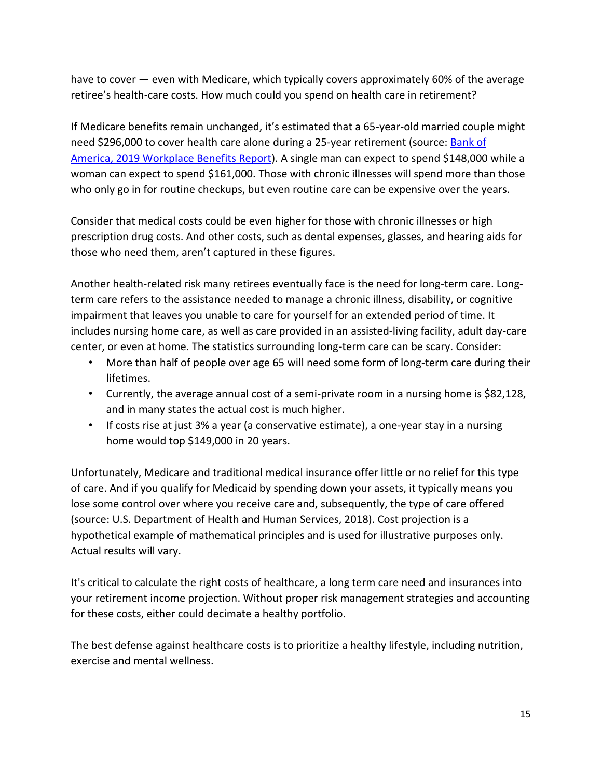have to cover — even with Medicare, which typically covers approximately 60% of the average retiree's health-care costs. How much could you spend on health care in retirement?

If Medicare benefits remain unchanged, it's estimated that a 65-year-old married couple might need \$296,000 to cover health care alone during a 25-year retirement (source: [Bank of](https://www.benefitplans.baml.com/publish/content/application/pdf/GWMOL/2019WorkplaceBenefitsReport.pdf)  [America, 2019 Workplace Benefits Report\)](https://www.benefitplans.baml.com/publish/content/application/pdf/GWMOL/2019WorkplaceBenefitsReport.pdf). A single man can expect to spend \$148,000 while a woman can expect to spend \$161,000. Those with chronic illnesses will spend more than those who only go in for routine checkups, but even routine care can be expensive over the years.

Consider that medical costs could be even higher for those with chronic illnesses or high prescription drug costs. And other costs, such as dental expenses, glasses, and hearing aids for those who need them, aren't captured in these figures.

Another health-related risk many retirees eventually face is the need for long-term care. Longterm care refers to the assistance needed to manage a chronic illness, disability, or cognitive impairment that leaves you unable to care for yourself for an extended period of time. It includes nursing home care, as well as care provided in an assisted-living facility, adult day-care center, or even at home. The statistics surrounding long-term care can be scary. Consider:

- More than half of people over age 65 will need some form of long-term care during their lifetimes.
- Currently, the average annual cost of a semi-private room in a nursing home is \$82,128, and in many states the actual cost is much higher.
- If costs rise at just 3% a year (a conservative estimate), a one-year stay in a nursing home would top \$149,000 in 20 years.

Unfortunately, Medicare and traditional medical insurance offer little or no relief for this type of care. And if you qualify for Medicaid by spending down your assets, it typically means you lose some control over where you receive care and, subsequently, the type of care offered (source: U.S. Department of Health and Human Services, 2018). Cost projection is a hypothetical example of mathematical principles and is used for illustrative purposes only. Actual results will vary.

It's critical to calculate the right costs of healthcare, a long term care need and insurances into your retirement income projection. Without proper risk management strategies and accounting for these costs, either could decimate a healthy portfolio.

The best defense against healthcare costs is to prioritize a healthy lifestyle, including nutrition, exercise and mental wellness.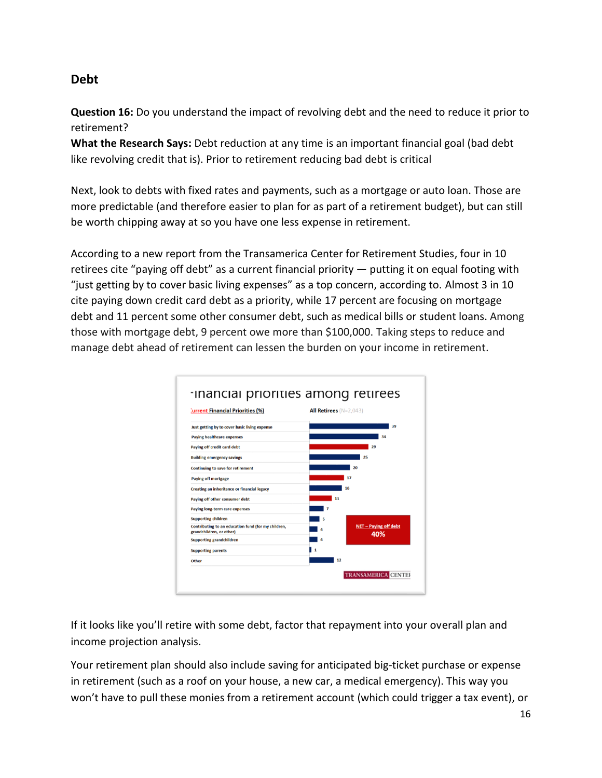## **Debt**

**Question 16:** Do you understand the impact of revolving debt and the need to reduce it prior to retirement?

**What the Research Says:** Debt reduction at any time is an important financial goal (bad debt like revolving credit that is). Prior to retirement reducing bad debt is critical

Next, look to debts with fixed rates and payments, such as a mortgage or auto loan. Those are more predictable (and therefore easier to plan for as part of a retirement budget), but can still be worth chipping away at so you have one less expense in retirement.

According to a new report from the Transamerica Center for Retirement Studies, four in 10 retirees cite "paying off debt" as a current financial priority — putting it on equal footing with "just getting by to cover basic living expenses" as a top concern, according to. Almost 3 in 10 cite paying down credit card debt as a priority, while 17 percent are focusing on mortgage debt and 11 percent some other consumer debt, such as medical bills or student loans. Among those with mortgage debt, 9 percent owe more than \$100,000. Taking steps to reduce and manage debt ahead of retirement can lessen the burden on your income in retirement.



If it looks like you'll retire with some debt, factor that repayment into your overall plan and income projection analysis.

Your retirement plan should also include saving for anticipated big-ticket purchase or expense in retirement (such as a roof on your house, a new car, a medical emergency). This way you won't have to pull these monies from a retirement account (which could trigger a tax event), or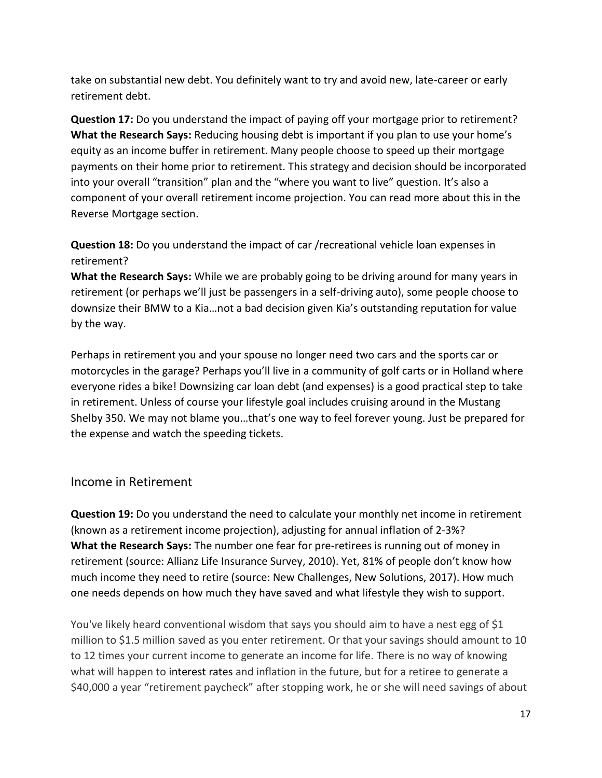take on substantial new debt. You definitely want to try and avoid new, late-career or early retirement debt.

**Question 17:** Do you understand the impact of paying off your mortgage prior to retirement? **What the Research Says:** Reducing housing debt is important if you plan to use your home's equity as an income buffer in retirement. Many people choose to speed up their mortgage payments on their home prior to retirement. This strategy and decision should be incorporated into your overall "transition" plan and the "where you want to live" question. It's also a component of your overall retirement income projection. You can read more about this in the Reverse Mortgage section.

**Question 18:** Do you understand the impact of car /recreational vehicle loan expenses in retirement?

**What the Research Says:** While we are probably going to be driving around for many years in retirement (or perhaps we'll just be passengers in a self-driving auto), some people choose to downsize their BMW to a Kia…not a bad decision given Kia's outstanding reputation for value by the way.

Perhaps in retirement you and your spouse no longer need two cars and the sports car or motorcycles in the garage? Perhaps you'll live in a community of golf carts or in Holland where everyone rides a bike! Downsizing car loan debt (and expenses) is a good practical step to take in retirement. Unless of course your lifestyle goal includes cruising around in the Mustang Shelby 350. We may not blame you…that's one way to feel forever young. Just be prepared for the expense and watch the speeding tickets.

### Income in Retirement

**Question 19:** Do you understand the need to calculate your monthly net income in retirement (known as a retirement income projection), adjusting for annual inflation of 2-3%? **What the Research Says:** The number one fear for pre-retirees is running out of money in retirement (source: Allianz Life Insurance Survey, 2010). Yet, 81% of people don't know how much income they need to retire (source: New Challenges, New Solutions, 2017). How much one needs depends on how much they have saved and what lifestyle they wish to support.

You've likely heard conventional wisdom that says you should aim to have a nest egg of \$1 million to \$1.5 million saved as you enter retirement. Or that your savings should amount to 10 to 12 times your current income to generate an income for life. There is no way of knowing what will happen to interest rates and inflation in the future, but for a retiree to generate a \$40,000 a year "retirement paycheck" after stopping work, he or she will need savings of about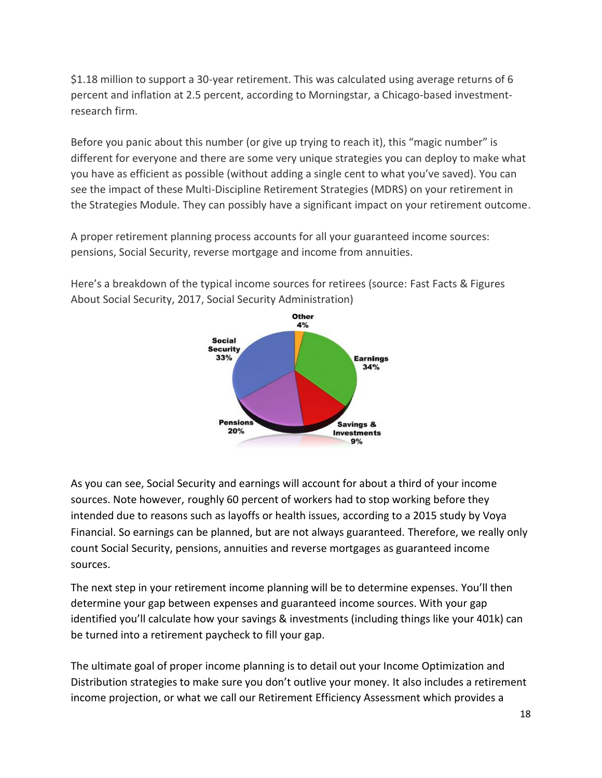\$1.18 million to support a 30-year retirement. This was calculated using average returns of 6 percent and inflation at 2.5 percent, according to Morningstar, a Chicago-based investmentresearch firm.

Before you panic about this number (or give up trying to reach it), this "magic number" is different for everyone and there are some very unique strategies you can deploy to make what you have as efficient as possible (without adding a single cent to what you've saved). You can see the impact of these Multi-Discipline Retirement Strategies (MDRS) on your retirement in the Strategies Module. They can possibly have a significant impact on your retirement outcome.

A proper retirement planning process accounts for all your guaranteed income sources: pensions, Social Security, reverse mortgage and income from annuities.

![](_page_17_Figure_3.jpeg)

Here's a breakdown of the typical income sources for retirees (source: Fast Facts & Figures About Social Security, 2017, Social Security Administration)

As you can see, Social Security and earnings will account for about a third of your income sources. Note however, roughly 60 percent of workers had to stop working before they intended due to reasons such as layoffs or health issues, according to a 2015 study by Voya Financial. So earnings can be planned, but are not always guaranteed. Therefore, we really only count Social Security, pensions, annuities and reverse mortgages as guaranteed income sources.

The next step in your retirement income planning will be to determine expenses. You'll then determine your gap between expenses and guaranteed income sources. With your gap identified you'll calculate how your savings & investments (including things like your 401k) can be turned into a retirement paycheck to fill your gap.

The ultimate goal of proper income planning is to detail out your Income Optimization and Distribution strategies to make sure you don't outlive your money. It also includes a retirement income projection, or what we call our Retirement Efficiency Assessment which provides a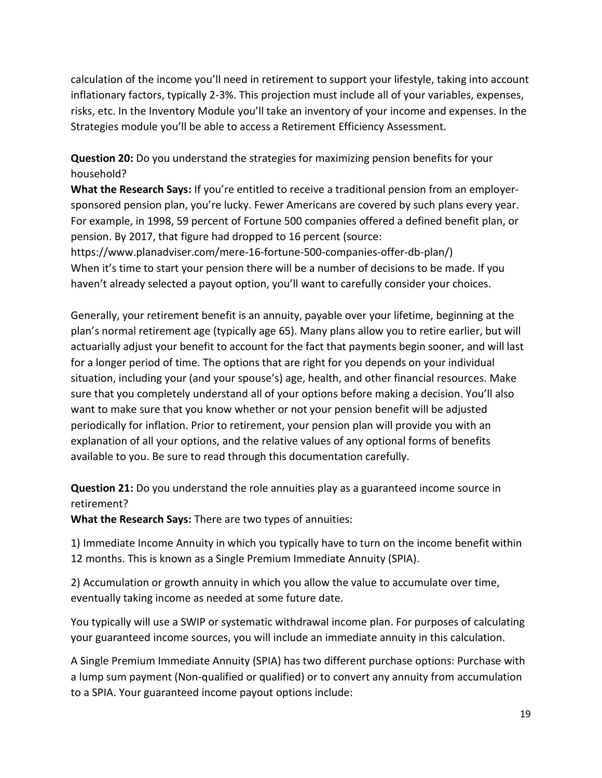calculation of the income you'll need in retirement to support your lifestyle, taking into account inflationary factors, typically 2-3%. This projection must include all of your variables, expenses, risks, etc. In the Inventory Module you'll take an inventory of your income and expenses. In the Strategies module you'll be able to access a Retirement Efficiency Assessment.

**Question 20:** Do you understand the strategies for maximizing pension benefits for your household?

**What the Research Says:** If you're entitled to receive a traditional pension from an employersponsored pension plan, you're lucky. Fewer Americans are covered by such plans every year. For example, in 1998, 59 percent of Fortune 500 companies offered a defined benefit plan, or pension. By 2017, that figure had dropped to 16 percent (source:

https://www.planadviser.com/mere-16-fortune-500-companies-offer-db-plan/) When it's time to start your pension there will be a number of decisions to be made. If you haven't already selected a payout option, you'll want to carefully consider your choices.

Generally, your retirement benefit is an annuity, payable over your lifetime, beginning at the plan's normal retirement age (typically age 65). Many plans allow you to retire earlier, but will actuarially adjust your benefit to account for the fact that payments begin sooner, and will last for a longer period of time. The options that are right for you depends on your individual situation, including your (and your spouse's) age, health, and other financial resources. Make sure that you completely understand all of your options before making a decision. You'll also want to make sure that you know whether or not your pension benefit will be adjusted periodically for inflation. Prior to retirement, your pension plan will provide you with an explanation of all your options, and the relative values of any optional forms of benefits available to you. Be sure to read through this documentation carefully.

**Question 21:** Do you understand the role annuities play as a guaranteed income source in retirement?

**What the Research Says:** There are two types of annuities:

1) Immediate Income Annuity in which you typically have to turn on the income benefit within 12 months. This is known as a Single Premium Immediate Annuity (SPIA).

2) Accumulation or growth annuity in which you allow the value to accumulate over time, eventually taking income as needed at some future date.

You typically will use a SWIP or systematic withdrawal income plan. For purposes of calculating your guaranteed income sources, you will include an immediate annuity in this calculation.

A Single Premium Immediate Annuity (SPIA) has two different purchase options: Purchase with a lump sum payment (Non-qualified or qualified) or to convert any annuity from accumulation to a SPIA. Your guaranteed income payout options include: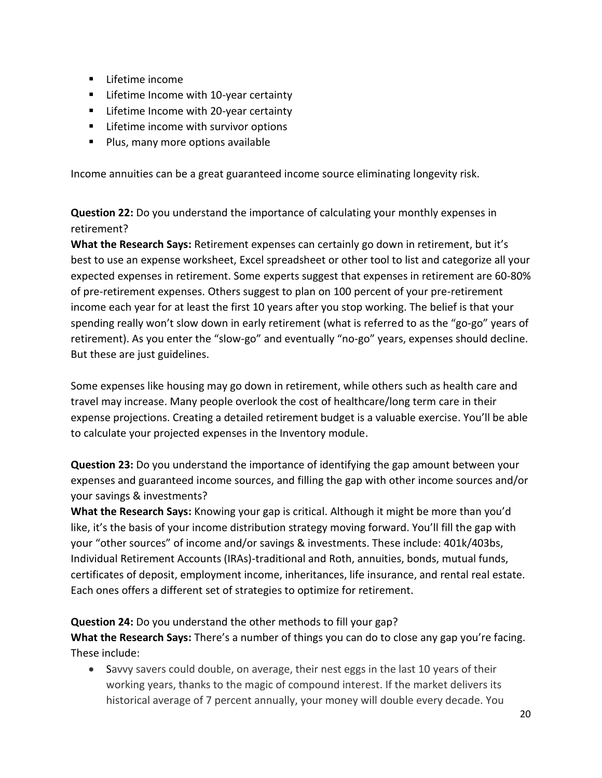- Lifetime income
- Lifetime Income with 10-year certainty
- Lifetime Income with 20-year certainty
- Lifetime income with survivor options
- Plus, many more options available

Income annuities can be a great guaranteed income source eliminating longevity risk.

**Question 22:** Do you understand the importance of calculating your monthly expenses in retirement?

**What the Research Says:** Retirement expenses can certainly go down in retirement, but it's best to use an expense worksheet, Excel spreadsheet or other tool to list and categorize all your expected expenses in retirement. Some experts suggest that expenses in retirement are 60-80% of pre-retirement expenses. Others suggest to plan on 100 percent of your pre-retirement income each year for at least the first 10 years after you stop working. The belief is that your spending really won't slow down in early retirement (what is referred to as the "go-go" years of retirement). As you enter the "slow-go" and eventually "no-go" years, expenses should decline. But these are just guidelines.

Some expenses like housing may go down in retirement, while others such as health care and travel may increase. Many people overlook the cost of healthcare/long term care in their expense projections. Creating a detailed retirement budget is a valuable exercise. You'll be able to calculate your projected expenses in the Inventory module.

**Question 23:** Do you understand the importance of identifying the gap amount between your expenses and guaranteed income sources, and filling the gap with other income sources and/or your savings & investments?

**What the Research Says:** Knowing your gap is critical. Although it might be more than you'd like, it's the basis of your income distribution strategy moving forward. You'll fill the gap with your "other sources" of income and/or savings & investments. These include: 401k/403bs, Individual Retirement Accounts (IRAs)-traditional and Roth, annuities, bonds, mutual funds, certificates of deposit, employment income, inheritances, life insurance, and rental real estate. Each ones offers a different set of strategies to optimize for retirement.

**Question 24:** Do you understand the other methods to fill your gap?

**What the Research Says:** There's a number of things you can do to close any gap you're facing. These include:

• Savvy savers could double, on average, their nest eggs in the last 10 years of their working years, thanks to the magic of compound interest. If the market delivers its historical average of 7 percent annually, your money will double every decade. You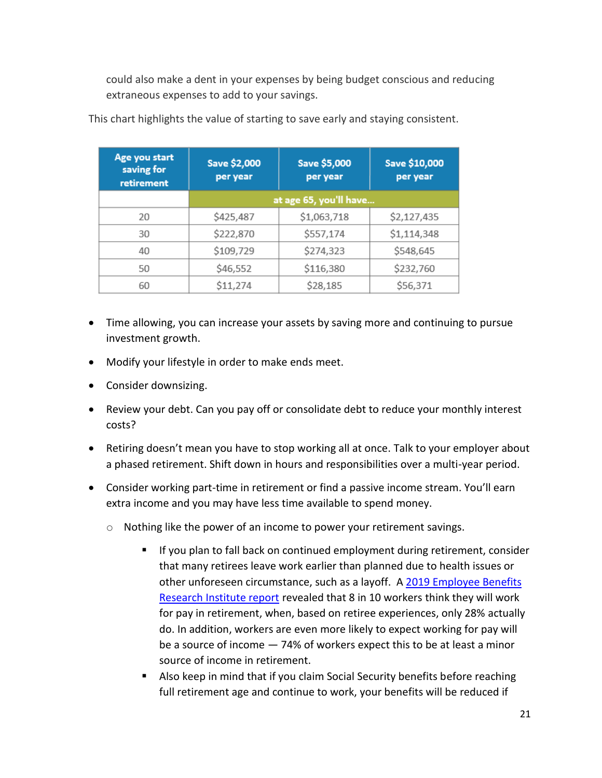could also make a dent in your expenses by being budget conscious and reducing extraneous expenses to add to your savings.

| Age you start<br>saving for<br>retirement | Save \$2,000<br>per year | Save \$5,000<br>per year | Save \$10,000<br>per year |
|-------------------------------------------|--------------------------|--------------------------|---------------------------|
|                                           | at age 65, you'll have   |                          |                           |
| 20                                        | \$425,487                | \$1,063,718              | \$2,127,435               |
| 30                                        | \$222,870                | \$557,174                | \$1,114,348               |
| 40                                        | \$109,729                | \$274,323                | \$548,645                 |
| 50                                        | \$46,552                 | \$116,380                | \$232,760                 |
| 60                                        | \$11,274                 | \$28,185                 | \$56,371                  |

This chart highlights the value of starting to save early and staying consistent.

- Time allowing, you can increase your assets by saving more and continuing to pursue investment growth.
- Modify your lifestyle in order to make ends meet.
- Consider downsizing.
- Review your debt. Can you pay off or consolidate debt to reduce your monthly interest costs?
- Retiring doesn't mean you have to stop working all at once. Talk to your employer about a phased retirement. Shift down in hours and responsibilities over a multi-year period.
- Consider working part-time in retirement or find a passive income stream. You'll earn extra income and you may have less time available to spend money.
	- o Nothing like the power of an income to power your retirement savings.
		- If you plan to fall back on continued employment during retirement, consider that many retirees leave work earlier than planned due to health issues or other unforeseen circumstance, such as a layoff. A 2019 Employee Benefits [Research Institute report](https://www.ebri.org/docs/default-source/rcs/2019-rcs/2019-rcs-short-report.pdf) revealed that 8 in 10 workers think they will work for pay in retirement, when, based on retiree experiences, only 28% actually do. In addition, workers are even more likely to expect working for pay will be a source of income — 74% of workers expect this to be at least a minor source of income in retirement.
		- Also keep in mind that if you claim Social Security benefits before reaching full retirement age and continue to work, your benefits will be reduced if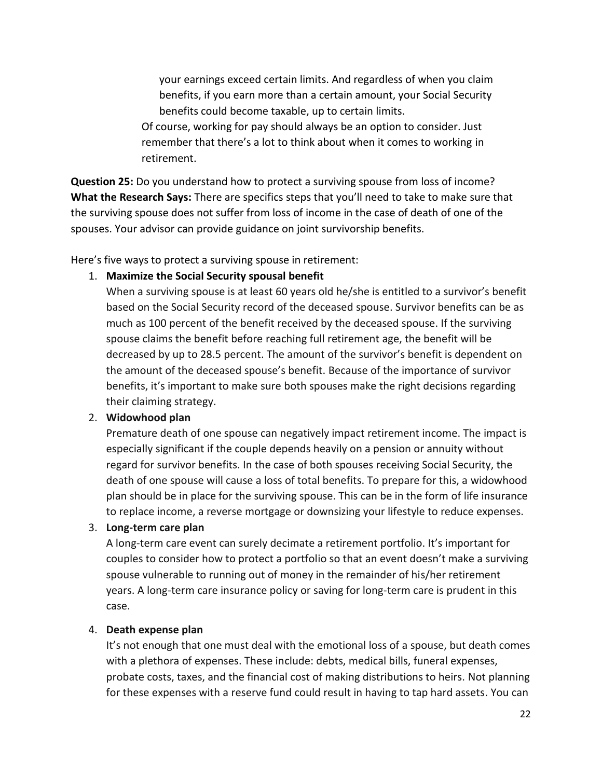your earnings exceed certain limits. And regardless of when you claim benefits, if you earn more than a certain amount, your Social Security benefits could become taxable, up to certain limits.

Of course, working for pay should always be an option to consider. Just remember that there's a lot to think about when it comes to working in retirement.

**Question 25:** Do you understand how to protect a surviving spouse from loss of income? **What the Research Says:** There are specifics steps that you'll need to take to make sure that the surviving spouse does not suffer from loss of income in the case of death of one of the spouses. Your advisor can provide guidance on joint survivorship benefits.

Here's five ways to protect a surviving spouse in retirement:

#### 1. **Maximize the Social Security spousal benefit**

When a surviving spouse is at least 60 years old he/she is entitled to a survivor's benefit based on the Social Security record of the deceased spouse. Survivor benefits can be as much as 100 percent of the benefit received by the deceased spouse. If the surviving spouse claims the benefit before reaching full retirement age, the benefit will be decreased by up to 28.5 percent. The amount of the survivor's benefit is dependent on the amount of the deceased spouse's benefit. Because of the importance of survivor benefits, it's important to make sure both spouses make the right decisions regarding their claiming strategy.

#### 2. **Widowhood plan**

Premature death of one spouse can negatively impact retirement income. The impact is especially significant if the couple depends heavily on a pension or annuity without regard for survivor benefits. In the case of both spouses receiving Social Security, the death of one spouse will cause a loss of total benefits. To prepare for this, a widowhood plan should be in place for the surviving spouse. This can be in the form of life insurance to replace income, a reverse mortgage or downsizing your lifestyle to reduce expenses.

#### 3. **Long-term care plan**

A long-term care event can surely decimate a retirement portfolio. It's important for couples to consider how to protect a portfolio so that an event doesn't make a surviving spouse vulnerable to running out of money in the remainder of his/her retirement years. A long-term care insurance policy or saving for long-term care is prudent in this case.

#### 4. **Death expense plan**

It's not enough that one must deal with the emotional loss of a spouse, but death comes with a plethora of expenses. These include: debts, medical bills, funeral expenses, probate costs, taxes, and the financial cost of making distributions to heirs. Not planning for these expenses with a reserve fund could result in having to tap hard assets. You can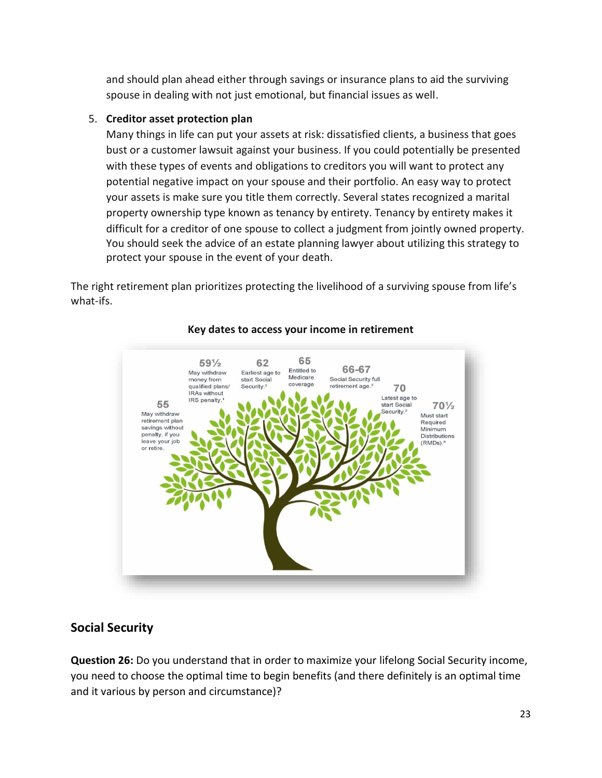and should plan ahead either through savings or insurance plans to aid the surviving spouse in dealing with not just emotional, but financial issues as well.

### 5. **Creditor asset protection plan**

Many things in life can put your assets at risk: dissatisfied clients, a business that goes bust or a customer lawsuit against your business. If you could potentially be presented with these types of events and obligations to creditors you will want to protect any potential negative impact on your spouse and their portfolio. An easy way to protect your assets is make sure you title them correctly. Several states recognized a marital property ownership type known as tenancy by entirety. Tenancy by entirety makes it difficult for a creditor of one spouse to collect a judgment from jointly owned property. You should seek the advice of an estate planning lawyer about utilizing this strategy to protect your spouse in the event of your death.

The right retirement plan prioritizes protecting the livelihood of a surviving spouse from life's what-ifs.

![](_page_22_Figure_4.jpeg)

### **Key dates to access your income in retirement**

# **Social Security**

**Question 26:** Do you understand that in order to maximize your lifelong Social Security income, you need to choose the optimal time to begin benefits (and there definitely is an optimal time and it various by person and circumstance)?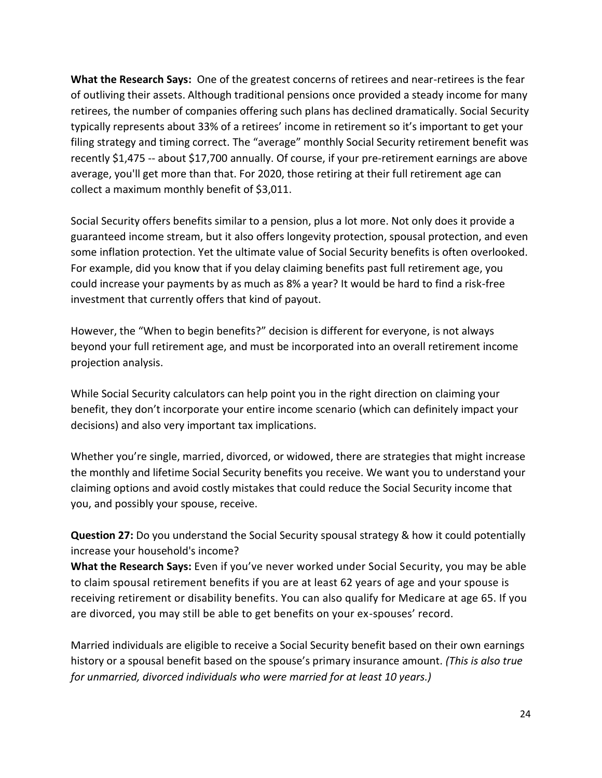**What the Research Says:** One of the greatest concerns of retirees and near-retirees is the fear of outliving their assets. Although traditional pensions once provided a steady income for many retirees, the number of companies offering such plans has declined dramatically. Social Security typically represents about 33% of a retirees' income in retirement so it's important to get your filing strategy and timing correct. The "average" monthly Social Security retirement benefit was recently \$1,475 -- about \$17,700 annually. Of course, if your pre-retirement earnings are above average, you'll get more than that. For 2020, those retiring at their full retirement age can collect a maximum monthly benefit of \$3,011.

Social Security offers benefits similar to a pension, plus a lot more. Not only does it provide a guaranteed income stream, but it also offers longevity protection, spousal protection, and even some inflation protection. Yet the ultimate value of Social Security benefits is often overlooked. For example, did you know that if you delay claiming benefits past full retirement age, you could increase your payments by as much as 8% a year? It would be hard to find a risk-free investment that currently offers that kind of payout.

However, the "When to begin benefits?" decision is different for everyone, is not always beyond your full retirement age, and must be incorporated into an overall retirement income projection analysis.

While Social Security calculators can help point you in the right direction on claiming your benefit, they don't incorporate your entire income scenario (which can definitely impact your decisions) and also very important tax implications.

Whether you're single, married, divorced, or widowed, there are strategies that might increase the monthly and lifetime Social Security benefits you receive. We want you to understand your claiming options and avoid costly mistakes that could reduce the Social Security income that you, and possibly your spouse, receive.

**Question 27:** Do you understand the Social Security spousal strategy & how it could potentially increase your household's income?

**What the Research Says:** Even if you've never worked under Social Security, you may be able to claim spousal retirement benefits if you are at least 62 years of age and your spouse is receiving retirement or disability benefits. You can also qualify for Medicare at age 65. If you are divorced, you may still be able to get benefits on your ex-spouses' record.

Married individuals are eligible to receive a Social Security benefit based on their own earnings history or a spousal benefit based on the spouse's primary insurance amount. *(This is also true for unmarried, divorced individuals who were married for at least 10 years.)*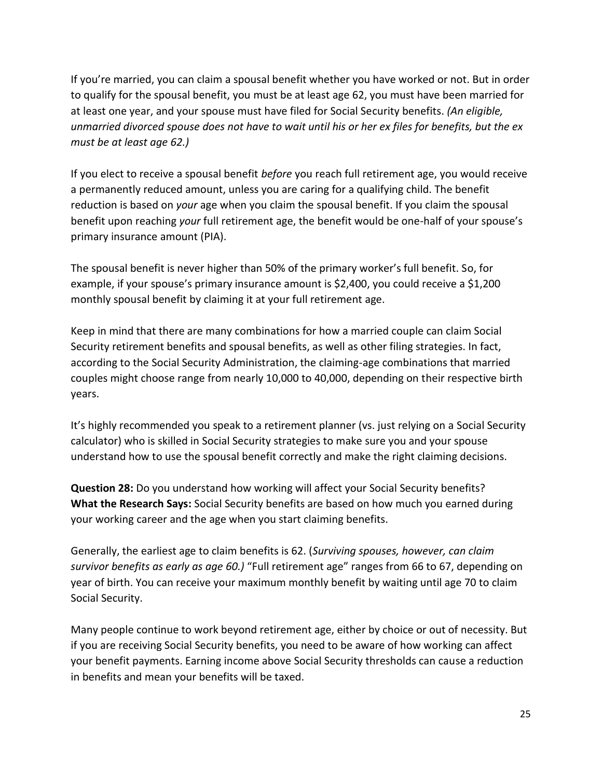If you're married, you can claim a spousal benefit whether you have worked or not. But in order to qualify for the spousal benefit, you must be at least age 62, you must have been married for at least one year, and your spouse must have filed for Social Security benefits. *(An eligible, unmarried divorced spouse does not have to wait until his or her ex files for benefits, but the ex must be at least age 62.)*

If you elect to receive a spousal benefit *before* you reach full retirement age, you would receive a permanently reduced amount, unless you are caring for a qualifying child. The benefit reduction is based on *your* age when you claim the spousal benefit. If you claim the spousal benefit upon reaching *your* full retirement age, the benefit would be one-half of your spouse's primary insurance amount (PIA).

The spousal benefit is never higher than 50% of the primary worker's full benefit. So, for example, if your spouse's primary insurance amount is \$2,400, you could receive a \$1,200 monthly spousal benefit by claiming it at your full retirement age.

Keep in mind that there are many combinations for how a married couple can claim Social Security retirement benefits and spousal benefits, as well as other filing strategies. In fact, according to the Social Security Administration, the claiming-age combinations that married couples might choose range from nearly 10,000 to 40,000, depending on their respective birth years.

It's highly recommended you speak to a retirement planner (vs. just relying on a Social Security calculator) who is skilled in Social Security strategies to make sure you and your spouse understand how to use the spousal benefit correctly and make the right claiming decisions.

**Question 28:** Do you understand how working will affect your Social Security benefits? **What the Research Says:** Social Security benefits are based on how much you earned during your working career and the age when you start claiming benefits.

Generally, the earliest age to claim benefits is 62. (*Surviving spouses, however, can claim survivor benefits as early as age 60.)* "Full retirement age" ranges from 66 to 67, depending on year of birth. You can receive your maximum monthly benefit by waiting until age 70 to claim Social Security.

Many people continue to work beyond retirement age, either by choice or out of necessity. But if you are receiving Social Security benefits, you need to be aware of how working can affect your benefit payments. Earning income above Social Security thresholds can cause a reduction in benefits and mean your benefits will be taxed.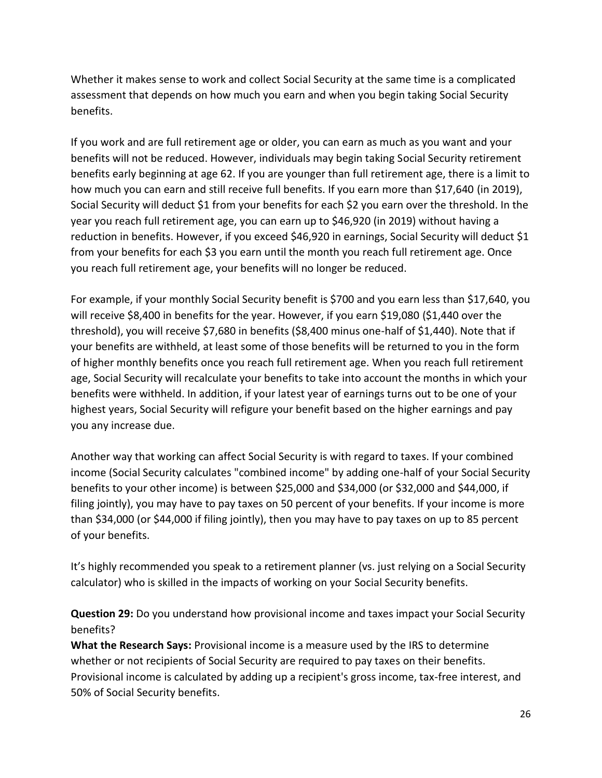Whether it makes sense to work and collect Social Security at the same time is a complicated assessment that depends on how much you earn and when you begin taking Social Security benefits.

If you work and are full retirement age or older, you can earn as much as you want and your benefits will not be reduced. However, individuals may begin taking Social Security retirement benefits early beginning at age 62. If you are younger than full retirement age, there is a limit to how much you can earn and still receive full benefits. If you earn more than \$17,640 (in 2019), Social Security will deduct \$1 from your benefits for each \$2 you earn over the threshold. In the year you reach full retirement age, you can earn up to \$46,920 (in 2019) without having a reduction in benefits. However, if you exceed \$46,920 in earnings, Social Security will deduct \$1 from your benefits for each \$3 you earn until the month you reach full retirement age. Once you reach full retirement age, your benefits will no longer be reduced.

For example, if your monthly Social Security benefit is \$700 and you earn less than \$17,640, you will receive \$8,400 in benefits for the year. However, if you earn \$19,080 (\$1,440 over the threshold), you will receive \$7,680 in benefits (\$8,400 minus one-half of \$1,440). Note that if your benefits are withheld, at least some of those benefits will be returned to you in the form of higher monthly benefits once you reach full retirement age. When you reach full retirement age, Social Security will recalculate your benefits to take into account the months in which your benefits were withheld. In addition, if your latest year of earnings turns out to be one of your highest years, Social Security will refigure your benefit based on the higher earnings and pay you any increase due.

Another way that working can affect Social Security is with regard to taxes. If your combined income (Social Security calculates "combined income" by adding one-half of your Social Security benefits to your other income) is between \$25,000 and \$34,000 (or \$32,000 and \$44,000, if filing jointly), you may have to pay taxes on 50 percent of your benefits. If your income is more than \$34,000 (or \$44,000 if filing jointly), then you may have to pay taxes on up to 85 percent of your benefits.

It's highly recommended you speak to a retirement planner (vs. just relying on a Social Security calculator) who is skilled in the impacts of working on your Social Security benefits.

**Question 29:** Do you understand how provisional income and taxes impact your Social Security benefits?

**What the Research Says:** Provisional income is a measure used by the IRS to determine whether or not recipients of Social Security are required to pay taxes on their benefits. Provisional income is calculated by adding up a recipient's gross income, tax-free interest, and 50% of Social Security benefits.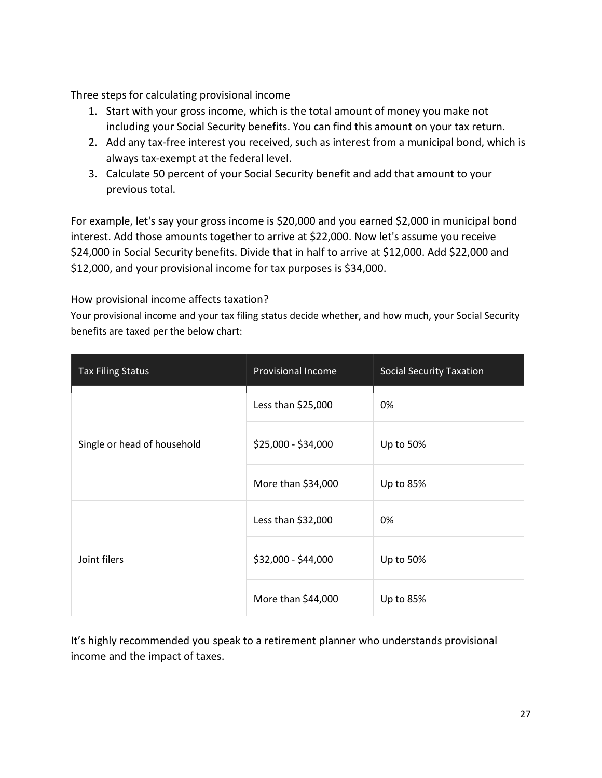Three steps for calculating provisional income

- 1. Start with your gross income, which is the total amount of money you make not including your Social Security benefits. You can find this amount on your tax return.
- 2. Add any tax-free interest you received, such as interest from a municipal bond, which is always tax-exempt at the federal level.
- 3. Calculate 50 percent of your Social Security benefit and add that amount to your previous total.

For example, let's say your gross income is \$20,000 and you earned \$2,000 in municipal bond interest. Add those amounts together to arrive at \$22,000. Now let's assume you receive \$24,000 in Social Security benefits. Divide that in half to arrive at \$12,000. Add \$22,000 and \$12,000, and your provisional income for tax purposes is \$34,000.

How provisional income affects taxation?

Your provisional income and your tax filing status decide whether, and how much, your Social Security benefits are taxed per the below chart:

| <b>Tax Filing Status</b>    | <b>Provisional Income</b> | <b>Social Security Taxation</b> |  |
|-----------------------------|---------------------------|---------------------------------|--|
| Single or head of household | Less than \$25,000        | 0%                              |  |
|                             | \$25,000 - \$34,000       | Up to 50%                       |  |
|                             | More than \$34,000        | Up to 85%                       |  |
|                             | Less than \$32,000        | 0%                              |  |
| Joint filers                | \$32,000 - \$44,000       | Up to 50%                       |  |
|                             | More than \$44,000        | Up to 85%                       |  |

It's highly recommended you speak to a retirement planner who understands provisional income and the impact of taxes.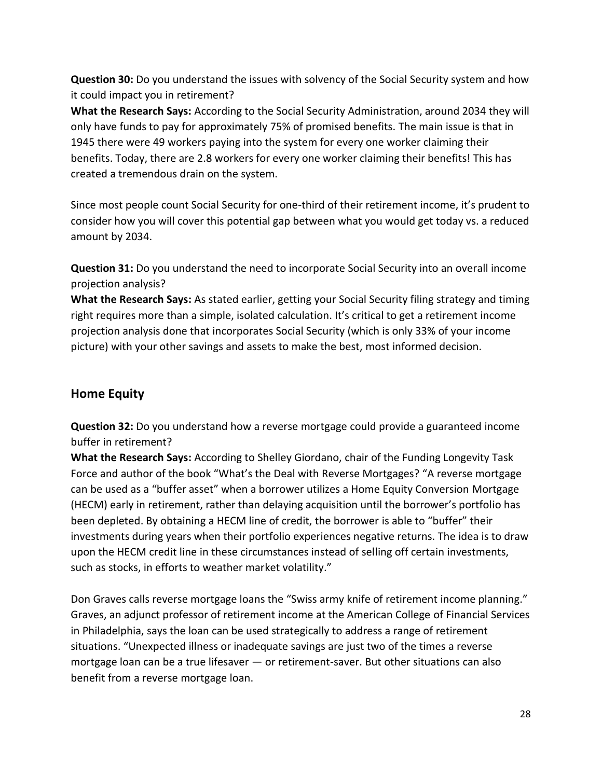**Question 30:** Do you understand the issues with solvency of the Social Security system and how it could impact you in retirement?

**What the Research Says:** According to the Social Security Administration, around 2034 they will only have funds to pay for approximately 75% of promised benefits. The main issue is that in 1945 there were 49 workers paying into the system for every one worker claiming their benefits. Today, there are 2.8 workers for every one worker claiming their benefits! This has created a tremendous drain on the system.

Since most people count Social Security for one-third of their retirement income, it's prudent to consider how you will cover this potential gap between what you would get today vs. a reduced amount by 2034.

**Question 31:** Do you understand the need to incorporate Social Security into an overall income projection analysis?

**What the Research Says:** As stated earlier, getting your Social Security filing strategy and timing right requires more than a simple, isolated calculation. It's critical to get a retirement income projection analysis done that incorporates Social Security (which is only 33% of your income picture) with your other savings and assets to make the best, most informed decision.

## **Home Equity**

**Question 32:** Do you understand how a reverse mortgage could provide a guaranteed income buffer in retirement?

**What the Research Says:** According to Shelley Giordano, chair of the Funding Longevity Task Force and author of the book "What's the Deal with Reverse Mortgages? "A reverse mortgage can be used as a "buffer asset" when a borrower utilizes a Home Equity Conversion Mortgage (HECM) early in retirement, rather than delaying acquisition until the borrower's portfolio has been depleted. By obtaining a HECM line of credit, the borrower is able to "buffer" their investments during years when their portfolio experiences negative returns. The idea is to draw upon the HECM credit line in these circumstances instead of selling off certain investments, such as stocks, in efforts to weather market volatility."

Don Graves calls reverse mortgage loans the "Swiss army knife of retirement income planning." Graves, an adjunct professor of retirement income at the American College of Financial Services in Philadelphia, says the loan can be used strategically to address a range of retirement situations. "Unexpected illness or inadequate savings are just two of the times a reverse mortgage loan can be a true lifesaver — or retirement-saver. But other situations can also benefit from a reverse mortgage loan.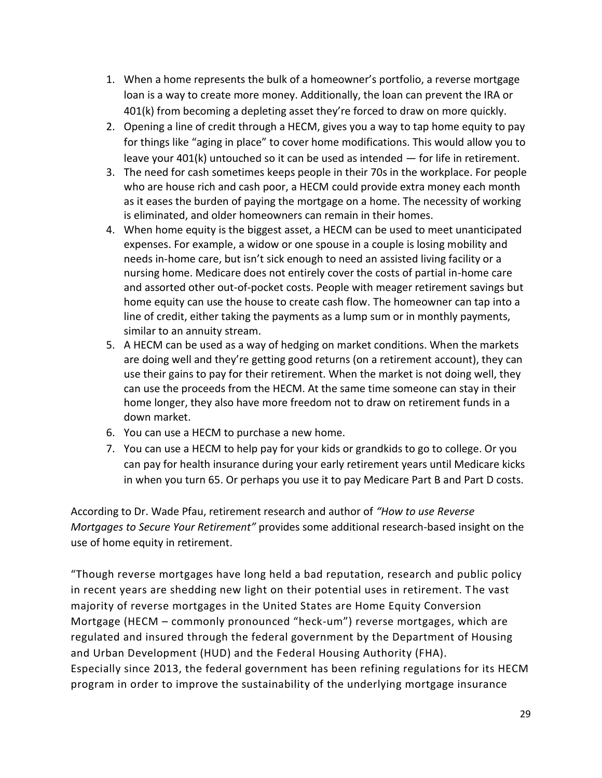- 1. When a home represents the bulk of a homeowner's portfolio, a reverse mortgage loan is a way to create more money. Additionally, the loan can prevent the IRA or 401(k) from becoming a depleting asset they're forced to draw on more quickly.
- 2. Opening a line of credit through a HECM, gives you a way to tap home equity to pay for things like "aging in place" to cover home modifications. This would allow you to leave your 401(k) untouched so it can be used as intended — for life in retirement.
- 3. The need for cash sometimes keeps people in their 70s in the workplace. For people who are house rich and cash poor, a HECM could provide extra money each month as it eases the burden of paying the mortgage on a home. The necessity of working is eliminated, and older homeowners can remain in their homes.
- 4. When home equity is the biggest asset, a HECM can be used to meet unanticipated expenses. For example, a widow or one spouse in a couple is losing mobility and needs in-home care, but isn't sick enough to need an assisted living facility or a nursing home. Medicare does not entirely cover the costs of partial in-home care and assorted other out-of-pocket costs. People with meager retirement savings but home equity can use the house to create cash flow. The homeowner can tap into a line of credit, either taking the payments as a lump sum or in monthly payments, similar to an annuity stream.
- 5. A HECM can be used as a way of hedging on market conditions. When the markets are doing well and they're getting good returns (on a retirement account), they can use their gains to pay for their retirement. When the market is not doing well, they can use the proceeds from the HECM. At the same time someone can stay in their home longer, they also have more freedom not to draw on retirement funds in a down market.
- 6. You can use a HECM to purchase a new home.
- 7. You can use a HECM to help pay for your kids or grandkids to go to college. Or you can pay for health insurance during your early retirement years until Medicare kicks in when you turn 65. Or perhaps you use it to pay Medicare Part B and Part D costs.

According to Dr. Wade Pfau, retirement research and author of *"How to use Reverse Mortgages to Secure Your Retirement"* provides some additional research-based insight on the use of home equity in retirement.

"Though reverse mortgages have long held a bad reputation, research and public policy in recent years are shedding new light on their potential uses in retirement. The vast majority of reverse mortgages in the United States are Home Equity Conversion Mortgage (HECM – commonly pronounced "heck-um") reverse mortgages, which are regulated and insured through the federal government by the Department of Housing and Urban Development (HUD) and the Federal Housing Authority (FHA). Especially since 2013, the federal government has been refining regulations for its HECM program in order to improve the sustainability of the underlying mortgage insurance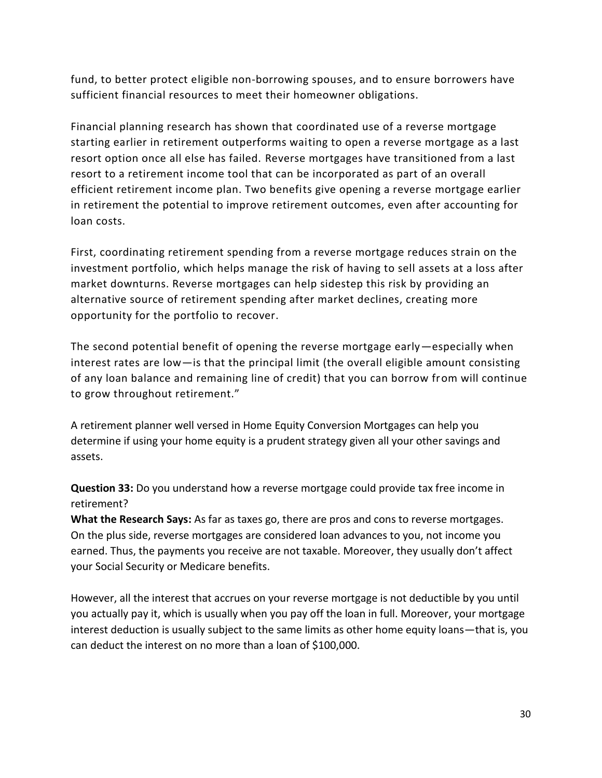fund, to better protect eligible non-borrowing spouses, and to ensure borrowers have sufficient financial resources to meet their homeowner obligations.

Financial planning research has shown that coordinated use of a reverse mortgage starting earlier in retirement outperforms waiting to open a reverse mortgage as a last resort option once all else has failed. Reverse mortgages have transitioned from a last resort to a retirement income tool that can be incorporated as part of an overall efficient retirement income plan. Two benefits give opening a reverse mortgage earlier in retirement the potential to improve retirement outcomes, even after accounting for loan costs.

First, coordinating retirement spending from a reverse mortgage reduces strain on the investment portfolio, which helps manage the risk of having to sell assets at a loss after market downturns. Reverse mortgages can help sidestep this risk by providing an alternative source of retirement spending after market declines, creating more opportunity for the portfolio to recover.

The second potential benefit of opening the reverse mortgage early—especially when interest rates are low—is that the principal limit (the overall eligible amount consisting of any loan balance and remaining line of credit) that you can borrow from will continue to grow throughout retirement."

A retirement planner well versed in Home Equity Conversion Mortgages can help you determine if using your home equity is a prudent strategy given all your other savings and assets.

**Question 33:** Do you understand how a reverse mortgage could provide tax free income in retirement?

**What the Research Says:** As far as taxes go, there are pros and cons to reverse mortgages. On the plus side, reverse mortgages are considered loan advances to you, not income you earned. Thus, the payments you receive are not taxable. Moreover, they usually don't affect your Social Security or Medicare benefits.

However, all the interest that accrues on your reverse mortgage is not deductible by you until you actually pay it, which is usually when you pay off the loan in full. Moreover, your mortgage interest deduction is usually subject to the same limits as other home equity loans—that is, you can deduct the interest on no more than a loan of \$100,000.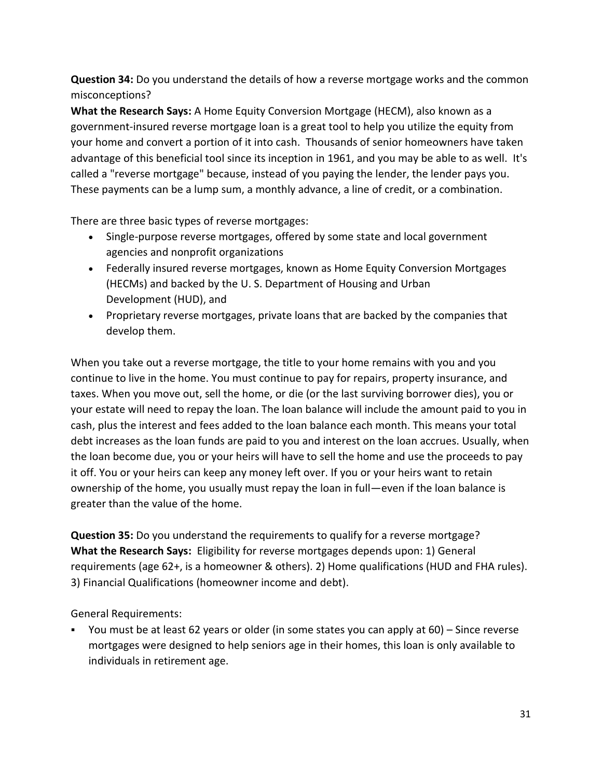**Question 34:** Do you understand the details of how a reverse mortgage works and the common misconceptions?

**What the Research Says:** A Home Equity Conversion Mortgage (HECM), also known as a government-insured reverse mortgage loan is a great tool to help you utilize the equity from your home and convert a portion of it into cash. Thousands of senior homeowners have taken advantage of this beneficial tool since its inception in 1961, and you may be able to as well. It's called a "reverse mortgage" because, instead of you paying the lender, the lender pays you. These payments can be a lump sum, a monthly advance, a line of credit, or a combination.

There are three basic types of reverse mortgages:

- Single-purpose reverse mortgages, offered by some state and local government agencies and nonprofit organizations
- Federally insured reverse mortgages, known as Home Equity Conversion Mortgages (HECMs) and backed by the U. S. Department of Housing and Urban Development (HUD), and
- Proprietary reverse mortgages, private loans that are backed by the companies that develop them.

When you take out a reverse mortgage, the title to your home remains with you and you continue to live in the home. You must continue to pay for repairs, property insurance, and taxes. When you move out, sell the home, or die (or the last surviving borrower dies), you or your estate will need to repay the loan. The loan balance will include the amount paid to you in cash, plus the interest and fees added to the loan balance each month. This means your total debt increases as the loan funds are paid to you and interest on the loan accrues. Usually, when the loan become due, you or your heirs will have to sell the home and use the proceeds to pay it off. You or your heirs can keep any money left over. If you or your heirs want to retain ownership of the home, you usually must repay the loan in full—even if the loan balance is greater than the value of the home.

**Question 35:** Do you understand the requirements to qualify for a reverse mortgage? **What the Research Says:** Eligibility for reverse mortgages depends upon: 1) General requirements (age 62+, is a homeowner & others). 2) Home qualifications (HUD and FHA rules). 3) Financial Qualifications (homeowner income and debt).

General Requirements:

You must be at least 62 years or older (in some states you can apply at 60) – Since reverse mortgages were designed to help seniors age in their homes, this loan is only available to individuals in retirement age.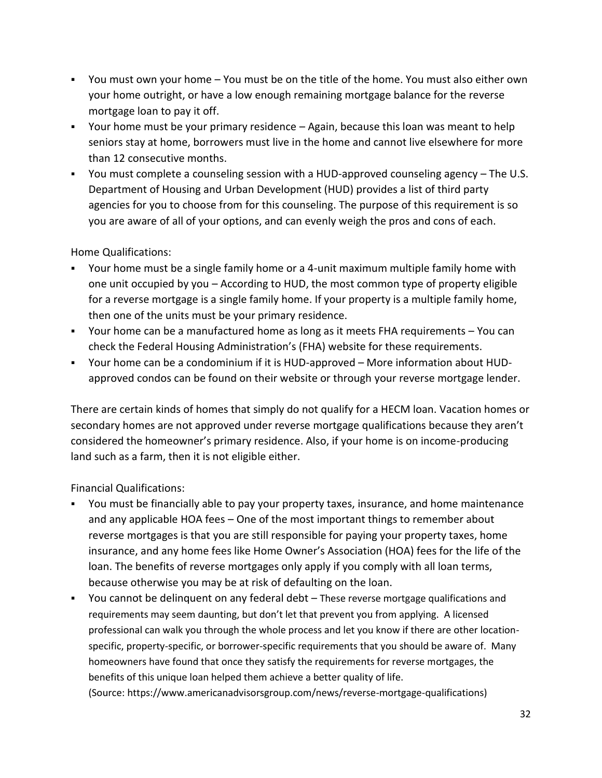- You must own your home You must be on the title of the home. You must also either own your home outright, or have a low enough remaining mortgage balance for the reverse mortgage loan to pay it off.
- Your home must be your primary residence Again, because this loan was meant to help seniors stay at home, borrowers must live in the home and cannot live elsewhere for more than 12 consecutive months.
- You must complete a counseling session with a HUD-approved counseling agency The U.S. Department of Housing and Urban Development (HUD) provides a list of third party agencies for you to choose from for this counseling. The purpose of this requirement is so you are aware of all of your options, and can evenly weigh the pros and cons of each.

Home Qualifications:

- Your home must be a single family home or a 4-unit maximum multiple family home with one unit occupied by you – According to HUD, the most common type of property eligible for a reverse mortgage is a single family home. If your property is a multiple family home, then one of the units must be your primary residence.
- Your home can be a manufactured home as long as it meets FHA requirements You can check the Federal Housing Administration's (FHA) website for these requirements.
- Your home can be a condominium if it is HUD-approved More information about HUDapproved condos can be found on their website or through your reverse mortgage lender.

There are certain kinds of homes that simply do not qualify for a HECM loan. Vacation homes or secondary homes are not approved under reverse mortgage qualifications because they aren't considered the homeowner's primary residence. Also, if your home is on income-producing land such as a farm, then it is not eligible either.

Financial Qualifications:

- You must be financially able to pay your property taxes, insurance, and home maintenance and any applicable HOA fees – One of the most important things to remember about reverse mortgages is that you are still responsible for paying your property taxes, home insurance, and any home fees like Home Owner's Association (HOA) fees for the life of the loan. The benefits of reverse mortgages only apply if you comply with all loan terms, because otherwise you may be at risk of defaulting on the loan.
- You cannot be delinquent on any federal debt These reverse mortgage qualifications and requirements may seem daunting, but don't let that prevent you from applying. A licensed professional can walk you through the whole process and let you know if there are other locationspecific, property-specific, or borrower-specific requirements that you should be aware of. Many homeowners have found that once they satisfy the requirements for reverse mortgages, the benefits of this unique loan helped them achieve a better quality of life.

(Source: [https://www.americanadvisorsgroup.com/news/reverse-mortgage-qualifications\)](https://www.americanadvisorsgroup.com/news/reverse-mortgage-qualifications)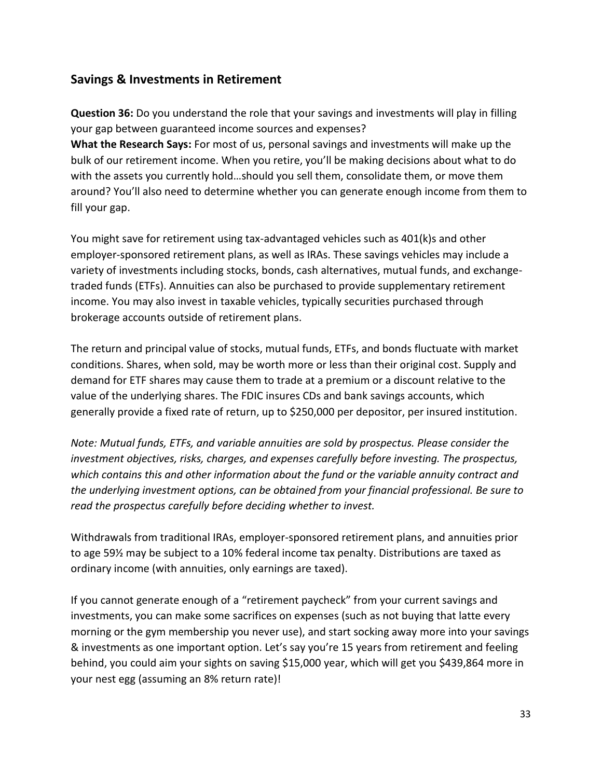# **Savings & Investments in Retirement**

**Question 36:** Do you understand the role that your savings and investments will play in filling your gap between guaranteed income sources and expenses?

**What the Research Says:** For most of us, personal savings and investments will make up the bulk of our retirement income. When you retire, you'll be making decisions about what to do with the assets you currently hold…should you sell them, consolidate them, or move them around? You'll also need to determine whether you can generate enough income from them to fill your gap.

You might save for retirement using tax-advantaged vehicles such as 401(k)s and other employer-sponsored retirement plans, as well as IRAs. These savings vehicles may include a variety of investments including stocks, bonds, cash alternatives, mutual funds, and exchangetraded funds (ETFs). Annuities can also be purchased to provide supplementary retirement income. You may also invest in taxable vehicles, typically securities purchased through brokerage accounts outside of retirement plans.

The return and principal value of stocks, mutual funds, ETFs, and bonds fluctuate with market conditions. Shares, when sold, may be worth more or less than their original cost. Supply and demand for ETF shares may cause them to trade at a premium or a discount relative to the value of the underlying shares. The FDIC insures CDs and bank savings accounts, which generally provide a fixed rate of return, up to \$250,000 per depositor, per insured institution.

*Note: Mutual funds, ETFs, and variable annuities are sold by prospectus. Please consider the investment objectives, risks, charges, and expenses carefully before investing. The prospectus, which contains this and other information about the fund or the variable annuity contract and the underlying investment options, can be obtained from your financial professional. Be sure to read the prospectus carefully before deciding whether to invest.*

Withdrawals from traditional IRAs, employer-sponsored retirement plans, and annuities prior to age 59½ may be subject to a 10% federal income tax penalty. Distributions are taxed as ordinary income (with annuities, only earnings are taxed).

If you cannot generate enough of a "retirement paycheck" from your current savings and investments, you can make some sacrifices on expenses (such as not buying that latte every morning or the gym membership you never use), and start socking away more into your savings & investments as one important option. Let's say you're 15 years from retirement and feeling behind, you could aim your sights on saving \$15,000 year, which will get you \$439,864 more in your nest egg (assuming an 8% return rate)!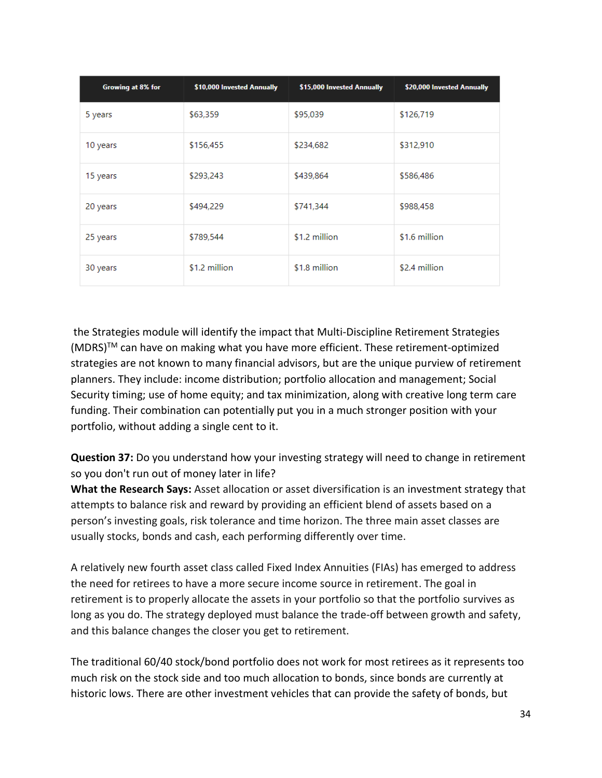| Growing at 8% for | \$10,000 Invested Annually | \$15,000 Invested Annually | \$20,000 Invested Annually |
|-------------------|----------------------------|----------------------------|----------------------------|
| 5 years           | \$63,359                   | \$95,039                   | \$126,719                  |
| 10 years          | \$156,455                  | \$234,682                  | \$312,910                  |
| 15 years          | \$293,243                  | \$439,864                  | \$586,486                  |
| 20 years          | \$494,229                  | \$741,344                  | \$988,458                  |
| 25 years          | \$789,544                  | \$1.2 million              | \$1.6 million              |
| 30 years          | \$1.2 million              | \$1.8 million              | \$2.4 million              |

the Strategies module will identify the impact that Multi-Discipline Retirement Strategies  $(MDRS)^{TM}$  can have on making what you have more efficient. These retirement-optimized strategies are not known to many financial advisors, but are the unique purview of retirement planners. They include: income distribution; portfolio allocation and management; Social Security timing; use of home equity; and tax minimization, along with creative long term care funding. Their combination can potentially put you in a much stronger position with your portfolio, without adding a single cent to it.

**Question 37:** Do you understand how your investing strategy will need to change in retirement so you don't run out of money later in life?

**What the Research Says:** Asset allocation or asset diversification is an investment strategy that attempts to balance risk and reward by providing an efficient blend of assets based on a person's investing goals, risk tolerance and time horizon. The three main asset classes are usually stocks, bonds and cash, each performing differently over time.

A relatively new fourth asset class called Fixed Index Annuities (FIAs) has emerged to address the need for retirees to have a more secure income source in retirement. The goal in retirement is to properly allocate the assets in your portfolio so that the portfolio survives as long as you do. The strategy deployed must balance the trade-off between growth and safety, and this balance changes the closer you get to retirement.

The traditional 60/40 stock/bond portfolio does not work for most retirees as it represents too much risk on the stock side and too much allocation to bonds, since bonds are currently at historic lows. There are other investment vehicles that can provide the safety of bonds, but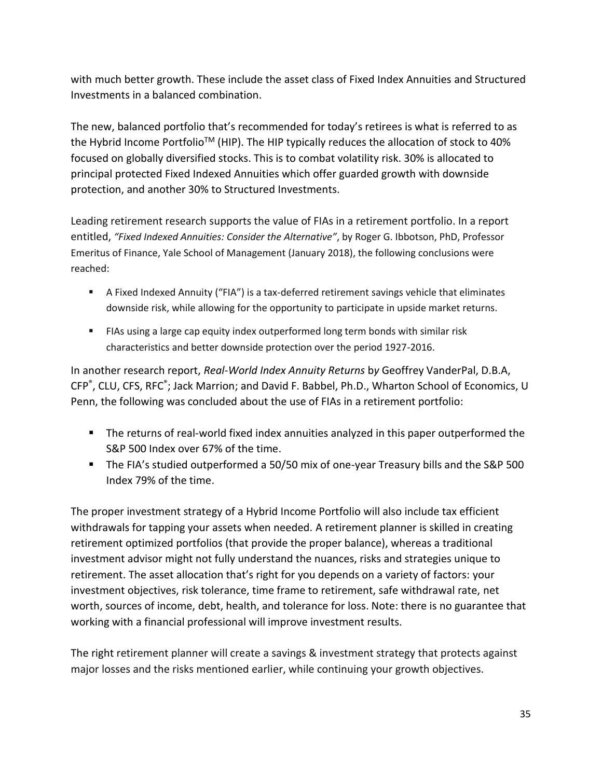with much better growth. These include the asset class of Fixed Index Annuities and Structured Investments in a balanced combination.

The new, balanced portfolio that's recommended for today's retirees is what is referred to as the Hybrid Income Portfolio<sup>TM</sup> (HIP). The HIP typically reduces the allocation of stock to 40% focused on globally diversified stocks. This is to combat volatility risk. 30% is allocated to principal protected Fixed Indexed Annuities which offer guarded growth with downside protection, and another 30% to Structured Investments.

Leading retirement research supports the value of FIAs in a retirement portfolio. In a report entitled, *"Fixed Indexed Annuities: Consider the Alternative"*, by Roger G. Ibbotson, PhD, Professor Emeritus of Finance, Yale School of Management (January 2018), the following conclusions were reached:

- A Fixed Indexed Annuity ("FIA") is a tax-deferred retirement savings vehicle that eliminates downside risk, while allowing for the opportunity to participate in upside market returns.
- **EXTEND 19 IS 20 IF 12 IS 20 IS 20 IS 20 IS 20 IS 20 IS 20 IS 20 IS 20 IS 20 IS 20 IS 20 IS 20 IS 20 IS 20 IS 20 IS 20 IS 20 IS 20 IS 20 IS 20 IS 20 IS 20 IS 20 IS 20 IS 20 IS 20 IS 20 IS 20 IS 20 IS 20 IS 20 IS 20 IS 20 I** characteristics and better downside protection over the period 1927-2016.

In another research report, *Real-World Index Annuity Returns* b*y* Geoffrey VanderPal, D.B.A, CFP<sup>®</sup>, CLU, CFS, RFC<sup>®</sup>; Jack Marrion; and David F. Babbel, Ph.D., Wharton School of Economics, U Penn, the following was concluded about the use of FIAs in a retirement portfolio:

- The returns of real-world fixed index annuities analyzed in this paper outperformed the S&P 500 Index over 67% of the time.
- The FIA's studied outperformed a 50/50 mix of one-year Treasury bills and the S&P 500 Index 79% of the time.

The proper investment strategy of a Hybrid Income Portfolio will also include tax efficient withdrawals for tapping your assets when needed. A retirement planner is skilled in creating retirement optimized portfolios (that provide the proper balance), whereas a traditional investment advisor might not fully understand the nuances, risks and strategies unique to retirement. The asset allocation that's right for you depends on a variety of factors: your investment objectives, risk tolerance, time frame to retirement, safe withdrawal rate, net worth, sources of income, debt, health, and tolerance for loss. Note: there is no guarantee that working with a financial professional will improve investment results.

The right retirement planner will create a savings & investment strategy that protects against major losses and the risks mentioned earlier, while continuing your growth objectives.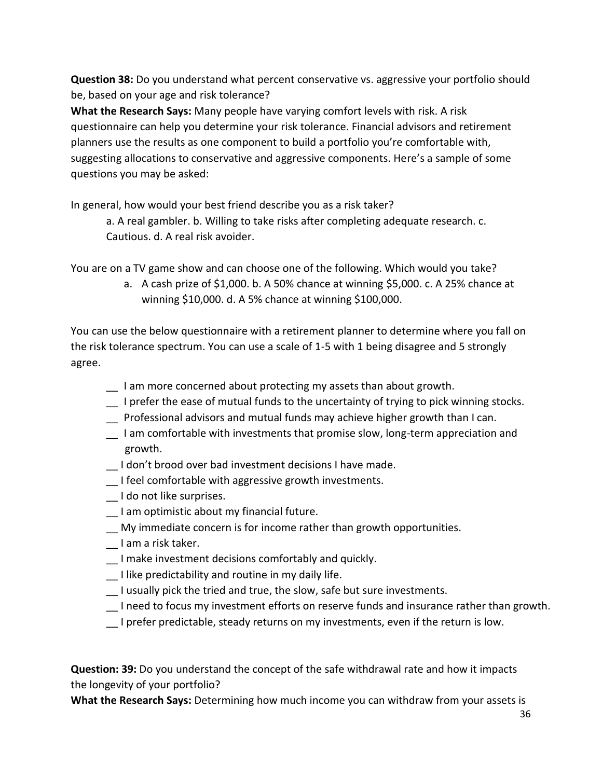**Question 38:** Do you understand what percent conservative vs. aggressive your portfolio should be, based on your age and risk tolerance?

**What the Research Says:** Many people have varying comfort levels with risk. A risk questionnaire can help you determine your risk tolerance. Financial advisors and retirement planners use the results as one component to build a portfolio you're comfortable with, suggesting allocations to conservative and aggressive components. Here's a sample of some questions you may be asked:

In general, how would your best friend describe you as a risk taker?

a. A real gambler. b. Willing to take risks after completing adequate research. c. Cautious. d. A real risk avoider.

You are on a TV game show and can choose one of the following. Which would you take?

a. A cash prize of \$1,000. b. A 50% chance at winning \$5,000. c. A 25% chance at winning \$10,000. d. A 5% chance at winning \$100,000.

You can use the below questionnaire with a retirement planner to determine where you fall on the risk tolerance spectrum. You can use a scale of 1-5 with 1 being disagree and 5 strongly agree.

- \_\_ I am more concerned about protecting my assets than about growth.
- \_\_ I prefer the ease of mutual funds to the uncertainty of trying to pick winning stocks.
- \_\_ Professional advisors and mutual funds may achieve higher growth than I can.
- I am comfortable with investments that promise slow, long-term appreciation and growth.
- I don't brood over bad investment decisions I have made.
- \_\_ I feel comfortable with aggressive growth investments.
- \_\_ I do not like surprises.
- \_\_ I am optimistic about my financial future.
- \_\_ My immediate concern is for income rather than growth opportunities.
- \_\_ I am a risk taker.
- \_\_ I make investment decisions comfortably and quickly.
- \_\_ I like predictability and routine in my daily life.
- \_\_ I usually pick the tried and true, the slow, safe but sure investments.
- \_\_ I need to focus my investment efforts on reserve funds and insurance rather than growth.
- I prefer predictable, steady returns on my investments, even if the return is low.

**Question: 39:** Do you understand the concept of the safe withdrawal rate and how it impacts the longevity of your portfolio?

**What the Research Says:** Determining how much income you can withdraw from your assets is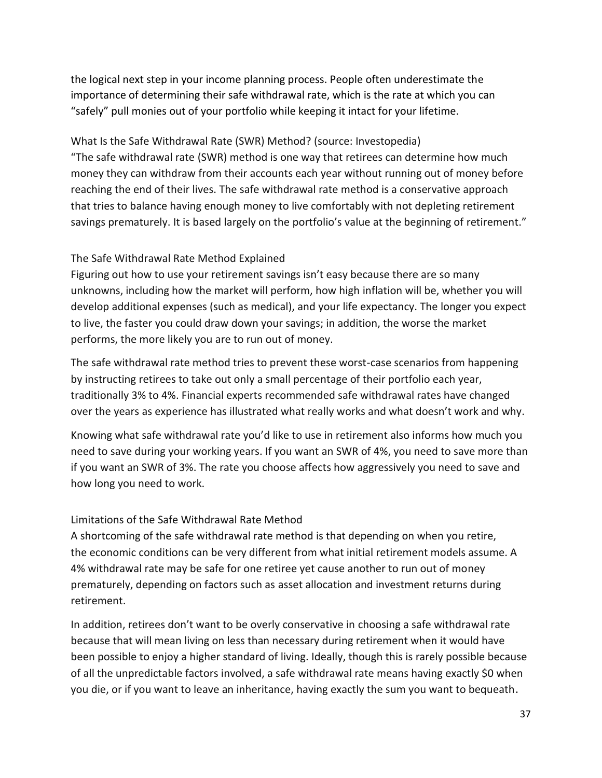the logical next step in your income planning process. People often underestimate the importance of determining their safe withdrawal rate, which is the rate at which you can "safely" pull monies out of your portfolio while keeping it intact for your lifetime.

What Is the Safe Withdrawal Rate (SWR) Method? (source: Investopedia) "The safe withdrawal rate (SWR) method is one way that retirees can determine how much money they can withdraw from their accounts each year without running out of money before reaching the end of their lives. The safe withdrawal rate method is a conservative approach that tries to balance having enough money to live comfortably with not depleting retirement savings prematurely. It is based largely on the portfolio's value at the beginning of retirement."

#### The Safe Withdrawal Rate Method Explained

Figuring out how to use your retirement savings isn't easy because there are so many unknowns, including how the market will perform, how high inflation will be, whether you will develop additional expenses (such as medical), and your life expectancy. The longer you expect to live, the faster you could draw down your savings; in addition, the worse the market performs, the more likely you are to run out of money.

The safe withdrawal rate method tries to prevent these worst-case scenarios from happening by instructing retirees to take out only a small percentage of their portfolio each year, traditionally 3% to 4%. Financial experts recommended safe withdrawal rates have changed over the years as experience has illustrated what really works and what doesn't work and why.

Knowing what safe withdrawal rate you'd like to use in retirement also informs how much you need to save during your working years. If you want an SWR of 4%, you need to save more than if you want an SWR of 3%. The rate you choose affects how aggressively you need to save and how long you need to work.

#### Limitations of the Safe Withdrawal Rate Method

A shortcoming of the safe withdrawal rate method is that depending on when you retire, the economic conditions can be very different from what initial retirement models assume. A 4% withdrawal rate may be safe for one retiree yet cause another to run out of money prematurely, depending on factors such as asset allocation and investment returns during retirement.

In addition, retirees don't want to be overly conservative in choosing a safe withdrawal rate because that will mean living on less than necessary during retirement when it would have been possible to enjoy a higher standard of living. Ideally, though this is rarely possible because of all the unpredictable factors involved, a safe withdrawal rate means having exactly \$0 when you die, or if you want to leave an inheritance, having exactly the sum you want to bequeath.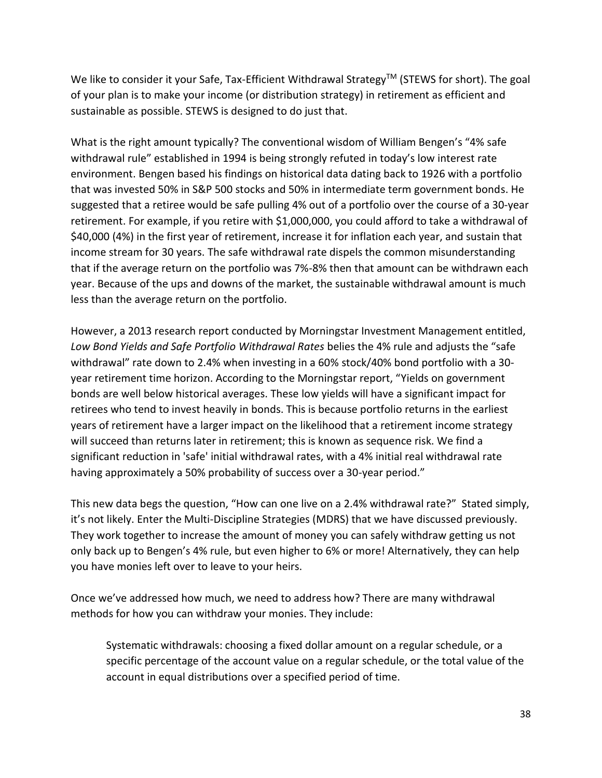We like to consider it your Safe, Tax-Efficient Withdrawal Strategy™ (STEWS for short). The goal of your plan is to make your income (or distribution strategy) in retirement as efficient and sustainable as possible. STEWS is designed to do just that.

What is the right amount typically? The conventional wisdom of William Bengen's "4% safe withdrawal rule" established in 1994 is being strongly refuted in today's low interest rate environment. Bengen based his findings on historical data dating back to 1926 with a portfolio that was invested 50% in S&P 500 stocks and 50% in intermediate term government bonds. He suggested that a retiree would be safe pulling 4% out of a portfolio over the course of a 30-year retirement. For example, if you retire with \$1,000,000, you could afford to take a withdrawal of \$40,000 (4%) in the first year of retirement, increase it for inflation each year, and sustain that income stream for 30 years. The safe withdrawal rate dispels the common misunderstanding that if the average return on the portfolio was 7%-8% then that amount can be withdrawn each year. Because of the ups and downs of the market, the sustainable withdrawal amount is much less than the average return on the portfolio.

However, a 2013 research report conducted by Morningstar Investment Management entitled, *Low Bond Yields and Safe Portfolio Withdrawal Rates* belies the 4% rule and adjusts the "safe withdrawal" rate down to 2.4% when investing in a 60% stock/40% bond portfolio with a 30 year retirement time horizon. According to the Morningstar report, "Yields on government bonds are well below historical averages. These low yields will have a significant impact for retirees who tend to invest heavily in bonds. This is because portfolio returns in the earliest years of retirement have a larger impact on the likelihood that a retirement income strategy will succeed than returns later in retirement; this is known as sequence risk. We find a significant reduction in 'safe' initial withdrawal rates, with a 4% initial real withdrawal rate having approximately a 50% probability of success over a 30-year period."

This new data begs the question, "How can one live on a 2.4% withdrawal rate?" Stated simply, it's not likely. Enter the Multi-Discipline Strategies (MDRS) that we have discussed previously. They work together to increase the amount of money you can safely withdraw getting us not only back up to Bengen's 4% rule, but even higher to 6% or more! Alternatively, they can help you have monies left over to leave to your heirs.

Once we've addressed how much, we need to address how? There are many withdrawal methods for how you can withdraw your monies. They include:

Systematic withdrawals: choosing a fixed dollar amount on a regular schedule, or a specific percentage of the account value on a regular schedule, or the total value of the account in equal distributions over a specified period of time.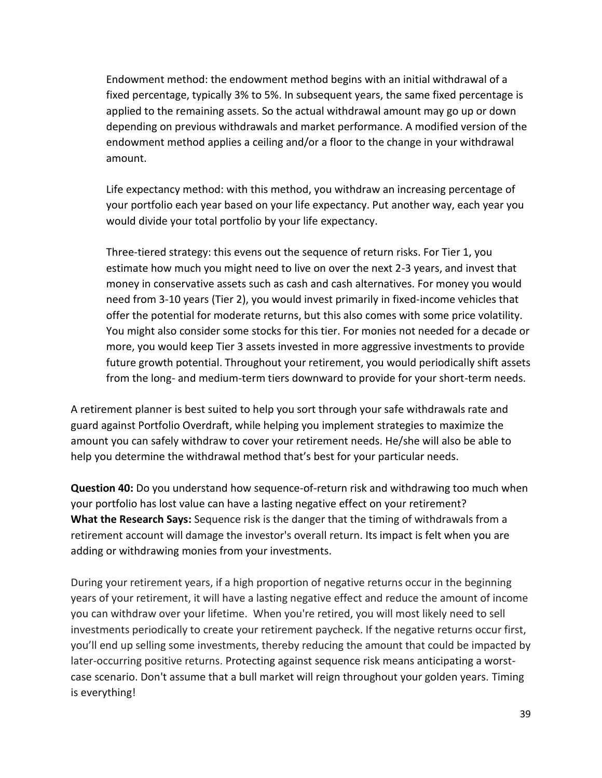Endowment method: the endowment method begins with an initial withdrawal of a fixed percentage, typically 3% to 5%. In subsequent years, the same fixed percentage is applied to the remaining assets. So the actual withdrawal amount may go up or down depending on previous withdrawals and market performance. A modified version of the endowment method applies a ceiling and/or a floor to the change in your withdrawal amount.

Life expectancy method: with this method, you withdraw an increasing percentage of your portfolio each year based on your life expectancy. Put another way, each year you would divide your total portfolio by your life expectancy.

Three-tiered strategy: this evens out the sequence of return risks. For Tier 1, you estimate how much you might need to live on over the next 2-3 years, and invest that money in conservative assets such as cash and cash alternatives. For money you would need from 3-10 years (Tier 2), you would invest primarily in fixed-income vehicles that offer the potential for moderate returns, but this also comes with some price volatility. You might also consider some stocks for this tier. For monies not needed for a decade or more, you would keep Tier 3 assets invested in more aggressive investments to provide future growth potential. Throughout your retirement, you would periodically shift assets from the long- and medium-term tiers downward to provide for your short-term needs.

A retirement planner is best suited to help you sort through your safe withdrawals rate and guard against Portfolio Overdraft, while helping you implement strategies to maximize the amount you can safely withdraw to cover your retirement needs. He/she will also be able to help you determine the withdrawal method that's best for your particular needs.

**Question 40:** Do you understand how sequence-of-return risk and withdrawing too much when your portfolio has lost value can have a lasting negative effect on your retirement? **What the Research Says:** Sequence risk is the danger that the timing of withdrawals from a retirement account will damage the investor's overall return. Its impact is felt when you are adding or withdrawing monies from your investments.

During your retirement years, if a high proportion of negative returns occur in the beginning years of your retirement, it will have a lasting negative effect and reduce the amount of income you can withdraw over your lifetime. When you're retired, you will most likely need to sell investments periodically to create your retirement paycheck. If the negative returns occur first, you'll end up selling some investments, thereby reducing the amount that could be impacted by later-occurring positive returns. Protecting against sequence risk means anticipating a worstcase scenario. Don't assume that a bull market will reign throughout your golden years. Timing is everything!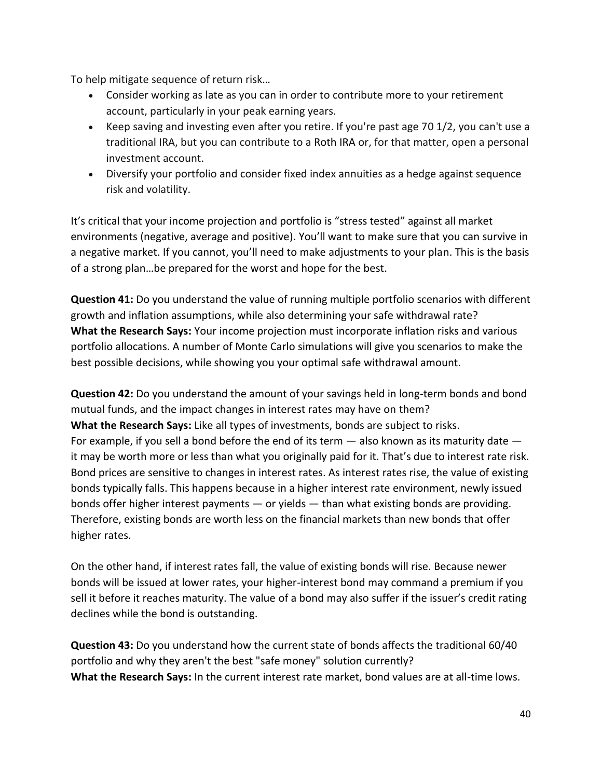To help mitigate sequence of return risk…

- Consider working as late as you can in order to contribute more to your retirement account, particularly in your peak earning years.
- Keep saving and investing even after you retire. If you're past age 70 1/2, you can't use a traditional IRA, but you can contribute to a Roth IRA or, for that matter, open a personal investment account.
- Diversify your portfolio and consider fixed index annuities as a hedge against sequence risk and volatility.

It's critical that your income projection and portfolio is "stress tested" against all market environments (negative, average and positive). You'll want to make sure that you can survive in a negative market. If you cannot, you'll need to make adjustments to your plan. This is the basis of a strong plan…be prepared for the worst and hope for the best.

**Question 41:** Do you understand the value of running multiple portfolio scenarios with different growth and inflation assumptions, while also determining your safe withdrawal rate? **What the Research Says:** Your income projection must incorporate inflation risks and various portfolio allocations. A number of Monte Carlo simulations will give you scenarios to make the best possible decisions, while showing you your optimal safe withdrawal amount.

**Question 42:** Do you understand the amount of your savings held in long-term bonds and bond mutual funds, and the impact changes in interest rates may have on them? **What the Research Says:** Like all types of investments, bonds are subject to risks. For example, if you sell a bond before the end of its term  $-$  also known as its maturity date  $$ it may be worth more or less than what you originally paid for it. That's due to interest rate risk. Bond prices are sensitive to changes in interest rates. As interest rates rise, the value of existing bonds typically falls. This happens because in a higher interest rate environment, newly issued bonds offer higher interest payments — or yields — than what existing bonds are providing. Therefore, existing bonds are worth less on the financial markets than new bonds that offer higher rates.

On the other hand, if interest rates fall, the value of existing bonds will rise. Because newer bonds will be issued at lower rates, your higher-interest bond may command a premium if you sell it before it reaches maturity. The value of a bond may also suffer if the issuer's credit rating declines while the bond is outstanding.

**Question 43:** Do you understand how the current state of bonds affects the traditional 60/40 portfolio and why they aren't the best "safe money" solution currently? **What the Research Says:** In the current interest rate market, bond values are at all-time lows.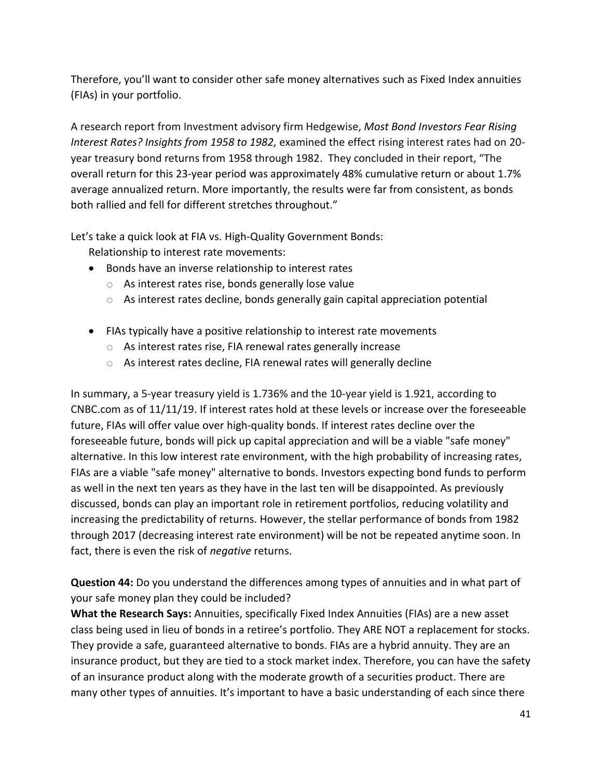Therefore, you'll want to consider other safe money alternatives such as Fixed Index annuities (FIAs) in your portfolio.

A research report from Investment advisory firm Hedgewise, *Most Bond Investors Fear Rising Interest Rates? Insights from 1958 to 1982,* examined the effect rising interest rates had on 20 year treasury bond returns from 1958 through 1982. They concluded in their report, "The overall return for this 23-year period was approximately 48% cumulative return or about 1.7% average annualized return. More importantly, the results were far from consistent, as bonds both rallied and fell for different stretches throughout."

Let's take a quick look at FIA vs. High-Quality Government Bonds:

Relationship to interest rate movements:

- Bonds have an inverse relationship to interest rates
	- o As interest rates rise, bonds generally lose value
	- o As interest rates decline, bonds generally gain capital appreciation potential
- FIAs typically have a positive relationship to interest rate movements
	- o As interest rates rise, FIA renewal rates generally increase
	- o As interest rates decline, FIA renewal rates will generally decline

In summary, a 5-year treasury yield is 1.736% and the 10-year yield is 1.921, according to CNBC.com as of 11/11/19. If interest rates hold at these levels or increase over the foreseeable future, FIAs will offer value over high-quality bonds. If interest rates decline over the foreseeable future, bonds will pick up capital appreciation and will be a viable "safe money" alternative. In this low interest rate environment, with the high probability of increasing rates, FIAs are a viable "safe money" alternative to bonds. Investors expecting bond funds to perform as well in the next ten years as they have in the last ten will be disappointed. As previously discussed, bonds can play an important role in retirement portfolios, reducing volatility and increasing the predictability of returns. However, the stellar performance of bonds from 1982 through 2017 (decreasing interest rate environment) will be not be repeated anytime soon. In fact, there is even the risk of *negative* returns.

**Question 44:** Do you understand the differences among types of annuities and in what part of your safe money plan they could be included?

**What the Research Says:** Annuities, specifically Fixed Index Annuities (FIAs) are a new asset class being used in lieu of bonds in a retiree's portfolio. They ARE NOT a replacement for stocks. They provide a safe, guaranteed alternative to bonds. FIAs are a hybrid annuity. They are an insurance product, but they are tied to a stock market index. Therefore, you can have the safety of an insurance product along with the moderate growth of a securities product. There are many other types of annuities. It's important to have a basic understanding of each since there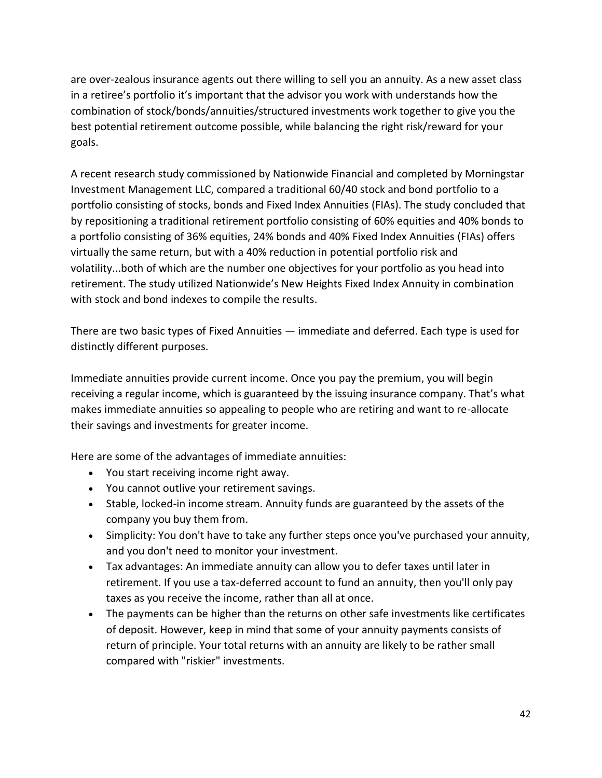are over-zealous insurance agents out there willing to sell you an annuity. As a new asset class in a retiree's portfolio it's important that the advisor you work with understands how the combination of stock/bonds/annuities/structured investments work together to give you the best potential retirement outcome possible, while balancing the right risk/reward for your goals.

A recent research study commissioned by Nationwide Financial and completed by Morningstar Investment Management LLC, compared a traditional 60/40 stock and bond portfolio to a portfolio consisting of stocks, bonds and Fixed Index Annuities (FIAs). The study concluded that by repositioning a traditional retirement portfolio consisting of 60% equities and 40% bonds to a portfolio consisting of 36% equities, 24% bonds and 40% Fixed Index Annuities (FIAs) offers virtually the same return, but with a 40% reduction in potential portfolio risk and volatility...both of which are the number one objectives for your portfolio as you head into retirement. The study utilized Nationwide's New Heights Fixed Index Annuity in combination with stock and bond indexes to compile the results.

There are two basic types of Fixed Annuities — immediate and deferred. Each type is used for distinctly different purposes.

Immediate annuities provide current income. Once you pay the premium, you will begin receiving a regular income, which is guaranteed by the issuing insurance company. That's what makes immediate annuities so appealing to people who are retiring and want to re-allocate their savings and investments for greater income.

Here are some of the advantages of immediate annuities:

- You start receiving income right away.
- You cannot outlive your retirement savings.
- Stable, locked-in income stream. Annuity funds are guaranteed by the assets of the company you buy them from.
- Simplicity: You don't have to take any further steps once you've purchased your annuity, and you don't need to monitor your investment.
- Tax advantages: An immediate annuity can allow you to defer taxes until later in retirement. If you use a tax-deferred account to fund an annuity, then you'll only pay taxes as you receive the income, rather than all at once.
- The payments can be higher than the returns on other safe investments like certificates of deposit. However, keep in mind that some of your annuity payments consists of return of principle. Your total returns with an annuity are likely to be rather small compared with "riskier" investments.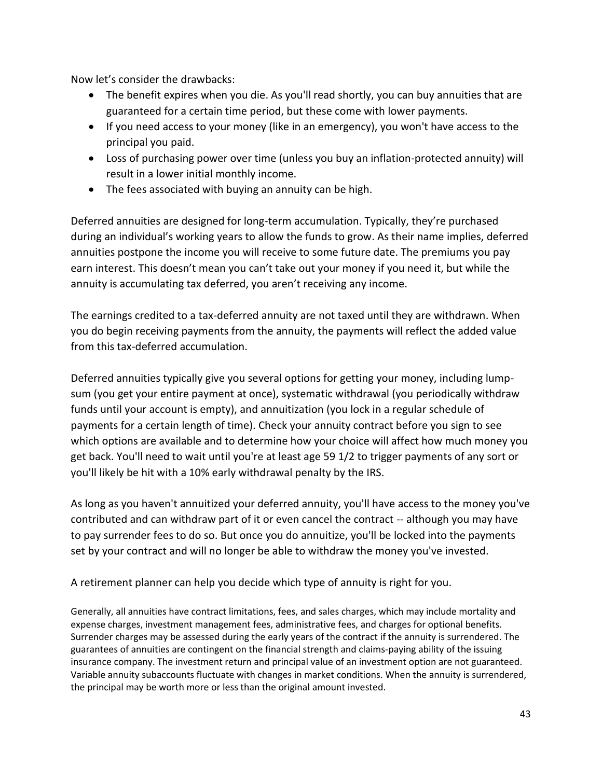Now let's consider the drawbacks:

- The benefit expires when you die. As you'll read shortly, you can buy annuities that are guaranteed for a certain time period, but these come with lower payments.
- If you need access to your money (like in an emergency), you won't have access to the principal you paid.
- Loss of purchasing power over time (unless you buy an inflation-protected annuity) will result in a lower initial monthly income.
- The fees associated with buying an annuity can be high.

Deferred annuities are designed for long-term accumulation. Typically, they're purchased during an individual's working years to allow the funds to grow. As their name implies, deferred annuities postpone the income you will receive to some future date. The premiums you pay earn interest. This doesn't mean you can't take out your money if you need it, but while the annuity is accumulating tax deferred, you aren't receiving any income.

The earnings credited to a tax-deferred annuity are not taxed until they are withdrawn. When you do begin receiving payments from the annuity, the payments will reflect the added value from this tax-deferred accumulation.

Deferred annuities typically give you several options for getting your money, including lumpsum (you get your entire payment at once), systematic withdrawal (you periodically withdraw funds until your account is empty), and annuitization (you lock in a regular schedule of payments for a certain length of time). Check your annuity contract before you sign to see which options are available and to determine how your choice will affect how much money you get back. You'll need to wait until you're at least age 59 1/2 to trigger payments of any sort or you'll likely be hit with a 10% early withdrawal penalty by the IRS.

As long as you haven't annuitized your deferred annuity, you'll have access to the money you've contributed and can withdraw part of it or even cancel the contract -- although you may have to pay surrender fees to do so. But once you do annuitize, you'll be locked into the payments set by your contract and will no longer be able to withdraw the money you've invested.

A retirement planner can help you decide which type of annuity is right for you.

Generally, all annuities have contract limitations, fees, and sales charges, which may include mortality and expense charges, investment management fees, administrative fees, and charges for optional benefits. Surrender charges may be assessed during the early years of the contract if the annuity is surrendered. The guarantees of annuities are contingent on the financial strength and claims-paying ability of the issuing insurance company. The investment return and principal value of an investment option are not guaranteed. Variable annuity subaccounts fluctuate with changes in market conditions. When the annuity is surrendered, the principal may be worth more or less than the original amount invested.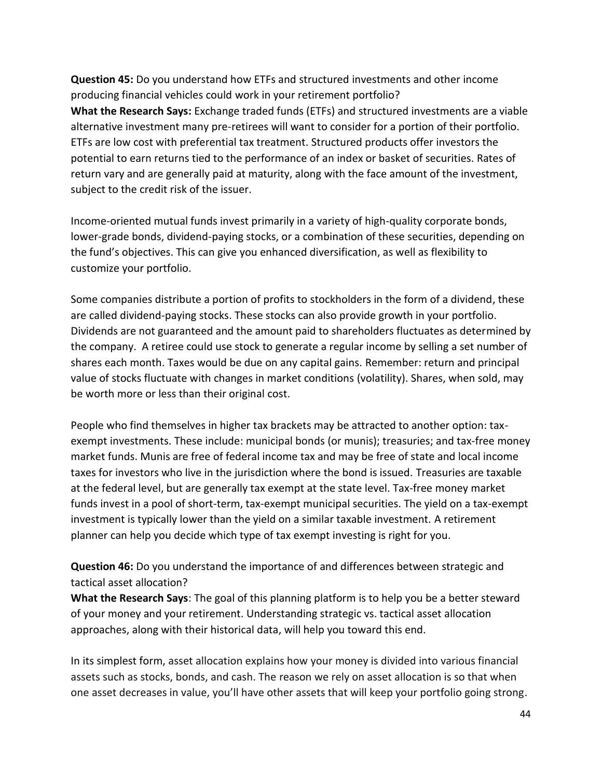**Question 45:** Do you understand how ETFs and structured investments and other income producing financial vehicles could work in your retirement portfolio? **What the Research Says:** Exchange traded funds (ETFs) and structured investments are a viable alternative investment many pre-retirees will want to consider for a portion of their portfolio. ETFs are low cost with preferential tax treatment. Structured products offer investors the potential to earn returns tied to the performance of an index or basket of securities. Rates of return vary and are generally paid at maturity, along with the face amount of the investment, subject to the credit risk of the issuer.

Income-oriented mutual funds invest primarily in a variety of high-quality corporate bonds, lower-grade bonds, dividend-paying stocks, or a combination of these securities, depending on the fund's objectives. This can give you enhanced diversification, as well as flexibility to customize your portfolio.

Some companies distribute a portion of profits to stockholders in the form of a dividend, these are called dividend-paying stocks. These stocks can also provide growth in your portfolio. Dividends are not guaranteed and the amount paid to shareholders fluctuates as determined by the company. A retiree could use stock to generate a regular income by selling a set number of shares each month. Taxes would be due on any capital gains. Remember: return and principal value of stocks fluctuate with changes in market conditions (volatility). Shares, when sold, may be worth more or less than their original cost.

People who find themselves in higher tax brackets may be attracted to another option: taxexempt investments. These include: municipal bonds (or munis); treasuries; and tax-free money market funds. Munis are free of federal income tax and may be free of state and local income taxes for investors who live in the jurisdiction where the bond is issued. Treasuries are taxable at the federal level, but are generally tax exempt at the state level. Tax-free money market funds invest in a pool of short-term, tax-exempt municipal securities. The yield on a tax-exempt investment is typically lower than the yield on a similar taxable investment. A retirement planner can help you decide which type of tax exempt investing is right for you.

**Question 46:** Do you understand the importance of and differences between strategic and tactical asset allocation?

**What the Research Says**: The goal of this planning platform is to help you be a better steward of your money and your retirement. Understanding strategic vs. tactical asset allocation approaches, along with their historical data, will help you toward this end.

In its simplest form, asset allocation explains how your money is divided into various financial assets such as stocks, bonds, and cash. The reason we rely on asset allocation is so that when one asset decreases in value, you'll have other assets that will keep your portfolio going strong.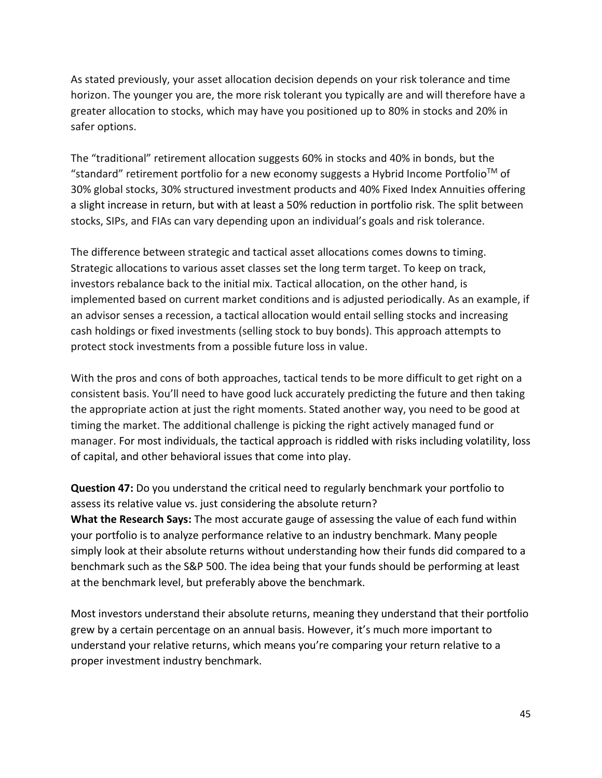As stated previously, your asset allocation decision depends on your risk tolerance and time horizon. The younger you are, the more risk tolerant you typically are and will therefore have a greater allocation to stocks, which may have you positioned up to 80% in stocks and 20% in safer options.

The "traditional" retirement allocation suggests 60% in stocks and 40% in bonds, but the "standard" retirement portfolio for a new economy suggests a Hybrid Income Portfolio<sup>™</sup> of 30% global stocks, 30% structured investment products and 40% Fixed Index Annuities offering a slight increase in return, but with at least a 50% reduction in portfolio risk. The split between stocks, SIPs, and FIAs can vary depending upon an individual's goals and risk tolerance.

The difference between strategic and tactical asset allocations comes downs to timing. Strategic allocations to various asset classes set the long term target. To keep on track, investors rebalance back to the initial mix. Tactical allocation, on the other hand, is implemented based on current market conditions and is adjusted periodically. As an example, if an advisor senses a recession, a tactical allocation would entail selling stocks and increasing cash holdings or fixed investments (selling stock to buy bonds). This approach attempts to protect stock investments from a possible future loss in value.

With the pros and cons of both approaches, tactical tends to be more difficult to get right on a consistent basis. You'll need to have good luck accurately predicting the future and then taking the appropriate action at just the right moments. Stated another way, you need to be good at timing the market. The additional challenge is picking the right actively managed fund or manager. For most individuals, the tactical approach is riddled with risks including volatility, loss of capital, and other behavioral issues that come into play.

**Question 47:** Do you understand the critical need to regularly benchmark your portfolio to assess its relative value vs. just considering the absolute return? **What the Research Says:** The most accurate gauge of assessing the value of each fund within your portfolio is to analyze performance relative to an industry benchmark. Many people simply look at their absolute returns without understanding how their funds did compared to a benchmark such as the S&P 500. The idea being that your funds should be performing at least at the benchmark level, but preferably above the benchmark.

Most investors understand their absolute returns, meaning they understand that their portfolio grew by a certain percentage on an annual basis. However, it's much more important to understand your relative returns, which means you're comparing your return relative to a proper investment industry benchmark.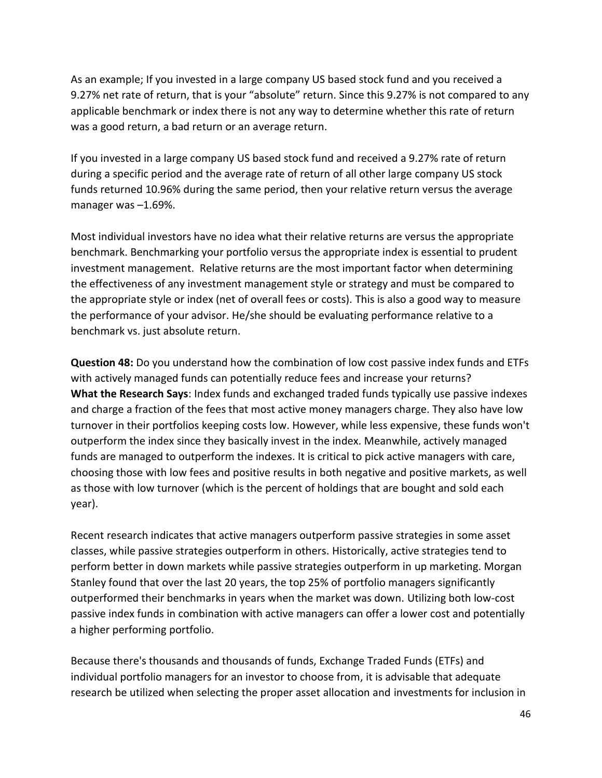As an example; If you invested in a large company US based stock fund and you received a 9.27% net rate of return, that is your "absolute" return. Since this 9.27% is not compared to any applicable benchmark or index there is not any way to determine whether this rate of return was a good return, a bad return or an average return.

If you invested in a large company US based stock fund and received a 9.27% rate of return during a specific period and the average rate of return of all other large company US stock funds returned 10.96% during the same period, then your relative return versus the average manager was –1.69%.

Most individual investors have no idea what their relative returns are versus the appropriate benchmark. Benchmarking your portfolio versus the appropriate index is essential to prudent investment management. Relative returns are the most important factor when determining the effectiveness of any investment management style or strategy and must be compared to the appropriate style or index (net of overall fees or costs). This is also a good way to measure the performance of your advisor. He/she should be evaluating performance relative to a benchmark vs. just absolute return.

**Question 48:** Do you understand how the combination of low cost passive index funds and ETFs with actively managed funds can potentially reduce fees and increase your returns? **What the Research Says**: Index funds and exchanged traded funds typically use passive indexes and charge a fraction of the fees that most active money managers charge. They also have low turnover in their portfolios keeping costs low. However, while less expensive, these funds won't outperform the index since they basically invest in the index. Meanwhile, actively managed funds are managed to outperform the indexes. It is critical to pick active managers with care, choosing those with low fees and positive results in both negative and positive markets, as well as those with low turnover (which is the percent of holdings that are bought and sold each year).

Recent research indicates that active managers outperform passive strategies in some asset classes, while passive strategies outperform in others. Historically, active strategies tend to perform better in down markets while passive strategies outperform in up marketing. Morgan Stanley found that over the last 20 years, the top 25% of portfolio managers significantly outperformed their benchmarks in years when the market was down. Utilizing both low-cost passive index funds in combination with active managers can offer a lower cost and potentially a higher performing portfolio.

Because there's thousands and thousands of funds, Exchange Traded Funds (ETFs) and individual portfolio managers for an investor to choose from, it is advisable that adequate research be utilized when selecting the proper asset allocation and investments for inclusion in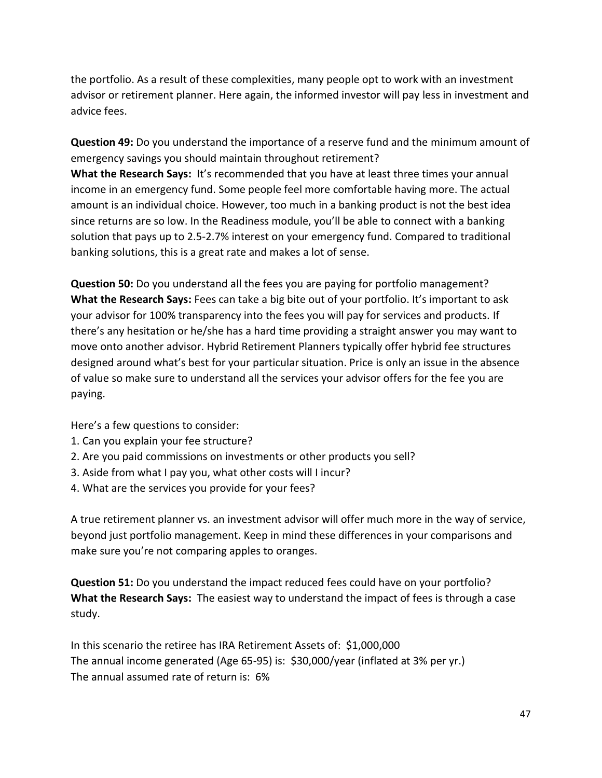the portfolio. As a result of these complexities, many people opt to work with an investment advisor or retirement planner. Here again, the informed investor will pay less in investment and advice fees.

**Question 49:** Do you understand the importance of a reserve fund and the minimum amount of emergency savings you should maintain throughout retirement?

**What the Research Says:** It's recommended that you have at least three times your annual income in an emergency fund. Some people feel more comfortable having more. The actual amount is an individual choice. However, too much in a banking product is not the best idea since returns are so low. In the Readiness module, you'll be able to connect with a banking solution that pays up to 2.5-2.7% interest on your emergency fund. Compared to traditional banking solutions, this is a great rate and makes a lot of sense.

**Question 50:** Do you understand all the fees you are paying for portfolio management? **What the Research Says:** Fees can take a big bite out of your portfolio. It's important to ask your advisor for 100% transparency into the fees you will pay for services and products. If there's any hesitation or he/she has a hard time providing a straight answer you may want to move onto another advisor. Hybrid Retirement Planners typically offer hybrid fee structures designed around what's best for your particular situation. Price is only an issue in the absence of value so make sure to understand all the services your advisor offers for the fee you are paying.

Here's a few questions to consider:

- 1. Can you explain your fee structure?
- 2. Are you paid commissions on investments or other products you sell?
- 3. Aside from what I pay you, what other costs will I incur?
- 4. What are the services you provide for your fees?

A true retirement planner vs. an investment advisor will offer much more in the way of service, beyond just portfolio management. Keep in mind these differences in your comparisons and make sure you're not comparing apples to oranges.

**Question 51:** Do you understand the impact reduced fees could have on your portfolio? **What the Research Says:** The easiest way to understand the impact of fees is through a case study.

In this scenario the retiree has IRA Retirement Assets of: \$1,000,000 The annual income generated (Age 65-95) is: \$30,000/year (inflated at 3% per yr.) The annual assumed rate of return is: 6%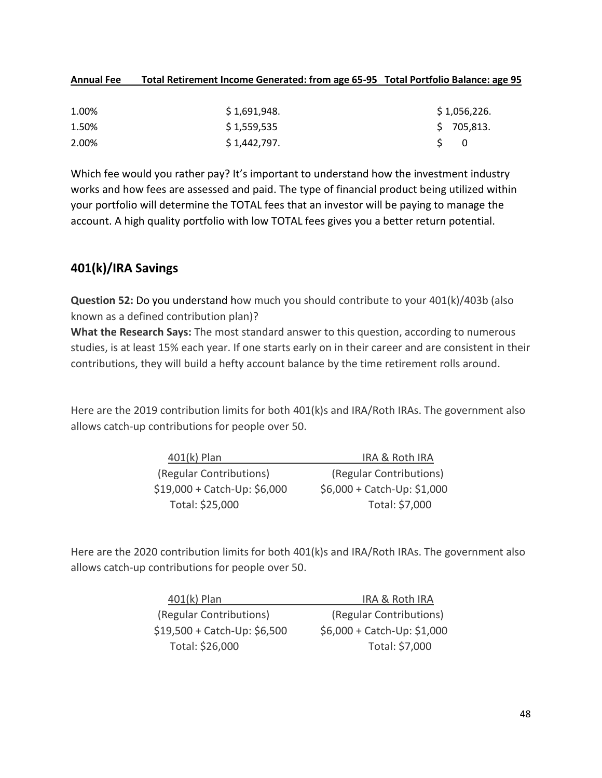#### **Annual Fee Total Retirement Income Generated: from age 65-95 Total Portfolio Balance: age 95**

| 1.00% | \$1,691,948. | \$1,056,226. |
|-------|--------------|--------------|
| 1.50% | \$1,559,535  | \$705,813.   |
| 2.00% | \$1,442,797. | S 0          |

Which fee would you rather pay? It's important to understand how the investment industry works and how fees are assessed and paid. The type of financial product being utilized within your portfolio will determine the TOTAL fees that an investor will be paying to manage the account. A high quality portfolio with low TOTAL fees gives you a better return potential.

# **401(k)/IRA Savings**

**Question 52:** Do you understand how much you should contribute to your 401(k)/403b (also known as a defined contribution plan)?

**What the Research Says:** The most standard answer to this question, according to numerous studies, is at least 15% each year. If one starts early on in their career and are consistent in their contributions, they will build a hefty account balance by the time retirement rolls around.

Here are the 2019 contribution limits for both 401(k)s and IRA/Roth IRAs. The government also allows catch-up contributions for people over 50.

| $401(k)$ Plan                | <b>IRA &amp; Roth IRA</b>   |
|------------------------------|-----------------------------|
| (Regular Contributions)      | (Regular Contributions)     |
| $$19,000 + Catch-Up: $6,000$ | \$6,000 + Catch-Up: \$1,000 |
| Total: \$25,000              | Total: \$7,000              |

Here are the 2020 contribution limits for both 401(k)s and IRA/Roth IRAs. The government also allows catch-up contributions for people over 50.

| $401(k)$ Plan                | <b>IRA &amp; Roth IRA</b>   |
|------------------------------|-----------------------------|
| (Regular Contributions)      | (Regular Contributions)     |
| $$19,500 + Catch-Up: $6,500$ | \$6,000 + Catch-Up: \$1,000 |
| Total: \$26,000              | Total: \$7,000              |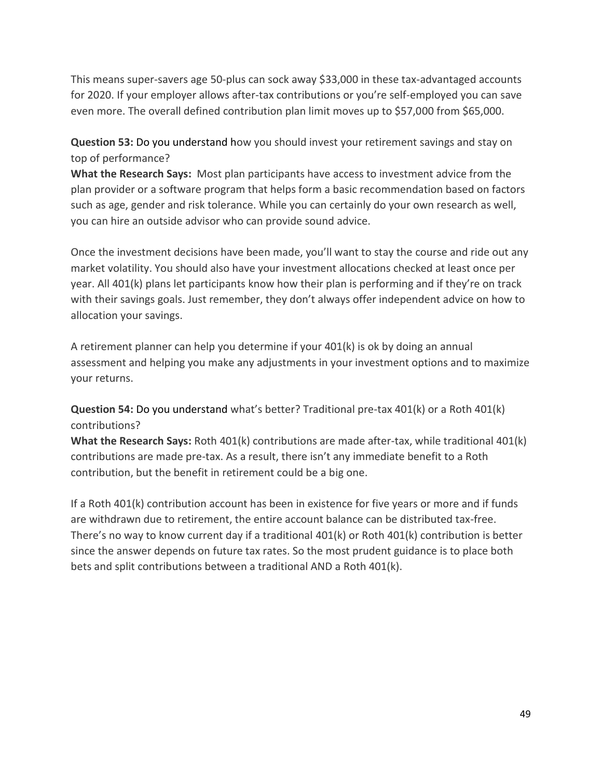This means super-savers age 50-plus can sock away \$33,000 in these tax-advantaged accounts for 2020. If your employer allows after-tax contributions or you're self-employed you can save even more. The overall defined contribution plan limit moves up to \$57,000 from \$65,000.

**Question 53:** Do you understand how you should invest your retirement savings and stay on top of performance?

**What the Research Says:** Most plan participants have access to investment advice from the plan provider or a software program that helps form a basic recommendation based on factors such as age, gender and risk tolerance. While you can certainly do your own research as well, you can hire an outside advisor who can provide sound advice.

Once the investment decisions have been made, you'll want to stay the course and ride out any market volatility. You should also have your investment allocations checked at least once per year. All 401(k) plans let participants know how their plan is performing and if they're on track with their savings goals. Just remember, they don't always offer independent advice on how to allocation your savings.

A retirement planner can help you determine if your 401(k) is ok by doing an annual assessment and helping you make any adjustments in your investment options and to maximize your returns.

**Question 54:** Do you understand what's better? Traditional pre-tax 401(k) or a Roth 401(k) contributions?

**What the Research Says:** Roth 401(k) contributions are made after-tax, while traditional 401(k) contributions are made pre-tax. As a result, there isn't any immediate benefit to a Roth contribution, but the benefit in retirement could be a big one.

If a Roth 401(k) contribution account has been in existence for five years or more and if funds are withdrawn due to retirement, the entire account balance can be distributed tax-free. There's no way to know current day if a traditional 401(k) or Roth 401(k) contribution is better since the answer depends on future tax rates. So the most prudent guidance is to place both bets and split contributions between a traditional AND a Roth 401(k).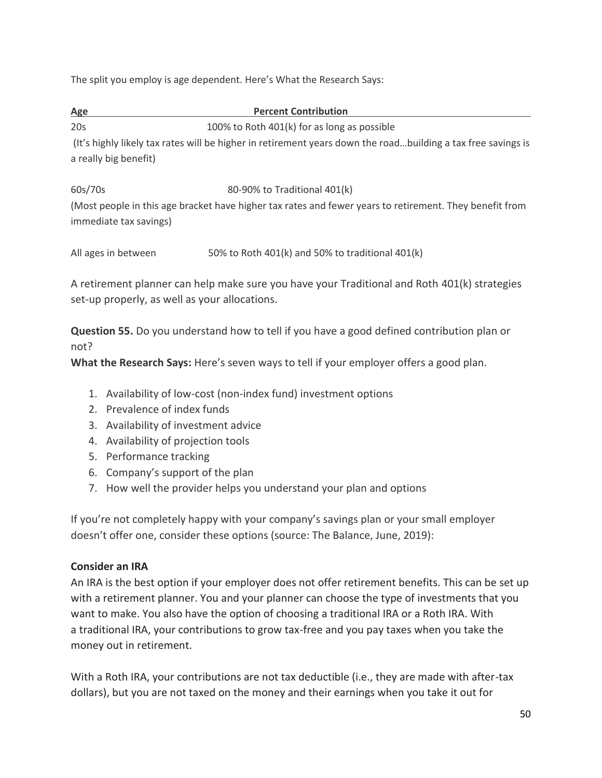The split you employ is age dependent. Here's What the Research Says:

**Age Percent Contribution**

20s 100% to Roth 401(k) for as long as possible

(It's highly likely tax rates will be higher in retirement years down the road…building a tax free savings is a really big benefit)

60s/70s 80-90% to Traditional 401(k)

(Most people in this age bracket have higher tax rates and fewer years to retirement. They benefit from immediate tax savings)

| All ages in between | 50% to Roth 401(k) and 50% to traditional 401(k) |
|---------------------|--------------------------------------------------|
|---------------------|--------------------------------------------------|

A retirement planner can help make sure you have your Traditional and Roth 401(k) strategies set-up properly, as well as your allocations.

**Question 55.** Do you understand how to tell if you have a good defined contribution plan or not?

**What the Research Says:** Here's seven ways to tell if your employer offers a good plan.

- 1. Availability of low-cost (non-index fund) investment options
- 2. Prevalence of index funds
- 3. Availability of investment advice
- 4. Availability of projection tools
- 5. Performance tracking
- 6. Company's support of the plan
- 7. How well the provider helps you understand your plan and options

If you're not completely happy with your company's savings plan or your small employer doesn't offer one, consider these options (source: The Balance, June, 2019):

## **Consider an IRA**

An IRA is the best option if your employer does not offer retirement benefits. This can be set up with a retirement planner. You and your planner can choose the type of investments that you want to make. You also have the option of choosing a traditional IRA or a Roth IRA. With a traditional IRA, your contributions to grow tax-free and you pay taxes when you take the money out in retirement.

With a Roth IRA, your contributions are not tax deductible (i.e., they are made with after-tax dollars), but you are not taxed on the money and their earnings when you take it out for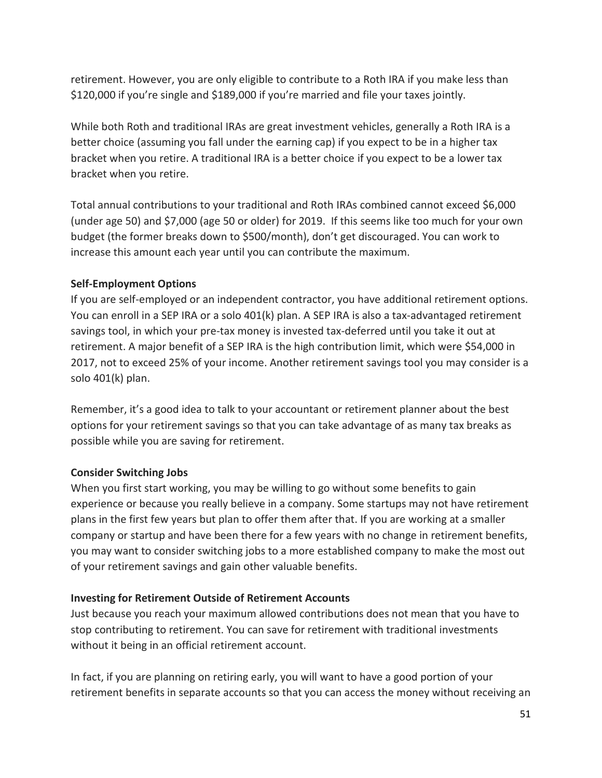retirement. However, you are only eligible to contribute to a Roth IRA if you make less than \$120,000 if you're single and \$189,000 if you're married and file your taxes jointly.

While both Roth and traditional IRAs are great investment vehicles, generally a Roth IRA is a better choice (assuming you fall under the earning cap) if you expect to be in a higher tax bracket when you retire. A traditional IRA is a better choice if you expect to be a lower tax bracket when you retire.

Total annual contributions to your traditional and Roth IRAs combined cannot exceed \$6,000 (under age 50) and \$7,000 (age 50 or older) for 2019. If this seems like too much for your own budget (the former breaks down to \$500/month), don't get discouraged. You can work to increase this amount each year until you can contribute the maximum.

#### **Self-Employment Options**

If you are self-employed or an independent contractor, you have additional retirement options. You can enroll in a SEP IRA or a solo 401(k) plan. A SEP IRA is also a tax-advantaged retirement savings tool, in which your pre-tax money is invested tax-deferred until you take it out at retirement. A major benefit of a SEP IRA is the high contribution limit, which were \$54,000 in 2017, not to exceed 25% of your income. Another retirement savings tool you may consider is a solo 401(k) plan.

Remember, it's a good idea to talk to your accountant or retirement planner about the best options for your retirement savings so that you can take advantage of as many tax breaks as possible while you are saving for retirement.

#### **Consider Switching Jobs**

When you first start working, you may be willing to go without some benefits to gain experience or because you really believe in a company. Some startups may not have retirement plans in the first few years but plan to offer them after that. If you are working at a smaller company or startup and have been there for a few years with no change in retirement benefits, you may want to consider switching jobs to a more established company to make the most out of your retirement savings and gain other valuable benefits.

#### **Investing for Retirement Outside of Retirement Accounts**

Just because you reach your maximum allowed contributions does not mean that you have to stop contributing to retirement. You can save for retirement with traditional investments without it being in an official retirement account.

In fact, if you are planning on retiring early, you will want to have a good portion of your retirement benefits in separate accounts so that you can access the money without receiving an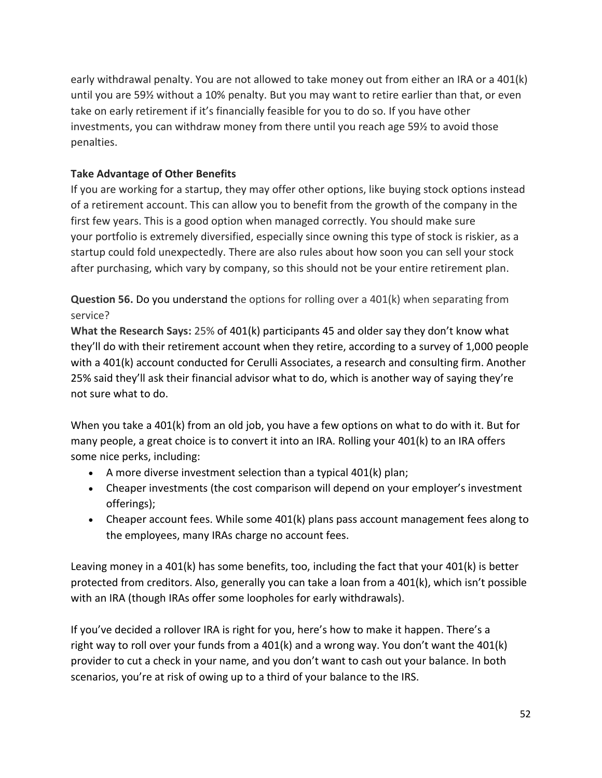early withdrawal penalty. You are not allowed to take money out from either an IRA or a 401(k) until you are 59½ without a 10% penalty. But you may want to retire earlier than that, or even take on early retirement if it's financially feasible for you to do so. If you have other investments, you can withdraw money from there until you reach age 59½ to avoid those penalties.

## **Take Advantage of Other Benefits**

If you are working for a startup, they may offer other options, like buying stock options instead of a retirement account. This can allow you to benefit from the growth of the company in the first few years. This is a good option when managed correctly. You should make sure your portfolio is extremely diversified, especially since owning this type of stock is riskier, as a startup could fold unexpectedly. There are also rules about how soon you can sell your stock after purchasing, which vary by company, so this should not be your entire retirement plan.

**Question 56.** Do you understand the options for rolling over a 401(k) when separating from service?

**What the Research Says:** 25% of 401(k) participants 45 and older say they don't know what they'll do with their retirement account when they retire, according to a survey of 1,000 people with a 401(k) account conducted for Cerulli Associates, a research and consulting firm. Another 25% said they'll ask their financial advisor what to do, which is another way of saying they're not sure what to do.

When you take a 401(k) from an old job, you have a few options on what to do with it. But for many people, a great choice is to convert it into an IRA. Rolling your 401(k) to an IRA offers some nice perks, including:

- A more diverse investment selection than a typical 401(k) plan;
- Cheaper investments (the cost comparison will depend on your employer's investment offerings);
- Cheaper account fees. While some 401(k) plans pass account management fees along to the employees, many IRAs charge no account fees.

Leaving money in a 401(k) has some benefits, too, including the fact that your 401(k) is better protected from creditors. Also, generally you can take a loan from a 401(k), which isn't possible with an IRA (though IRAs offer some loopholes for early withdrawals).

If you've decided a rollover IRA is right for you, here's how to make it happen. There's a right way to roll over your funds from a 401(k) and a wrong way. You don't want the 401(k) provider to cut a check in your name, and you don't want to cash out your balance. In both scenarios, you're at risk of owing up to a third of your balance to the IRS.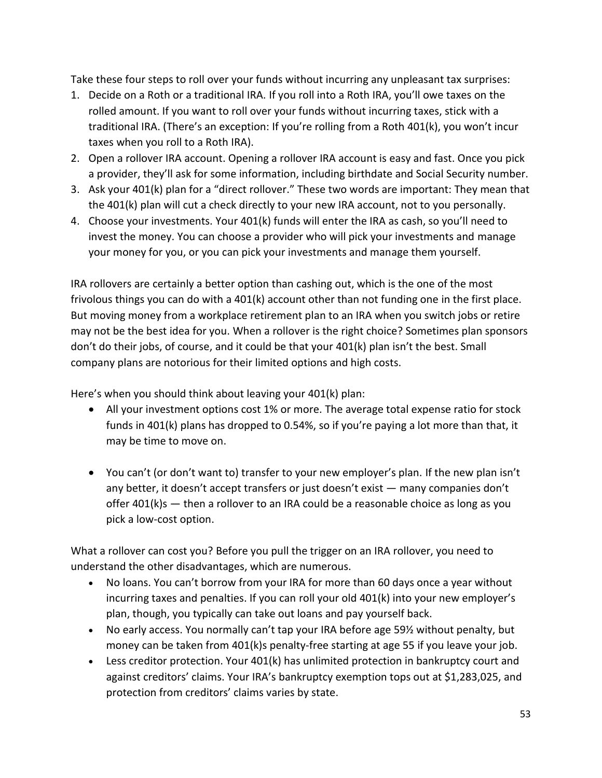Take these four steps to roll over your funds without incurring any unpleasant tax surprises:

- 1. Decide on a Roth or a traditional IRA. If you roll into a Roth IRA, you'll owe taxes on the rolled amount. If you want to roll over your funds without incurring taxes, stick with a traditional IRA. (There's an exception: If you're rolling from a Roth 401(k), you won't incur taxes when you roll to a Roth IRA).
- 2. Open a rollover IRA account. Opening a rollover IRA account is easy and fast. Once you pick a provider, they'll ask for some information, including birthdate and Social Security number.
- 3. Ask your 401(k) plan for a "direct rollover." These two words are important: They mean that the 401(k) plan will cut a check directly to your new IRA account, not to you personally.
- 4. Choose your investments. Your 401(k) funds will enter the IRA as cash, so you'll need to invest the money. You can choose a provider who will pick your investments and manage your money for you, or you can pick your investments and manage them yourself.

IRA rollovers are certainly a better option than cashing out, which is the one of the most frivolous things you can do with a 401(k) account other than not funding one in the first place. But moving money from a workplace retirement plan to an IRA when you switch jobs or retire may not be the best idea for you. When a rollover is the right choice? Sometimes plan sponsors don't do their jobs, of course, and it could be that your 401(k) plan isn't the best. Small company plans are notorious for their limited options and high costs.

Here's when you should think about leaving your 401(k) plan:

- All your investment options cost 1% or more. The average total expense ratio for stock funds in 401(k) plans has dropped to 0.54%, so if you're paying a lot more than that, it may be time to move on.
- You can't (or don't want to) transfer to your new employer's plan. If the new plan isn't any better, it doesn't accept transfers or just doesn't exist — many companies don't offer  $401(k)s$  – then a rollover to an IRA could be a reasonable choice as long as you pick a low-cost option.

What a rollover can cost you? Before you pull the trigger on an IRA rollover, you need to understand the other disadvantages, which are numerous.

- No loans. You can't borrow from your IRA for more than 60 days once a year without incurring taxes and penalties. If you can roll your old 401(k) into your new employer's plan, though, you typically can take out loans and pay yourself back.
- No early access. You normally can't tap your IRA before age 59½ without penalty, but money can be taken from 401(k)s penalty-free starting at age 55 if you leave your job.
- Less creditor protection. Your 401(k) has unlimited protection in bankruptcy court and against creditors' claims. Your IRA's bankruptcy exemption tops out at \$1,283,025, and protection from creditors' claims varies by state.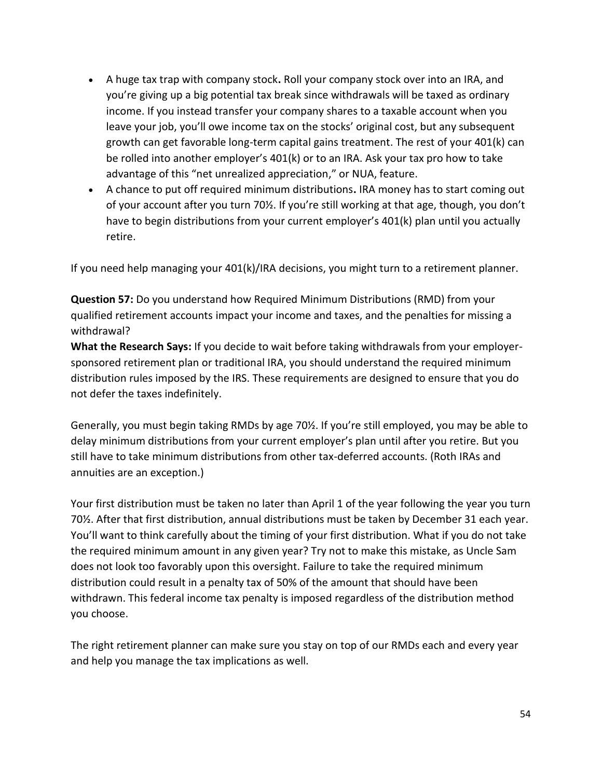- A huge tax trap with company stock**.** Roll your company stock over into an IRA, and you're giving up a big potential tax break since withdrawals will be taxed as ordinary income. If you instead transfer your company shares to a taxable account when you leave your job, you'll owe income tax on the stocks' original cost, but any subsequent growth can get favorable long-term capital gains treatment. The rest of your 401(k) can be rolled into another employer's 401(k) or to an IRA. Ask your tax pro how to take advantage of this "net unrealized appreciation," or NUA, feature.
- A chance to put off required minimum distributions**.** IRA money has to start coming out of your account after you turn 70½. If you're still working at that age, though, you don't have to begin distributions from your current employer's 401(k) plan until you actually retire.

If you need help managing your 401(k)/IRA decisions, you might turn to a retirement planner.

**Question 57:** Do you understand how Required Minimum Distributions (RMD) from your qualified retirement accounts impact your income and taxes, and the penalties for missing a withdrawal?

**What the Research Says:** If you decide to wait before taking withdrawals from your employersponsored retirement plan or traditional IRA, you should understand the required minimum distribution rules imposed by the IRS. These requirements are designed to ensure that you do not defer the taxes indefinitely.

Generally, you must begin taking RMDs by age 70½. If you're still employed, you may be able to delay minimum distributions from your current employer's plan until after you retire. But you still have to take minimum distributions from other tax-deferred accounts. (Roth IRAs and annuities are an exception.)

Your first distribution must be taken no later than April 1 of the year following the year you turn 70½. After that first distribution, annual distributions must be taken by December 31 each year. You'll want to think carefully about the timing of your first distribution. What if you do not take the required minimum amount in any given year? Try not to make this mistake, as Uncle Sam does not look too favorably upon this oversight. Failure to take the required minimum distribution could result in a penalty tax of 50% of the amount that should have been withdrawn. This federal income tax penalty is imposed regardless of the distribution method you choose.

The right retirement planner can make sure you stay on top of our RMDs each and every year and help you manage the tax implications as well.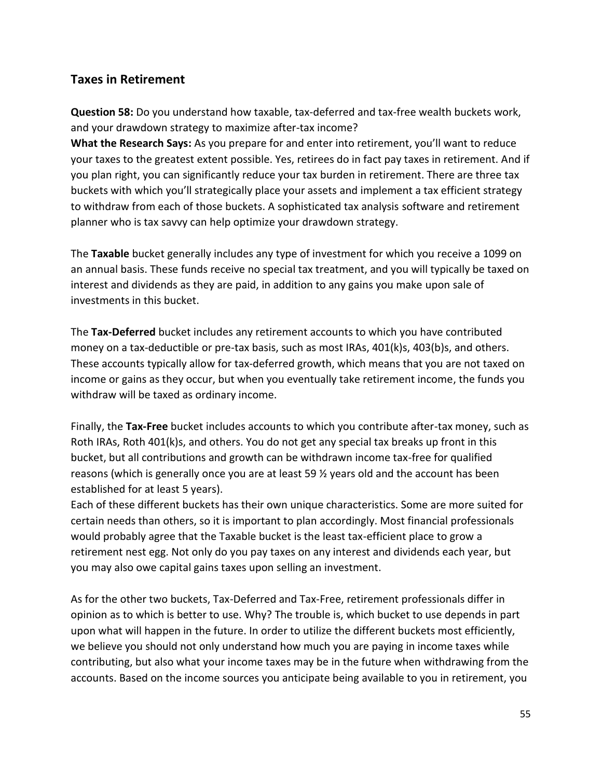## **Taxes in Retirement**

**Question 58:** Do you understand how taxable, tax-deferred and tax-free wealth buckets work, and your drawdown strategy to maximize after-tax income?

**What the Research Says:** As you prepare for and enter into retirement, you'll want to reduce your taxes to the greatest extent possible. Yes, retirees do in fact pay taxes in retirement. And if you plan right, you can significantly reduce your tax burden in retirement. There are three tax buckets with which you'll strategically place your assets and implement a tax efficient strategy to withdraw from each of those buckets. A sophisticated tax analysis software and retirement planner who is tax savvy can help optimize your drawdown strategy.

The **Taxable** bucket generally includes any type of investment for which you receive a 1099 on an annual basis. These funds receive no special tax treatment, and you will typically be taxed on interest and dividends as they are paid, in addition to any gains you make upon sale of investments in this bucket.

The **Tax-Deferred** bucket includes any retirement accounts to which you have contributed money on a tax-deductible or pre-tax basis, such as most IRAs, 401(k)s, 403(b)s, and others. These accounts typically allow for tax-deferred growth, which means that you are not taxed on income or gains as they occur, but when you eventually take retirement income, the funds you withdraw will be taxed as ordinary income.

Finally, the **Tax-Free** bucket includes accounts to which you contribute after-tax money, such as Roth IRAs, Roth 401(k)s, and others. You do not get any special tax breaks up front in this bucket, but all contributions and growth can be withdrawn income tax-free for qualified reasons (which is generally once you are at least 59 ½ years old and the account has been established for at least 5 years).

Each of these different buckets has their own unique characteristics. Some are more suited for certain needs than others, so it is important to plan accordingly. Most financial professionals would probably agree that the Taxable bucket is the least tax-efficient place to grow a retirement nest egg. Not only do you pay taxes on any interest and dividends each year, but you may also owe capital gains taxes upon selling an investment.

As for the other two buckets, Tax-Deferred and Tax-Free, retirement professionals differ in opinion as to which is better to use. Why? The trouble is, which bucket to use depends in part upon what will happen in the future. In order to utilize the different buckets most efficiently, we believe you should not only understand how much you are paying in income taxes while contributing, but also what your income taxes may be in the future when withdrawing from the accounts. Based on the income sources you anticipate being available to you in retirement, you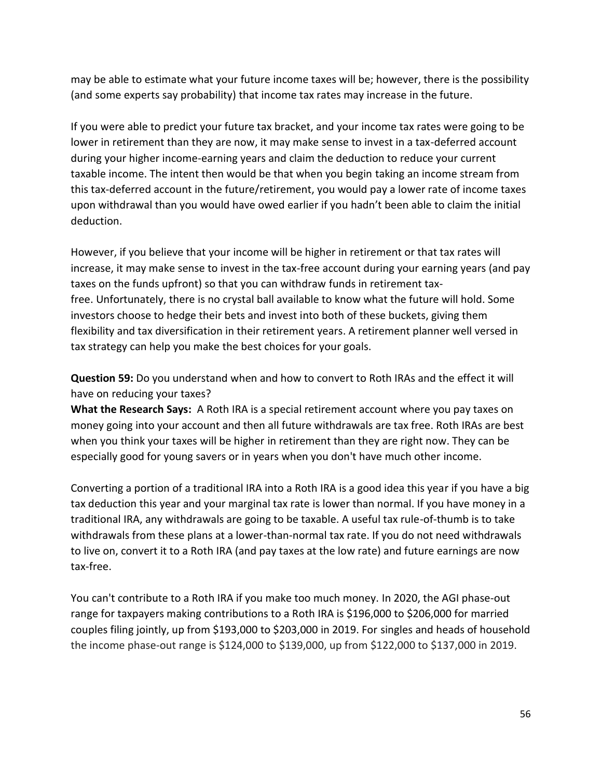may be able to estimate what your future income taxes will be; however, there is the possibility (and some experts say probability) that income tax rates may increase in the future.

If you were able to predict your future tax bracket, and your income tax rates were going to be lower in retirement than they are now, it may make sense to invest in a tax-deferred account during your higher income-earning years and claim the deduction to reduce your current taxable income. The intent then would be that when you begin taking an income stream from this tax-deferred account in the future/retirement, you would pay a lower rate of income taxes upon withdrawal than you would have owed earlier if you hadn't been able to claim the initial deduction.

However, if you believe that your income will be higher in retirement or that tax rates will increase, it may make sense to invest in the tax-free account during your earning years (and pay taxes on the funds upfront) so that you can withdraw funds in retirement taxfree. Unfortunately, there is no crystal ball available to know what the future will hold. Some investors choose to hedge their bets and invest into both of these buckets, giving them flexibility and tax diversification in their retirement years. A retirement planner well versed in tax strategy can help you make the best choices for your goals.

**Question 59:** Do you understand when and how to convert to Roth IRAs and the effect it will have on reducing your taxes?

**What the Research Says:** A Roth IRA is a special retirement account where you pay taxes on money going into your account and then all future withdrawals are tax free. Roth IRAs are best when you think your taxes will be higher in retirement than they are right now. They can be especially good for young savers or in years when you don't have much other income.

Converting a portion of a traditional IRA into a Roth IRA is a good idea this year if you have a big tax deduction this year and your marginal tax rate is lower than normal. If you have money in a traditional IRA, any withdrawals are going to be taxable. A useful tax rule-of-thumb is to take withdrawals from these plans at a lower-than-normal tax rate. If you do not need withdrawals to live on, convert it to a Roth IRA (and pay taxes at the low rate) and future earnings are now tax-free.

You can't contribute to a Roth IRA if you make too much money. In 2020, the AGI phase-out range for taxpayers making contributions to a Roth IRA is \$196,000 to \$206,000 for married couples filing jointly, up from \$193,000 to \$203,000 in 2019. For singles and heads of household the income phase-out range is \$124,000 to \$139,000, up from \$122,000 to \$137,000 in 2019.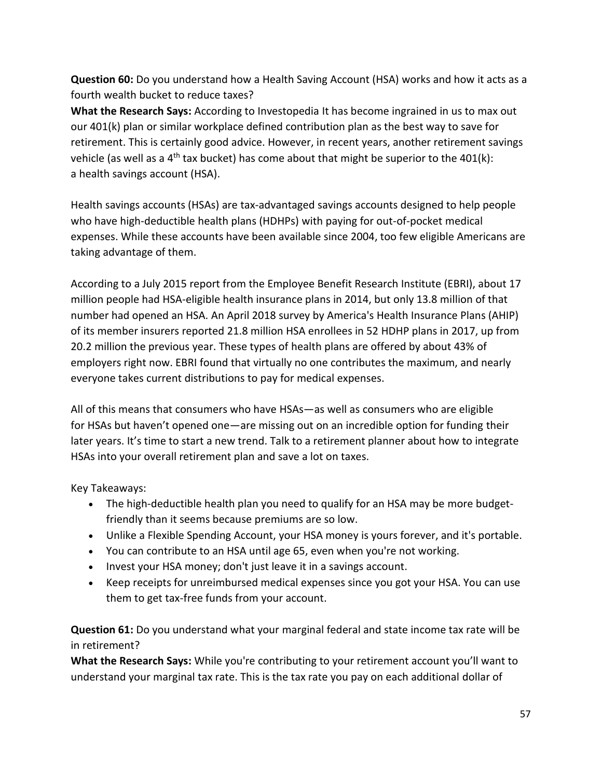**Question 60:** Do you understand how a Health Saving Account (HSA) works and how it acts as a fourth wealth bucket to reduce taxes?

**What the Research Says:** According to Investopedia It has become ingrained in us to max out our [401\(k\) plan](https://www.investopedia.com/terms/1/401kplan.asp) or similar workplace defined contribution plan as the best way to save for retirement. This is certainly good advice. However, in recent years, another retirement savings vehicle (as well as a 4<sup>th</sup> tax bucket) has come about that might be superior to the 401(k): a [health savings account](https://www.investopedia.com/terms/h/hsa.asp) (HSA).

Health savings accounts (HSAs) are [tax-advantaged](https://www.investopedia.com/terms/t/tax-advantaged.asp) savings accounts designed to help people who have [high-deductible health plans \(HDHPs\)](https://www.investopedia.com/terms/h/hdhp.asp) with paying for out-of-pocket medical expenses. While these accounts have been available since 2004, too few eligible Americans are taking advantage of them.

According to a July 2015 report from the Employee Benefit Research Institute (EBRI), about 17 million people had HSA-eligible health insurance plans in 2014, but only 13.8 million of that number had opened an HSA. An April 2018 survey by America's Health Insurance Plans (AHIP) of its member insurers reported 21.8 million HSA enrollees in 52 HDHP plans in 2017, up from 20.2 million the previous year. These types of health plans are offered by about 43% of employers right now. EBRI found that virtually no one contributes the maximum, and nearly everyone takes current [distributions](https://www.investopedia.com/terms/d/distribution.asp) to pay for [medical expenses.](https://www.investopedia.com/terms/m/medical-expenses.asp)

All of this means that consumers who have HSAs—as well as consumers who are eligible for HSAs but haven't opened one—are missing out on an incredible option for funding their later years. It's time to start a new trend. Talk to a retirement planner about how to integrate HSAs into your overall retirement plan and save a lot on taxes.

Key Takeaways:

- The high-deductible health plan you need to qualify for an HSA may be more budgetfriendly than it seems because premiums are so low.
- Unlike a Flexible Spending Account, your HSA money is yours forever, and it's portable.
- You can contribute to an HSA until age 65, even when you're not working.
- Invest your HSA money; don't just leave it in a savings account.
- Keep receipts for unreimbursed medical expenses since you got your HSA. You can use them to get tax-free funds from your account.

**Question 61:** Do you understand what your marginal federal and state income tax rate will be in retirement?

**What the Research Says:** While you're contributing to your retirement account you'll want to understand your marginal tax rate. This is the tax rate you pay on each additional dollar of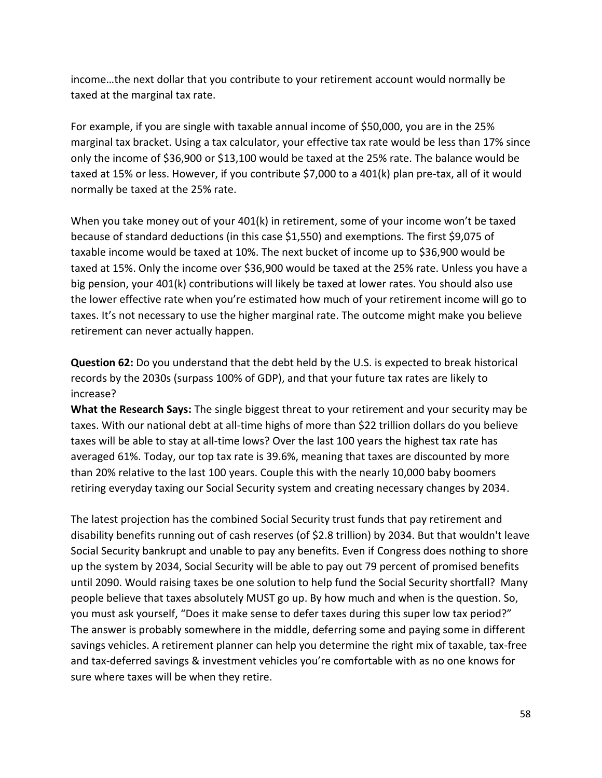income…the next dollar that you contribute to your retirement account would normally be taxed at the marginal tax rate.

For example, if you are single with taxable annual income of \$50,000, you are in the 25% marginal tax bracket. Using a tax calculator, your effective tax rate would be less than 17% since only the income of \$36,900 or \$13,100 would be taxed at the 25% rate. The balance would be taxed at 15% or less. However, if you contribute \$7,000 to a 401(k) plan pre-tax, all of it would normally be taxed at the 25% rate.

When you take money out of your 401(k) in retirement, some of your income won't be taxed because of standard deductions (in this case \$1,550) and exemptions. The first \$9,075 of taxable income would be taxed at 10%. The next bucket of income up to \$36,900 would be taxed at 15%. Only the income over \$36,900 would be taxed at the 25% rate. Unless you have a big pension, your 401(k) contributions will likely be taxed at lower rates. You should also use the lower effective rate when you're estimated how much of your retirement income will go to taxes. It's not necessary to use the higher marginal rate. The outcome might make you believe retirement can never actually happen.

**Question 62:** Do you understand that the debt held by the U.S. is expected to break historical records by the 2030s (surpass 100% of GDP), and that your future tax rates are likely to increase?

**What the Research Says:** The single biggest threat to your retirement and your security may be taxes. With our national debt at all-time highs of more than \$22 trillion dollars do you believe taxes will be able to stay at all-time lows? Over the last 100 years the highest tax rate has averaged 61%. Today, our top tax rate is 39.6%, meaning that taxes are discounted by more than 20% relative to the last 100 years. Couple this with the nearly 10,000 baby boomers retiring everyday taxing our Social Security system and creating necessary changes by 2034.

The latest projection has the combined Social Security trust funds that pay retirement and disability benefits running out of cash reserves (of \$2.8 trillion) by 2034. But that wouldn't leave Social Security bankrupt and unable to pay any benefits. Even if Congress does nothing to shore up the system by 2034, Social Security will be able to pay out 79 percent of promised benefits until 2090. Would raising taxes be one solution to help fund the Social Security shortfall? Many people believe that taxes absolutely MUST go up. By how much and when is the question. So, you must ask yourself, "Does it make sense to defer taxes during this super low tax period?" The answer is probably somewhere in the middle, deferring some and paying some in different savings vehicles. A retirement planner can help you determine the right mix of taxable, tax-free and tax-deferred savings & investment vehicles you're comfortable with as no one knows for sure where taxes will be when they retire.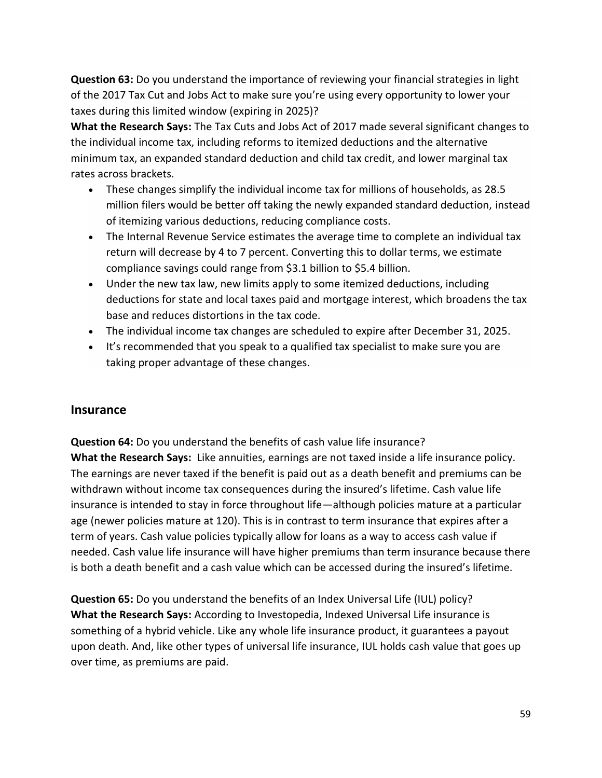**Question 63:** Do you understand the importance of reviewing your financial strategies in light of the 2017 Tax Cut and Jobs Act to make sure you're using every opportunity to lower your taxes during this limited window (expiring in 2025)?

**What the Research Says:** The Tax Cuts and Jobs Act of 2017 made several significant changes to the individual income tax, including reforms to itemized deductions and the alternative minimum tax, an expanded standard deduction and child tax credit, and lower marginal tax rates across brackets.

- These changes simplify the individual income tax for millions of households, as 28.5 million filers would be better off taking the newly expanded standard deduction, instead of itemizing various deductions, reducing compliance costs.
- The Internal Revenue Service estimates the average time to complete an individual tax return will decrease by 4 to 7 percent. Converting this to dollar terms, we estimate compliance savings could range from \$3.1 billion to \$5.4 billion.
- Under the new tax law, new limits apply to some itemized deductions, including deductions for state and local taxes paid and mortgage interest, which broadens the tax base and reduces distortions in the tax code.
- The individual income tax changes are scheduled to expire after December 31, 2025.
- It's recommended that you speak to a qualified tax specialist to make sure you are taking proper advantage of these changes.

## **Insurance**

**Question 64:** Do you understand the benefits of cash value life insurance? **What the Research Says:** Like annuities, earnings are not taxed inside a life insurance policy. The earnings are never taxed if the benefit is paid out as a death benefit and premiums can be withdrawn without income tax consequences during the insured's lifetime. Cash value life insurance is intended to stay in force throughout life—although policies mature at a particular age (newer policies mature at 120). This is in contrast to term insurance that expires after a term of years. Cash value policies typically allow for loans as a way to access cash value if needed. Cash value life insurance will have higher premiums than term insurance because there is both a death benefit and a cash value which can be accessed during the insured's lifetime.

**Question 65:** Do you understand the benefits of an Index Universal Life (IUL) policy? **What the Research Says:** According to Investopedia, Indexed Universal Life insurance is something of a hybrid vehicle. Like any whole life insurance product, it guarantees a payout upon death. And, like other types of universal life insurance, IUL holds cash value that goes up over time, as premiums are paid.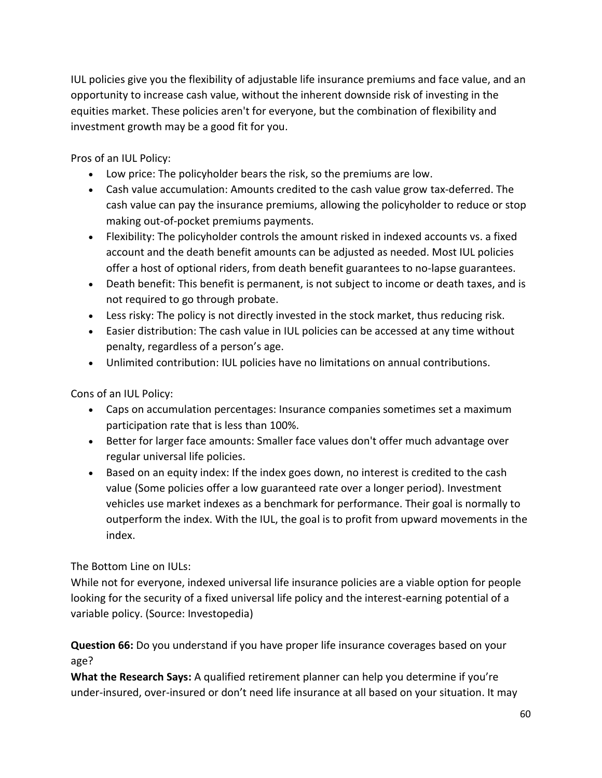IUL policies give you the flexibility of adjustable life insurance premiums and face value, and an opportunity to increase cash value, without the inherent downside risk of investing in the equities market. These policies aren't for everyone, but the combination of flexibility and investment growth may be a good fit for you.

Pros of an IUL Policy:

- Low price: The policyholder bears the risk, so the premiums are low.
- Cash value accumulation: Amounts credited to the cash value grow tax-deferred. The cash value can pay the insurance premiums, allowing the policyholder to reduce or stop making out-of-pocket premiums payments.
- Flexibility: The policyholder controls the amount risked in indexed accounts vs. a fixed account and the death benefit amounts can be adjusted as needed. Most IUL policies offer a host of optional riders, from death benefit guarantees to no-lapse guarantees.
- Death benefit: This benefit is permanent, is not subject to income or death taxes, and is not required to go through probate.
- Less risky: The policy is not directly invested in the stock market, thus reducing risk.
- Easier distribution: The cash value in IUL policies can be accessed at any time without penalty, regardless of a person's age.
- Unlimited contribution: IUL policies have no limitations on annual contributions.

Cons of an IUL Policy:

- Caps on accumulation percentages: Insurance companies sometimes set a maximum participation rate that is less than 100%.
- Better for larger face amounts: Smaller face values don't offer much advantage over regular universal life policies.
- Based on an equity index: If the index goes down, no interest is credited to the cash value (Some policies offer a low guaranteed rate over a longer period). Investment vehicles use market indexes as a benchmark for performance. Their goal is normally to outperform the index. With the IUL, the goal is to profit from upward movements in the index.

## The Bottom Line on IULs:

While not for everyone, indexed universal life insurance policies are a viable option for people looking for the security of a fixed universal life policy and the interest-earning potential of a variable policy. (Source: Investopedia)

**Question 66:** Do you understand if you have proper life insurance coverages based on your age?

**What the Research Says:** A qualified retirement planner can help you determine if you're under-insured, over-insured or don't need life insurance at all based on your situation. It may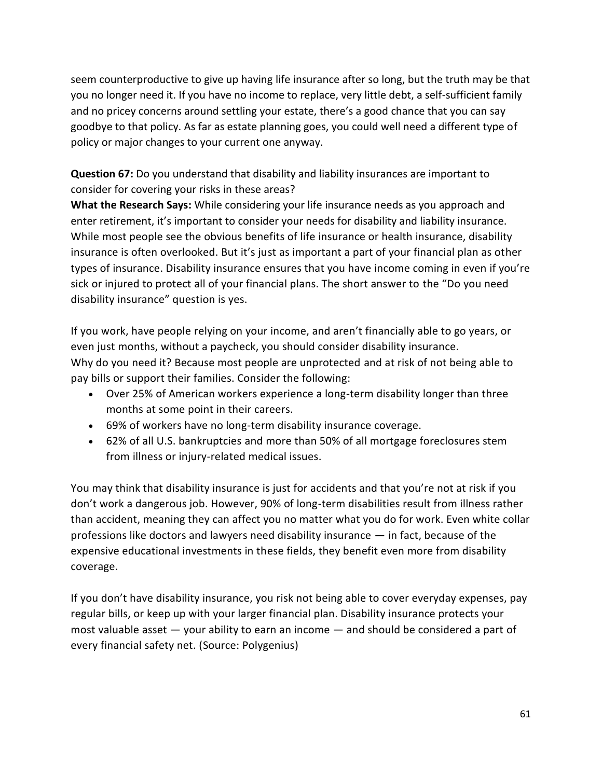seem counterproductive to give up having life insurance after so long, but the truth may be that you no longer need it. If you have no income to replace, very little debt, a self-sufficient family and no pricey concerns around settling your estate, there's a good chance that you can say goodbye to that policy. As far as estate planning goes, you could well need a different type of policy or major changes to your current one anyway.

**Question 67:** Do you understand that disability and liability insurances are important to consider for covering your risks in these areas?

**What the Research Says:** While considering your life insurance needs as you approach and enter retirement, it's important to consider your needs for disability and liability insurance. While most people see the obvious benefits of life insurance or health insurance, disability insurance is often overlooked. But it's just as important a part of your financial plan as other types of insurance. Disability insurance ensures that you have income coming in even if you're sick or injured to protect all of your financial plans. The short answer to the "Do you need disability insurance" question is yes.

If you work, have people relying on your income, and aren't financially able to go years, or even just months, without a paycheck, you should consider disability insurance. Why do you need it? Because most people are unprotected and at risk of not being able to pay bills or support their families. Consider the following:

- Over 25% of American workers experience a long-term disability longer than three months at some point in their careers.
- 69% of workers have no long-term disability insurance coverage.
- 62% of all U.S. bankruptcies and more than 50% of all mortgage foreclosures stem from illness or injury-related medical issues.

You may think that disability insurance is just for accidents and that you're not at risk if you don't work a dangerous job. However, 90% of long-term disabilities result from illness rather than accident, meaning they can affect you no matter what you do for work. Even white collar professions like doctors and lawyers need disability insurance — in fact, because of the expensive educational investments in these fields, they benefit even more from disability coverage.

If you don't have disability insurance, you risk not being able to cover everyday expenses, pay regular bills, or keep up with your larger financial plan. Disability insurance protects your most valuable asset — your ability to earn an income — and should be considered a part of every financial safety net. (Source: Polygenius)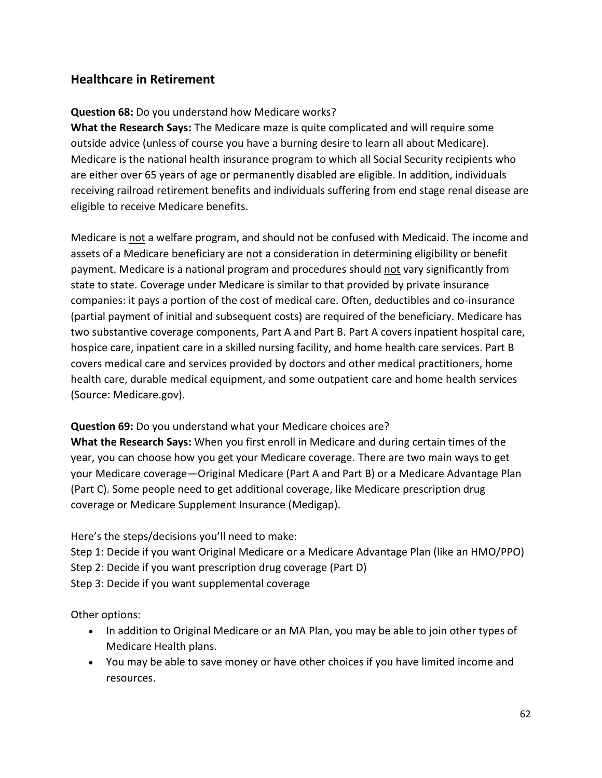# **Healthcare in Retirement**

## **Question 68:** Do you understand how Medicare works?

**What the Research Says:** The Medicare maze is quite complicated and will require some outside advice (unless of course you have a burning desire to learn all about Medicare). Medicare is the national health insurance program to which all Social Security recipients who are either over 65 years of age or permanently disabled are eligible. In addition, individuals receiving railroad retirement benefits and individuals suffering from end stage renal disease are eligible to receive Medicare benefits.

Medicare is not a welfare program, and should not be confused with Medicaid. The income and assets of a Medicare beneficiary are not a consideration in determining eligibility or benefit payment. Medicare is a national program and procedures should not vary significantly from state to state. Coverage under Medicare is similar to that provided by private insurance companies: it pays a portion of the cost of medical care. Often, deductibles and co-insurance (partial payment of initial and subsequent costs) are required of the beneficiary. Medicare has two substantive coverage components, Part A and Part B. Part A covers inpatient hospital care, hospice care, inpatient care in a skilled nursing facility, and home health care services. Part B covers medical care and services provided by doctors and other medical practitioners, home health care, durable medical equipment, and some outpatient care and home health services (Source: Medicare.gov).

## **Question 69:** Do you understand what your Medicare choices are?

**What the Research Says:** When you first enroll in Medicare and during certain times of the year, you can choose how you get your Medicare coverage. There are two main ways to get your Medicare coverage—[Original Medicare](https://www.medicare.gov/what-medicare-covers/your-medicare-coverage-choices) (Part A and Part B) or a [Medicare Advantage Plan](https://www.medicare.gov/what-medicare-covers/your-medicare-coverage-choices)  [\(Part C\).](https://www.medicare.gov/what-medicare-covers/your-medicare-coverage-choices) Some people need to get additional coverage, like Medicare prescription drug coverage or Medicare Supplement Insurance (Medigap).

Here's the steps/decisions you'll need to make:

Step 1: Decide if you want Original Medicare or a Medicare Advantage Plan (like an HMO/PPO)

Step 2: Decide if you want prescription drug coverage (Part D)

Step 3: Decide if you want supplemental coverage

Other options:

- In addition to Original Medicare or an MA Plan, you may be able to join other types of Medicare Health plans.
- You may be able to save money or have other choices if you have limited income and resources.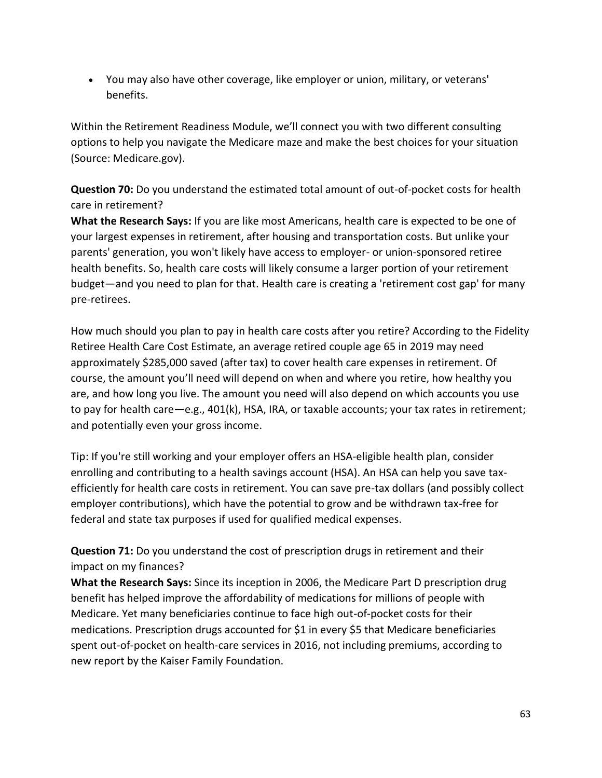• You may also have other coverage, like employer or union, military, or veterans' benefits.

Within the Retirement Readiness Module, we'll connect you with two different consulting options to help you navigate the Medicare maze and make the best choices for your situation (Source: Medicare.gov).

**Question 70:** Do you understand the estimated total amount of out-of-pocket costs for health care in retirement?

**What the Research Says:** If you are like most Americans, health care is expected to be one of your largest expenses in retirement, after housing and transportation costs. But unlike your parents' generation, you won't likely have access to employer- or union-sponsored retiree health benefits. So, health care costs will likely consume a larger portion of your retirement budget—and you need to plan for that. Health care is creating a 'retirement cost gap' for many pre-retirees.

How much should you plan to pay in health care costs after you retire? According to the Fidelity Retiree Health Care Cost Estimate, an average retired couple age 65 in 2019 may need approximately \$285,000 saved (after tax) to cover health care expenses in retirement. Of course, the amount you'll need will depend on when and where you retire, how healthy you are, and how long you live. The amount you need will also depend on which accounts you use to pay for health care—e.g., 401(k), HSA, IRA, or taxable accounts; your tax rates in retirement; and potentially even your gross income.

Tip: If you're still working and your employer offers an HSA-eligible health plan, consider enrolling and contributing to a health savings account (HSA). An HSA can help you save taxefficiently for health care costs in retirement. You can save pre-tax dollars (and possibly collect employer contributions), which have the potential to grow and be withdrawn tax-free for federal and state tax purposes if used for qualified medical expenses.

**Question 71:** Do you understand the cost of prescription drugs in retirement and their impact on my finances?

**What the Research Says:** Since its inception in 2006, the Medicare Part D prescription drug benefit has helped improve the affordability of medications for millions of people with Medicare. Yet many beneficiaries continue to face high out-of-pocket costs for their medications. Prescription drugs accounted for \$1 in every \$5 that Medicare beneficiaries spent out-of-pocket on health-care services in 2016, not including premiums, according to new report by the Kaiser Family Foundation.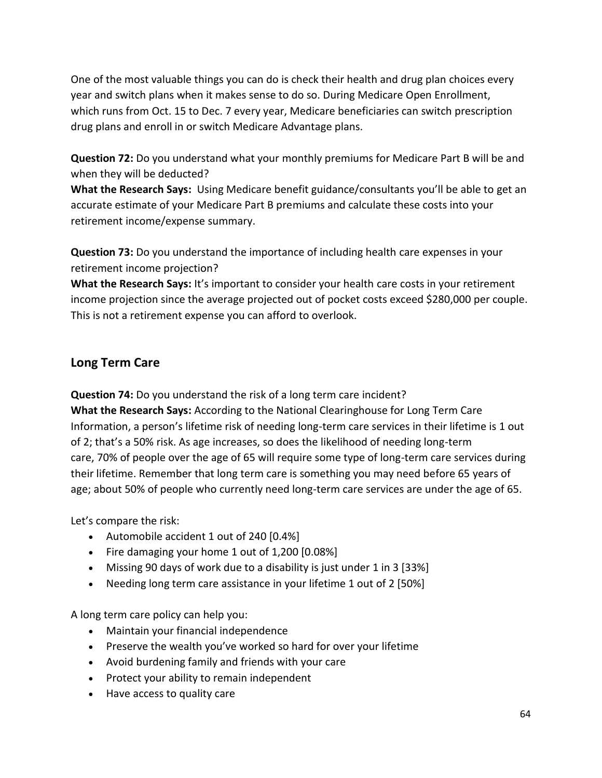One of the most valuable things you can do is check their health and drug plan choices every year and switch plans when it makes sense to do so. During Medicare Open Enrollment, which runs from Oct. 15 to Dec. 7 every year, Medicare beneficiaries can switch prescription drug plans and enroll in or switch Medicare Advantage plans.

**Question 72:** Do you understand what your monthly premiums for Medicare Part B will be and when they will be deducted?

**What the Research Says:** Using Medicare benefit guidance/consultants you'll be able to get an accurate estimate of your Medicare Part B premiums and calculate these costs into your retirement income/expense summary.

**Question 73:** Do you understand the importance of including health care expenses in your retirement income projection?

**What the Research Says:** It's important to consider your health care costs in your retirement income projection since the average projected out of pocket costs exceed \$280,000 per couple. This is not a retirement expense you can afford to overlook.

## **Long Term Care**

**Question 74:** Do you understand the risk of a long term care incident? **What the Research Says:** According to the National Clearinghouse for Long Term Care Information, a person's lifetime risk of needing long-term care services in their lifetime is 1 out of 2; that's a 50% risk. As age increases, so does the likelihood of needing long-term care, 70% of people over the age of 65 will require some type of long-term care services during their lifetime. Remember that long term care is something you may need before 65 years of age; about 50% of people who currently need long-term care services are under the age of 65.

Let's compare the risk:

- Automobile accident 1 out of 240 [0.4%]
- Fire damaging your home 1 out of 1,200 [0.08%]
- Missing 90 days of work due to a disability is just under 1 in 3 [33%]
- Needing long term care assistance in your lifetime 1 out of 2 [50%]

A long term care policy can help you:

- Maintain your financial independence
- Preserve the wealth you've worked so hard for over your lifetime
- Avoid burdening family and friends with your care
- Protect your ability to remain independent
- Have access to quality care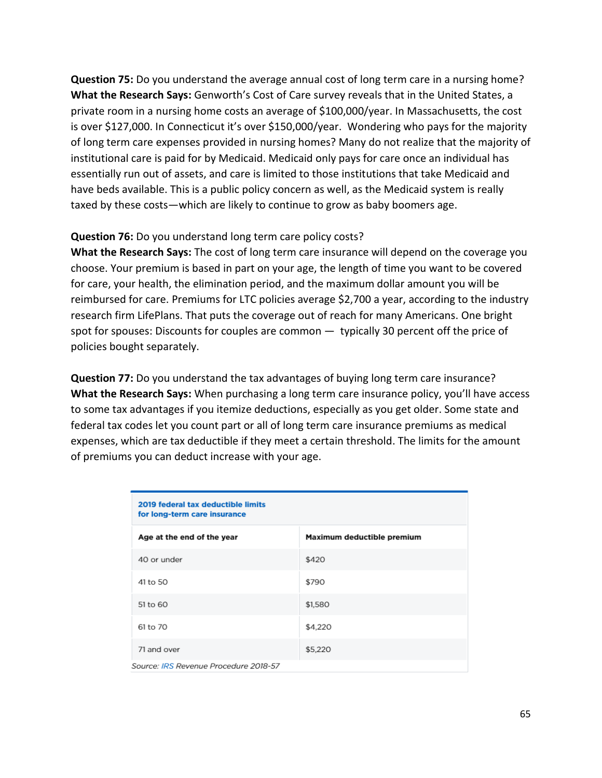**Question 75:** Do you understand the average annual cost of long term care in a nursing home? **What the Research Says:** Genworth's Cost of Care survey reveals that in the United States, a private room in a nursing home costs an average of \$100,000/year. In Massachusetts, the cost is over \$127,000. In Connecticut it's over \$150,000/year. Wondering who pays for the majority of long term care expenses provided in nursing homes? Many do not realize that the majority of institutional care is paid for by Medicaid. Medicaid only pays for care once an individual has essentially run out of assets, and care is limited to those institutions that take Medicaid and have beds available. This is a public policy concern as well, as the Medicaid system is really taxed by these costs—which are likely to continue to grow as baby boomers age.

#### **Question 76:** Do you understand long term care policy costs?

**What the Research Says:** The cost of long term care insurance will depend on the coverage you choose. Your premium is based in part on your age, the length of time you want to be covered for care, your health, the elimination period, and the maximum dollar amount you will be reimbursed for care. Premiums for LTC policies average \$2,700 a year, according to the industry research firm LifePlans. That puts the coverage out of reach for many Americans. One bright spot for spouses: Discounts for couples are common — typically 30 percent off the price of policies bought separately.

**Question 77:** Do you understand the tax advantages of buying long term care insurance? **What the Research Says:** When purchasing a long term care insurance policy, you'll have access to some tax advantages if you itemize deductions, especially as you get older. Some state and federal tax codes let you count part or all of long term care insurance premiums as medical expenses, which are tax deductible if they meet a certain threshold. The limits for the amount of premiums you can deduct increase with your age.

| 2019 federal tax deductible limits<br>for long-term care insurance |                            |  |
|--------------------------------------------------------------------|----------------------------|--|
| Age at the end of the year                                         | Maximum deductible premium |  |
| 40 or under                                                        | \$420                      |  |
| 41 to 50                                                           | \$790                      |  |
| 51 to 60                                                           | \$1,580                    |  |
| 61 to 70                                                           | \$4,220                    |  |
| 71 and over                                                        | \$5,220                    |  |
| Source: IRS Revenue Procedure 2018-57                              |                            |  |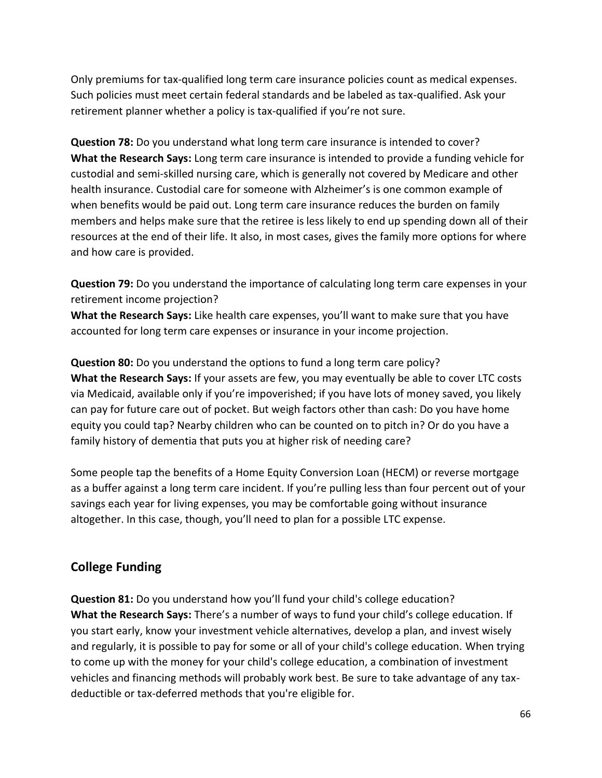Only premiums for tax-qualified long term care insurance policies count as medical expenses. Such policies must meet certain federal standards and be labeled as tax-qualified. Ask your retirement planner whether a policy is tax-qualified if you're not sure.

**Question 78:** Do you understand what long term care insurance is intended to cover? **What the Research Says:** Long term care insurance is intended to provide a funding vehicle for custodial and semi-skilled nursing care, which is generally not covered by Medicare and other health insurance. Custodial care for someone with Alzheimer's is one common example of when benefits would be paid out. Long term care insurance reduces the burden on family members and helps make sure that the retiree is less likely to end up spending down all of their resources at the end of their life. It also, in most cases, gives the family more options for where and how care is provided.

**Question 79:** Do you understand the importance of calculating long term care expenses in your retirement income projection?

**What the Research Says:** Like health care expenses, you'll want to make sure that you have accounted for long term care expenses or insurance in your income projection.

**Question 80:** Do you understand the options to fund a long term care policy? **What the Research Says:** If your assets are few, you may eventually be able to cover LTC costs via Medicaid, available only if you're impoverished; if you have lots of money saved, you likely can pay for future care out of pocket. But weigh factors other than cash: Do you have home equity you could tap? Nearby children who can be counted on to pitch in? Or do you have a family history of dementia that puts you at higher risk of needing care?

Some people tap the benefits of a Home Equity Conversion Loan (HECM) or reverse mortgage as a buffer against a long term care incident. If you're pulling less than four percent out of your savings each year for living expenses, you may be comfortable going without insurance altogether. In this case, though, you'll need to plan for a possible LTC expense.

## **College Funding**

**Question 81:** Do you understand how you'll fund your child's college education? **What the Research Says:** There's a number of ways to fund your child's college education. If you start early, know your investment vehicle alternatives, develop a plan, and invest wisely and regularly, it is possible to pay for some or all of your child's college education. When trying to come up with the money for your child's college education, a combination of investment vehicles and financing methods will probably work best. Be sure to take advantage of any taxdeductible or tax-deferred methods that you're eligible for.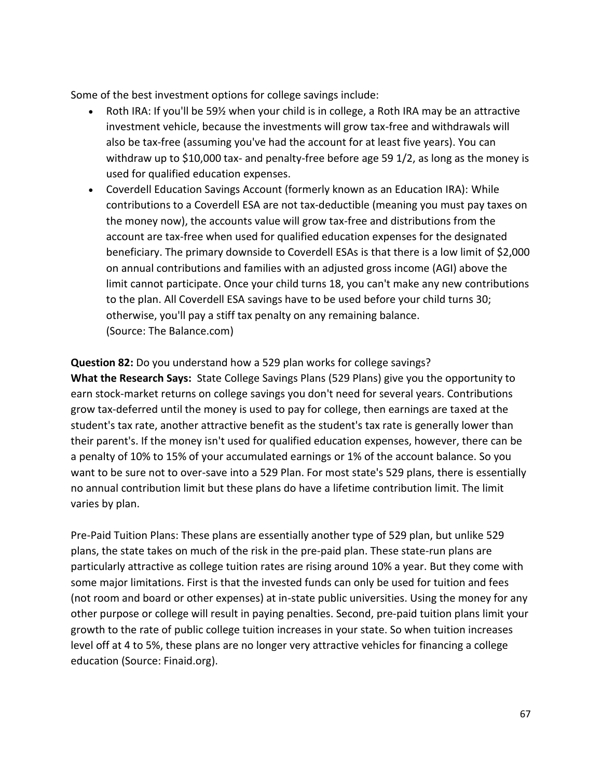Some of the best investment options for college savings include:

- Roth IRA: If you'll be 59% when your child is in college, a Roth IRA may be an attractive investment vehicle, because the investments will grow tax-free and withdrawals will also be tax-free (assuming you've had the account for at least five years). You can withdraw up to \$10,000 tax- and penalty-free before age 59 1/2, as long as the money is used for qualified education expenses.
- Coverdell Education Savings Account (formerly known as an Education IRA): While contributions to a Coverdell ESA are not tax-deductible (meaning you must pay taxes on the money now), the accounts value will grow tax-free and distributions from the account are tax-free when used for qualified education expenses for the designated beneficiary. The primary downside to Coverdell ESAs is that there is a low limit of \$2,000 on annual contributions and families with an adjusted gross income (AGI) above the limit cannot participate. Once your child turns 18, you can't make any new contributions to the plan. All Coverdell ESA savings have to be used before your child turns 30; otherwise, you'll pay a stiff tax penalty on any remaining balance. (Source: The Balance.com)

**Question 82:** Do you understand how a 529 plan works for college savings? **What the Research Says:** State College Savings Plans (529 Plans) give you the opportunity to earn stock-market returns on college savings you don't need for several years. Contributions grow tax-deferred until the money is used to pay for college, then earnings are taxed at the student's tax rate, another attractive benefit as the student's tax rate is generally lower than their parent's. If the money isn't used for qualified education expenses, however, there can be a penalty of 10% to 15% of your accumulated earnings or 1% of the account balance. So you want to be sure not to over-save into a 529 Plan. For most state's 529 plans, there is essentially no annual contribution limit but these plans do have a lifetime contribution limit. The limit varies by plan.

Pre-Paid Tuition Plans: These plans are essentially another type of 529 plan, but unlike 529 plans, the state takes on much of the risk in the pre-paid plan. These state-run plans are particularly attractive as college tuition rates are rising around 10% a year. But they come with some major limitations. First is that the invested funds can only be used for tuition and fees (not room and board or other expenses) at in-state public universities. Using the money for any other purpose or college will result in paying penalties. Second, pre-paid tuition plans limit your growth to the rate of public college tuition increases in your state. So when tuition increases level off at 4 to 5%, these plans are no longer very attractive vehicles for financing a college education (Source: Finaid.org).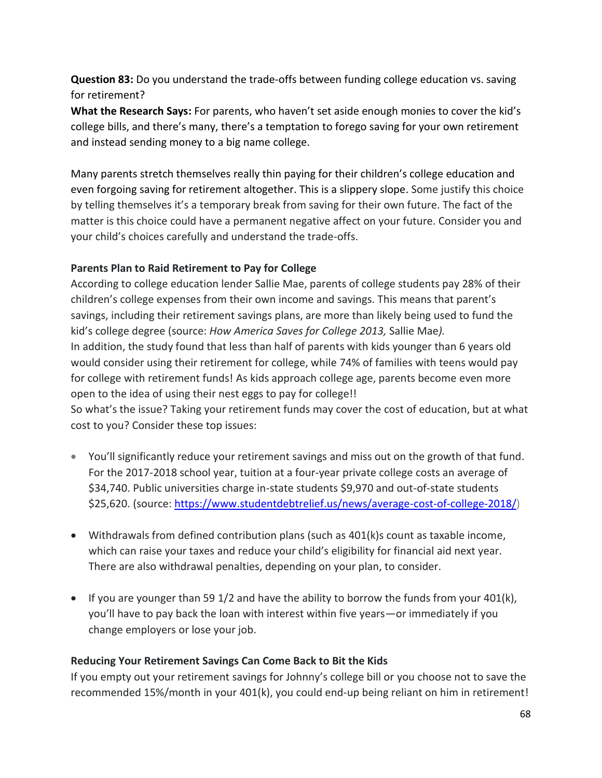**Question 83:** Do you understand the trade-offs between funding college education vs. saving for retirement?

**What the Research Says:** For parents, who haven't set aside enough monies to cover the kid's college bills, and there's many, there's a temptation to forego saving for your own retirement and instead sending money to a big name college.

Many parents stretch themselves really thin paying for their children's college education and even forgoing saving for retirement altogether. This is a slippery slope. Some justify this choice by telling themselves it's a temporary break from saving for their own future. The fact of the matter is this choice could have a permanent negative affect on your future. Consider you and your child's choices carefully and understand the trade-offs.

## **Parents Plan to Raid Retirement to Pay for College**

According to college education lender Sallie Mae, parents of college students pay 28% of their children's college expenses from their own income and savings. This means that parent's savings, including their retirement savings plans, are more than likely being used to fund the kid's college degree (source: *How America Saves for College 2013,* Sallie Mae*).* In addition, the study found that less than half of parents with kids younger than 6 years old would consider using their retirement for college, while 74% of families with teens would pay for college with retirement funds! As kids approach college age, parents become even more open to the idea of using their nest eggs to pay for college!!

So what's the issue? Taking your retirement funds may cover the cost of education, but at what cost to you? Consider these top issues:

- You'll significantly reduce your retirement savings and miss out on the growth of that fund. For the 2017-2018 school year, tuition at a four-year private college costs an average of \$34,740. Public universities charge in-state students \$9,970 and out-of-state students \$25,620. (source: [https://www.studentdebtrelief.us/news/average-cost-of-college-2018/\)](https://www.studentdebtrelief.us/news/average-cost-of-college-2018/)
- Withdrawals from defined contribution plans (such as 401(k)s count as taxable income, which can raise your taxes and reduce your child's eligibility for financial aid next year. There are also withdrawal penalties, depending on your plan, to consider.
- If you are younger than 59 1/2 and have the ability to borrow the funds from your 401(k), you'll have to pay back the loan with interest within five years—or immediately if you change employers or lose your job.

## **Reducing Your Retirement Savings Can Come Back to Bit the Kids**

If you empty out your retirement savings for Johnny's college bill or you choose not to save the recommended 15%/month in your 401(k), you could end-up being reliant on him in retirement!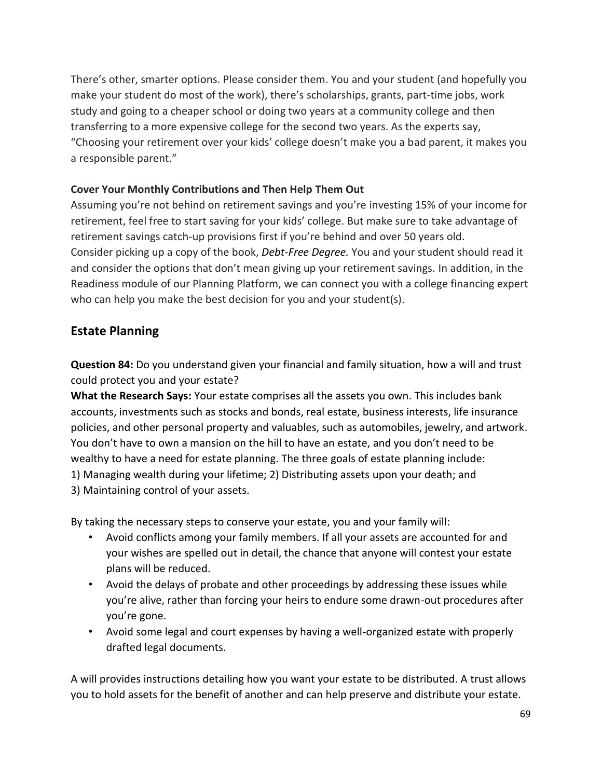There's other, smarter options. Please consider them. You and your student (and hopefully you make your student do most of the work), there's scholarships, grants, part-time jobs, work study and going to a cheaper school or doing two years at a community college and then transferring to a more expensive college for the second two years. As the experts say, "Choosing your retirement over your kids' college doesn't make you a bad parent, it makes you a responsible parent."

## **Cover Your Monthly Contributions and Then Help Them Out**

Assuming you're not behind on retirement savings and you're investing 15% of your income for retirement, feel free to start saving for your kids' college. But make sure to take advantage of retirement savings catch-up provisions first if you're behind and over 50 years old. Consider picking up a copy of the book, *Debt-Free Degree.* You and your student should read it and consider the options that don't mean giving up your retirement savings. In addition, in the Readiness module of our Planning Platform, we can connect you with a college financing expert who can help you make the best decision for you and your student(s).

# **Estate Planning**

**Question 84:** Do you understand given your financial and family situation, how a will and trust could protect you and your estate?

**What the Research Says:** Your estate comprises all the assets you own. This includes bank accounts, investments such as stocks and bonds, real estate, business interests, life insurance policies, and other personal property and valuables, such as automobiles, jewelry, and artwork. You don't have to own a mansion on the hill to have an estate, and you don't need to be wealthy to have a need for estate planning. The three goals of estate planning include: 1) Managing wealth during your lifetime; 2) Distributing assets upon your death; and 3) Maintaining control of your assets.

By taking the necessary steps to conserve your estate, you and your family will:

- Avoid conflicts among your family members. If all your assets are accounted for and your wishes are spelled out in detail, the chance that anyone will contest your estate plans will be reduced.
- Avoid the delays of probate and other proceedings by addressing these issues while you're alive, rather than forcing your heirs to endure some drawn-out procedures after you're gone.
- Avoid some legal and court expenses by having a well-organized estate with properly drafted legal documents.

A will provides instructions detailing how you want your estate to be distributed. A trust allows you to hold assets for the benefit of another and can help preserve and distribute your estate.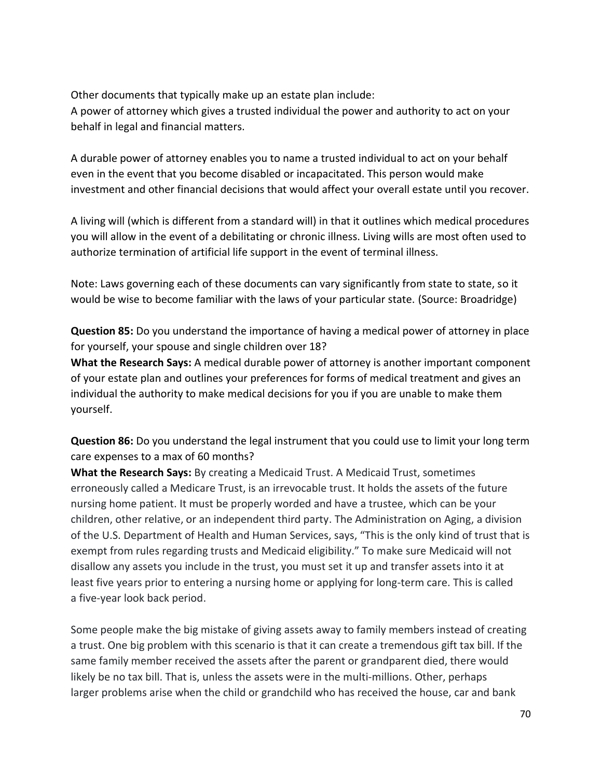Other documents that typically make up an estate plan include: A power of attorney which gives a trusted individual the power and authority to act on your behalf in legal and financial matters.

A durable power of attorney enables you to name a trusted individual to act on your behalf even in the event that you become disabled or incapacitated. This person would make investment and other financial decisions that would affect your overall estate until you recover.

A living will (which is different from a standard will) in that it outlines which medical procedures you will allow in the event of a debilitating or chronic illness. Living wills are most often used to authorize termination of artificial life support in the event of terminal illness.

Note: Laws governing each of these documents can vary significantly from state to state, so it would be wise to become familiar with the laws of your particular state. (Source: Broadridge)

**Question 85:** Do you understand the importance of having a medical power of attorney in place for yourself, your spouse and single children over 18?

**What the Research Says:** A medical durable power of attorney is another important component of your estate plan and outlines your preferences for forms of medical treatment and gives an individual the authority to make medical decisions for you if you are unable to make them yourself.

**Question 86:** Do you understand the legal instrument that you could use to limit your long term care expenses to a max of 60 months?

**What the Research Says:** By creating a Medicaid Trust. A Medicaid Trust, sometimes erroneously called a Medicare Trust, is an irrevocable trust. It holds the assets of the future nursing home patient. It must be properly worded and have a trustee, which can be your children, other relative, or an independent third party. The Administration on Aging, a division of the U.S. Department of Health and Human Services, says, "This is the only kind of trust that is exempt from rules regarding trusts and Medicaid eligibility." To make sure Medicaid will not disallow any assets you include in the trust, you must set it up and transfer assets into it at least five years prior to entering a nursing home or applying for long-term care. This is called a five-year look back period.

Some people make the big mistake of giving assets away to family members instead of creating a trust. One big problem with this scenario is that it can create a tremendous gift tax bill. If the same family member received the assets after the parent or grandparent died, there would likely be no tax bill. That is, unless the assets were in the multi-millions. Other, perhaps larger problems arise when the child or grandchild who has received the house, car and bank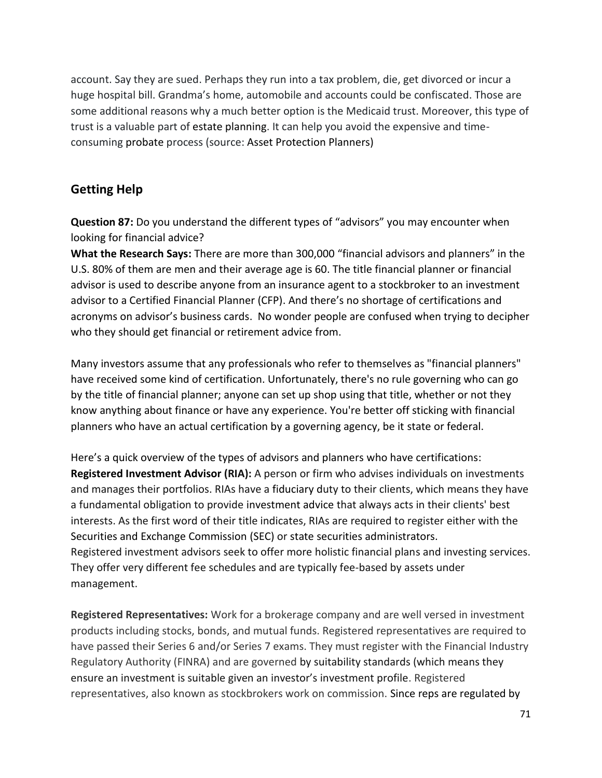account. Say they are sued. Perhaps they run into a tax problem, die, get divorced or incur a huge hospital bill. Grandma's home, automobile and accounts could be confiscated. Those are some additional reasons why a much better option is the Medicaid trust. Moreover, this type of trust is a valuable part of estate planning. It can help you avoid the expensive and timeconsuming probate process (source: Asset Protection Planners)

## **Getting Help**

**Question 87:** Do you understand the different types of "advisors" you may encounter when looking for financial advice?

**What the Research Says:** There are more than 300,000 "financial advisors and planners" in the U.S. 80% of them are men and their average age is 60. The title financial planner or financial advisor is used to describe anyone from an insurance agent to a stockbroker to an investment advisor to a Certified Financial Planner (CFP). And there's no shortage of certifications and acronyms on advisor's business cards. No wonder people are confused when trying to decipher who they should get financial or retirement advice from.

Many investors assume that any professionals who refer to themselves as "financial planners" have received some kind of certification. Unfortunately, there's no rule governing who can go by the title of financial planner; anyone can set up shop using that title, whether or not they know anything about finance or have any experience. You're better off sticking with financial planners who have an actual certification by a governing agency, be it state or federal.

Here's a quick overview of the types of advisors and planners who have certifications: **Registered Investment Advisor (RIA):** A person or firm who advises individuals on investments and manages their portfolios. RIAs have a fiduciary duty to their clients, which means they have a fundamental obligation to provide investment advice that always acts in their clients' best interests. As the first word of their title indicates, RIAs are required to register either with the Securities and Exchange Commission (SEC) or state securities administrators. Registered investment advisors seek to offer more holistic financial plans and investing services. They offer very different fee schedules and are typically fee-based by assets under management.

**Registered Representatives:** Work for a brokerage company and are well versed in investment products including stocks, bonds, and mutual funds. Registered representatives are required to have passed their Series 6 and/or Series 7 exams. They must register with the Financial Industry Regulatory Authority (FINRA) and are governed by suitability standards (which means they ensure an investment is suitable given an investor's investment profile. Registered representatives, also known as stockbrokers work on commission. Since reps are regulated by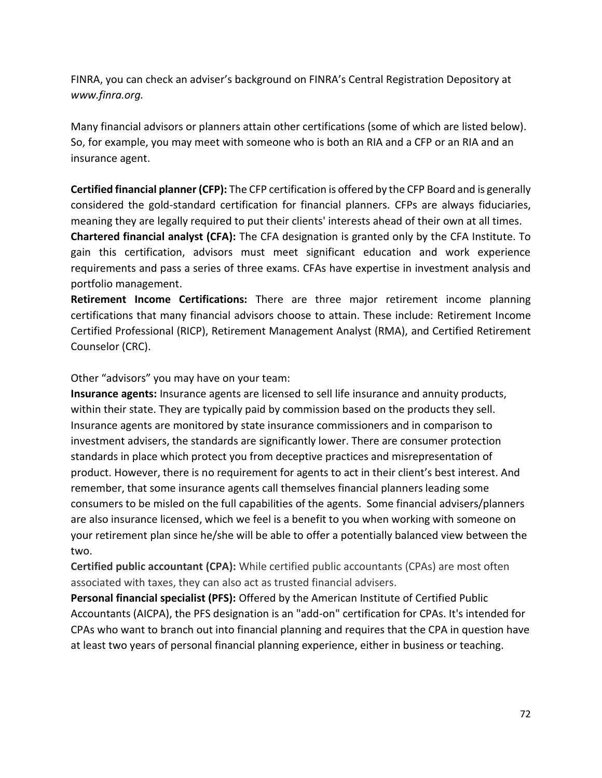FINRA, you can check an adviser's background on FINRA's Central Registration Depository at *[www.finra.org.](http://www.finra.org/)*

Many financial advisors or planners attain other certifications (some of which are listed below). So, for example, you may meet with someone who is both an RIA and a CFP or an RIA and an insurance agent.

**Certified financial planner (CFP):** The CFP certification is offered by the CFP Board and is generally considered the gold-standard certification for financial planners. CFPs are always fiduciaries, meaning they are legally required to put their clients' interests ahead of their own at all times.

**Chartered financial analyst (CFA):** The CFA designation is granted only by the CFA Institute. To gain this certification, advisors must meet significant education and work experience requirements and pass a series of three exams. CFAs have expertise in investment analysis and portfolio management.

**Retirement Income Certifications:** There are three major retirement income planning certifications that many financial advisors choose to attain. These include: Retirement Income Certified Professional (RICP), Retirement Management Analyst (RMA), and Certified Retirement Counselor (CRC).

Other "advisors" you may have on your team:

**Insurance agents:** Insurance agents are licensed to sell life insurance and annuity products, within their state. They are typically paid by commission based on the products they sell. Insurance agents are monitored by state insurance commissioners and in comparison to investment advisers, the standards are significantly lower. There are consumer protection standards in place which protect you from deceptive practices and misrepresentation of product. However, there is no requirement for agents to act in their client's best interest. And remember, that some insurance agents call themselves financial planners leading some consumers to be misled on the full capabilities of the agents. Some financial advisers/planners are also insurance licensed, which we feel is a benefit to you when working with someone on your retirement plan since he/she will be able to offer a potentially balanced view between the two.

**Certified public accountant (CPA):** While certified public accountants (CPAs) are most often associated with taxes, they can also act as trusted financial advisers.

**Personal financial specialist (PFS):** Offered by the American Institute of Certified Public Accountants (AICPA), the PFS designation is an "add-on" certification for CPAs. It's intended for CPAs who want to branch out into financial planning and requires that the CPA in question have at least two years of personal financial planning experience, either in business or teaching.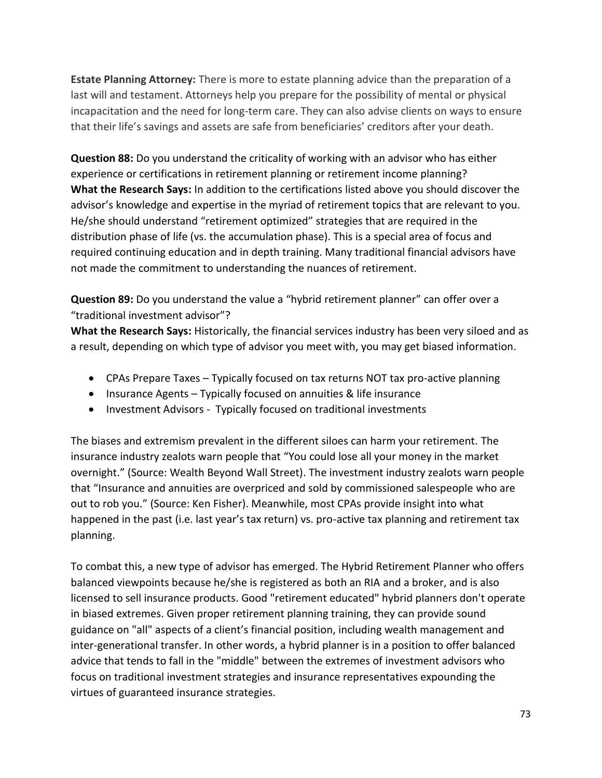**Estate Planning Attorney:** There is more to estate planning advice than the preparation of a last will and testament. Attorneys help you prepare for the possibility of mental or physical incapacitation and the need for long-term care. They can also advise clients on ways to ensure that their life's savings and assets are safe from beneficiaries' creditors after your death.

**Question 88:** Do you understand the criticality of working with an advisor who has either experience or certifications in retirement planning or retirement income planning? **What the Research Says:** In addition to the certifications listed above you should discover the advisor's knowledge and expertise in the myriad of retirement topics that are relevant to you. He/she should understand "retirement optimized" strategies that are required in the distribution phase of life (vs. the accumulation phase). This is a special area of focus and required continuing education and in depth training. Many traditional financial advisors have not made the commitment to understanding the nuances of retirement.

**Question 89:** Do you understand the value a "hybrid retirement planner" can offer over a "traditional investment advisor"?

**What the Research Says:** Historically, the financial services industry has been very siloed and as a result, depending on which type of advisor you meet with, you may get biased information.

- CPAs Prepare Taxes Typically focused on tax returns NOT tax pro-active planning
- Insurance Agents Typically focused on annuities & life insurance
- Investment Advisors Typically focused on traditional investments

The biases and extremism prevalent in the different siloes can harm your retirement. The insurance industry zealots warn people that "You could lose all your money in the market overnight." (Source: Wealth Beyond Wall Street). The investment industry zealots warn people that "Insurance and annuities are overpriced and sold by commissioned salespeople who are out to rob you." (Source: Ken Fisher). Meanwhile, most CPAs provide insight into what happened in the past (i.e. last year's tax return) vs. pro-active tax planning and retirement tax planning.

To combat this, a new type of advisor has emerged. The Hybrid Retirement Planner who offers balanced viewpoints because he/she is registered as both an RIA and a broker, and is also licensed to sell insurance products. Good "retirement educated" hybrid planners don't operate in biased extremes. Given proper retirement planning training, they can provide sound guidance on "all" aspects of a client's financial position, including wealth management and inter-generational transfer. In other words, a hybrid planner is in a position to offer balanced advice that tends to fall in the "middle" between the extremes of investment advisors who focus on traditional investment strategies and insurance representatives expounding the virtues of guaranteed insurance strategies.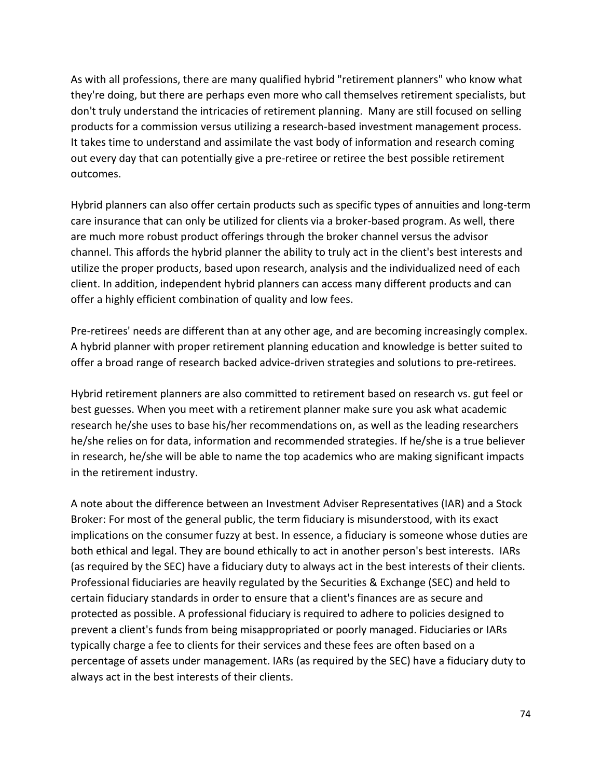As with all professions, there are many qualified hybrid "retirement planners" who know what they're doing, but there are perhaps even more who call themselves retirement specialists, but don't truly understand the intricacies of retirement planning. Many are still focused on selling products for a commission versus utilizing a research-based investment management process. It takes time to understand and assimilate the vast body of information and research coming out every day that can potentially give a pre-retiree or retiree the best possible retirement outcomes.

Hybrid planners can also offer certain products such as specific types of annuities and long-term care insurance that can only be utilized for clients via a broker-based program. As well, there are much more robust product offerings through the broker channel versus the advisor channel. This affords the hybrid planner the ability to truly act in the client's best interests and utilize the proper products, based upon research, analysis and the individualized need of each client. In addition, independent hybrid planners can access many different products and can offer a highly efficient combination of quality and low fees.

Pre-retirees' needs are different than at any other age, and are becoming increasingly complex. A hybrid planner with proper retirement planning education and knowledge is better suited to offer a broad range of research backed advice-driven strategies and solutions to pre-retirees.

Hybrid retirement planners are also committed to retirement based on research vs. gut feel or best guesses. When you meet with a retirement planner make sure you ask what academic research he/she uses to base his/her recommendations on, as well as the leading researchers he/she relies on for data, information and recommended strategies. If he/she is a true believer in research, he/she will be able to name the top academics who are making significant impacts in the retirement industry.

A note about the difference between an Investment Adviser Representatives (IAR) and a Stock Broker: For most of the general public, the term fiduciary is misunderstood, with its exact implications on the consumer fuzzy at best. In essence, a fiduciary is someone whose duties are both ethical and legal. They are bound ethically to act in another person's best interests. IARs (as required by the SEC) have a fiduciary duty to always act in the best interests of their clients. Professional fiduciaries are heavily regulated by the Securities & Exchange (SEC) and held to certain fiduciary standards in order to ensure that a client's finances are as secure and protected as possible. A professional fiduciary is required to adhere to policies designed to prevent a client's funds from being misappropriated or poorly managed. Fiduciaries or IARs typically charge a fee to clients for their services and these fees are often based on a percentage of assets under management. IARs (as required by the SEC) have a fiduciary duty to always act in the best interests of their clients.